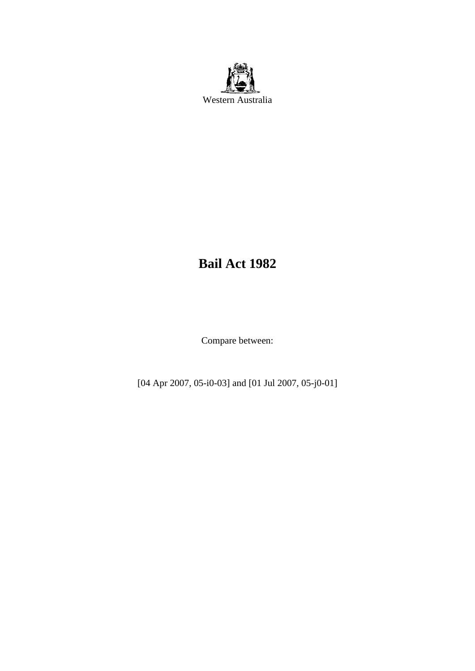

# **Bail Act 1982**

Compare between:

[04 Apr 2007, 05-i0-03] and [01 Jul 2007, 05-j0-01]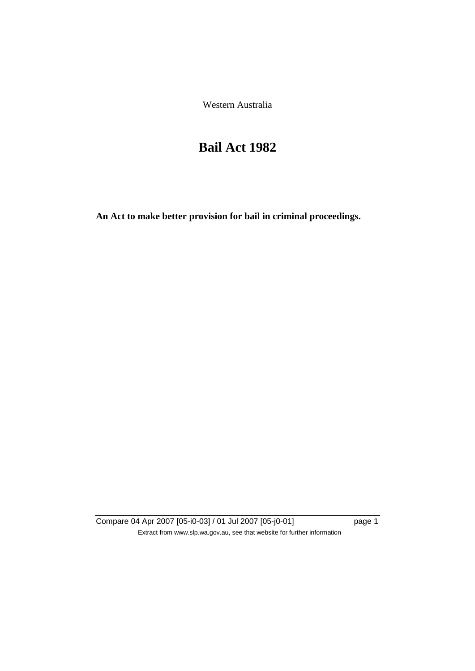Western Australia

# **Bail Act 1982**

**An Act to make better provision for bail in criminal proceedings.** 

Compare 04 Apr 2007 [05-i0-03] / 01 Jul 2007 [05-j0-01] page 1 Extract from www.slp.wa.gov.au, see that website for further information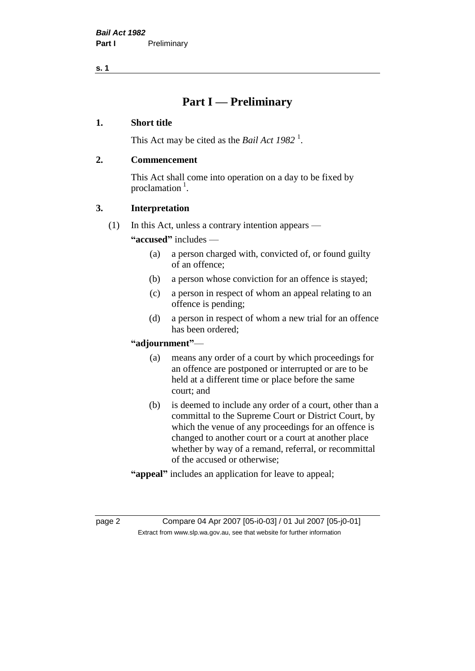## **Part I — Preliminary**

#### **1. Short title**

This Act may be cited as the *Bail Act* 1982<sup>1</sup>.

#### **2. Commencement**

This Act shall come into operation on a day to be fixed by proclamation  $<sup>1</sup>$ .</sup>

### **3. Interpretation**

(1) In this Act, unless a contrary intention appears —

**"accused"** includes —

- (a) a person charged with, convicted of, or found guilty of an offence;
- (b) a person whose conviction for an offence is stayed;
- (c) a person in respect of whom an appeal relating to an offence is pending;
- (d) a person in respect of whom a new trial for an offence has been ordered;

### **"adjournment"**—

- (a) means any order of a court by which proceedings for an offence are postponed or interrupted or are to be held at a different time or place before the same court; and
- (b) is deemed to include any order of a court, other than a committal to the Supreme Court or District Court, by which the venue of any proceedings for an offence is changed to another court or a court at another place whether by way of a remand, referral, or recommittal of the accused or otherwise;
- **"appeal"** includes an application for leave to appeal;

page 2 Compare 04 Apr 2007 [05-i0-03] / 01 Jul 2007 [05-j0-01] Extract from www.slp.wa.gov.au, see that website for further information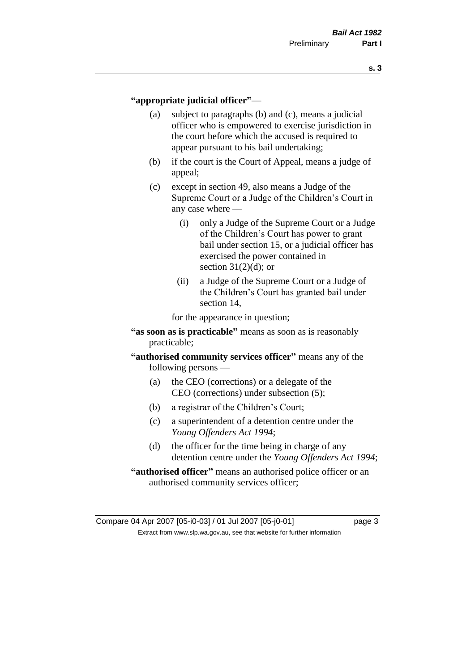#### **"appropriate judicial officer"**—

- (a) subject to paragraphs (b) and (c), means a judicial officer who is empowered to exercise jurisdiction in the court before which the accused is required to appear pursuant to his bail undertaking;
- (b) if the court is the Court of Appeal, means a judge of appeal;
- (c) except in section 49, also means a Judge of the Supreme Court or a Judge of the Children's Court in any case where —
	- (i) only a Judge of the Supreme Court or a Judge of the Children's Court has power to grant bail under section 15, or a judicial officer has exercised the power contained in section  $31(2)(d)$ ; or
	- (ii) a Judge of the Supreme Court or a Judge of the Children's Court has granted bail under section 14,

for the appearance in question;

- **"as soon as is practicable"** means as soon as is reasonably practicable;
- **"authorised community services officer"** means any of the following persons —
	- (a) the CEO (corrections) or a delegate of the CEO (corrections) under subsection (5);
	- (b) a registrar of the Children's Court;
	- (c) a superintendent of a detention centre under the *Young Offenders Act 1994*;
	- (d) the officer for the time being in charge of any detention centre under the *Young Offenders Act 1994*;
- **"authorised officer"** means an authorised police officer or an authorised community services officer;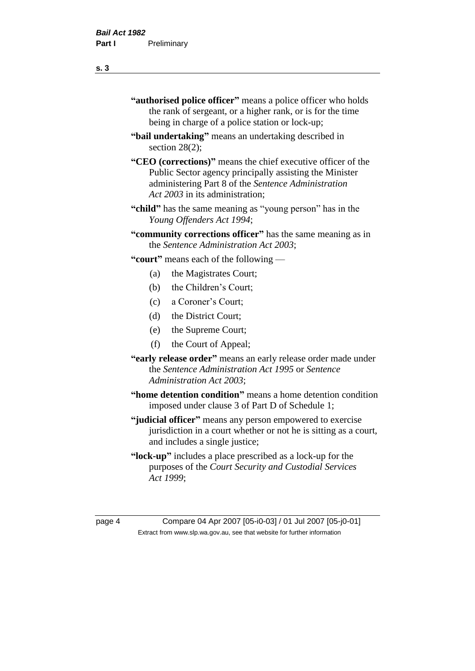- **"authorised police officer"** means a police officer who holds the rank of sergeant, or a higher rank, or is for the time being in charge of a police station or lock-up;
- **"bail undertaking"** means an undertaking described in section 28(2);
- **"CEO (corrections)"** means the chief executive officer of the Public Sector agency principally assisting the Minister administering Part 8 of the *Sentence Administration Act 2003* in its administration;
- **"child"** has the same meaning as "young person" has in the *Young Offenders Act 1994*;
- **"community corrections officer"** has the same meaning as in the *Sentence Administration Act 2003*;

**"court"** means each of the following —

- (a) the Magistrates Court;
- (b) the Children's Court;
- (c) a Coroner's Court;
- (d) the District Court;
- (e) the Supreme Court;
- (f) the Court of Appeal;
- **"early release order"** means an early release order made under the *Sentence Administration Act 1995* or *Sentence Administration Act 2003*;
- **"home detention condition"** means a home detention condition imposed under clause 3 of Part D of Schedule 1;
- **"judicial officer"** means any person empowered to exercise jurisdiction in a court whether or not he is sitting as a court, and includes a single justice;
- **"lock-up"** includes a place prescribed as a lock-up for the purposes of the *Court Security and Custodial Services Act 1999*;

page 4 Compare 04 Apr 2007 [05-i0-03] / 01 Jul 2007 [05-j0-01] Extract from www.slp.wa.gov.au, see that website for further information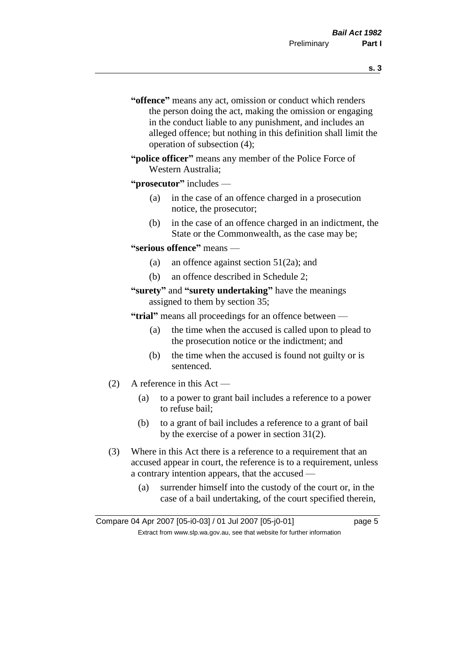- **s. 3**
- **"offence"** means any act, omission or conduct which renders the person doing the act, making the omission or engaging in the conduct liable to any punishment, and includes an alleged offence; but nothing in this definition shall limit the operation of subsection (4);
- **"police officer"** means any member of the Police Force of Western Australia;
- **"prosecutor"** includes
	- (a) in the case of an offence charged in a prosecution notice, the prosecutor;
	- (b) in the case of an offence charged in an indictment, the State or the Commonwealth, as the case may be;
- **"serious offence"** means
	- (a) an offence against section 51(2a); and
	- (b) an offence described in Schedule 2;
- **"surety"** and **"surety undertaking"** have the meanings assigned to them by section 35;

**"trial"** means all proceedings for an offence between —

- (a) the time when the accused is called upon to plead to the prosecution notice or the indictment; and
- (b) the time when the accused is found not guilty or is sentenced.
- (2) A reference in this Act
	- (a) to a power to grant bail includes a reference to a power to refuse bail;
	- (b) to a grant of bail includes a reference to a grant of bail by the exercise of a power in section 31(2).
- (3) Where in this Act there is a reference to a requirement that an accused appear in court, the reference is to a requirement, unless a contrary intention appears, that the accused —
	- (a) surrender himself into the custody of the court or, in the case of a bail undertaking, of the court specified therein,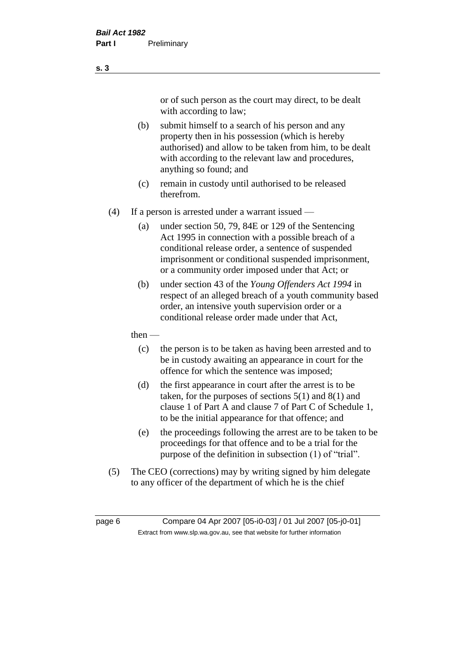or of such person as the court may direct, to be dealt with according to law;

(b) submit himself to a search of his person and any property then in his possession (which is hereby authorised) and allow to be taken from him, to be dealt with according to the relevant law and procedures, anything so found; and

- (c) remain in custody until authorised to be released therefrom.
- (4) If a person is arrested under a warrant issued
	- (a) under section 50, 79, 84E or 129 of the Sentencing Act 1995 in connection with a possible breach of a conditional release order, a sentence of suspended imprisonment or conditional suspended imprisonment, or a community order imposed under that Act; or
	- (b) under section 43 of the *Young Offenders Act 1994* in respect of an alleged breach of a youth community based order, an intensive youth supervision order or a conditional release order made under that Act,
	- then
		- (c) the person is to be taken as having been arrested and to be in custody awaiting an appearance in court for the offence for which the sentence was imposed;
		- (d) the first appearance in court after the arrest is to be taken, for the purposes of sections  $5(1)$  and  $8(1)$  and clause 1 of Part A and clause 7 of Part C of Schedule 1, to be the initial appearance for that offence; and
		- (e) the proceedings following the arrest are to be taken to be proceedings for that offence and to be a trial for the purpose of the definition in subsection (1) of "trial".
- (5) The CEO (corrections) may by writing signed by him delegate to any officer of the department of which he is the chief

page 6 Compare 04 Apr 2007 [05-i0-03] / 01 Jul 2007 [05-j0-01] Extract from www.slp.wa.gov.au, see that website for further information

**s. 3**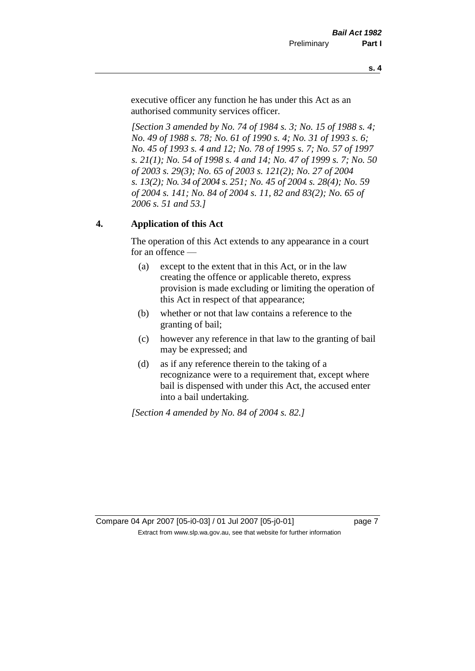executive officer any function he has under this Act as an authorised community services officer.

*[Section 3 amended by No. 74 of 1984 s. 3; No. 15 of 1988 s. 4; No. 49 of 1988 s. 78; No. 61 of 1990 s. 4; No. 31 of 1993 s. 6; No. 45 of 1993 s. 4 and 12; No. 78 of 1995 s. 7; No. 57 of 1997 s. 21(1); No. 54 of 1998 s. 4 and 14; No. 47 of 1999 s. 7; No. 50 of 2003 s. 29(3); No. 65 of 2003 s. 121(2); No. 27 of 2004 s. 13(2); No. 34 of 2004 s. 251; No. 45 of 2004 s. 28(4); No. 59 of 2004 s. 141; No. 84 of 2004 s. 11, 82 and 83(2); No. 65 of 2006 s. 51 and 53.]* 

### **4. Application of this Act**

The operation of this Act extends to any appearance in a court for an offence —

- (a) except to the extent that in this Act, or in the law creating the offence or applicable thereto, express provision is made excluding or limiting the operation of this Act in respect of that appearance;
- (b) whether or not that law contains a reference to the granting of bail;
- (c) however any reference in that law to the granting of bail may be expressed; and
- (d) as if any reference therein to the taking of a recognizance were to a requirement that, except where bail is dispensed with under this Act, the accused enter into a bail undertaking.

*[Section 4 amended by No. 84 of 2004 s. 82.]*

Compare 04 Apr 2007 [05-i0-03] / 01 Jul 2007 [05-j0-01] page 7 Extract from www.slp.wa.gov.au, see that website for further information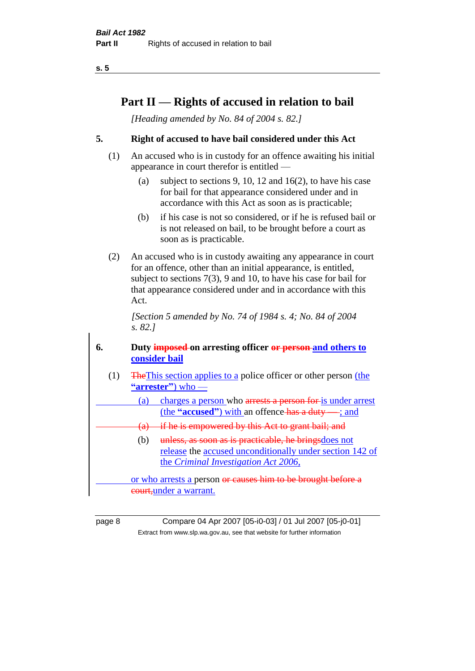# **Part II — Rights of accused in relation to bail**

*[Heading amended by No. 84 of 2004 s. 82.]* 

### **5. Right of accused to have bail considered under this Act**

- (1) An accused who is in custody for an offence awaiting his initial appearance in court therefor is entitled —
	- (a) subject to sections 9, 10, 12 and 16(2), to have his case for bail for that appearance considered under and in accordance with this Act as soon as is practicable;
	- (b) if his case is not so considered, or if he is refused bail or is not released on bail, to be brought before a court as soon as is practicable.
- (2) An accused who is in custody awaiting any appearance in court for an offence, other than an initial appearance, is entitled, subject to sections 7(3), 9 and 10, to have his case for bail for that appearance considered under and in accordance with this Act.

*[Section 5 amended by No. 74 of 1984 s. 4; No. 84 of 2004 s. 82.]* 

### **6. Duty imposed on arresting officer or person and others to consider bail**

- (1) TheThis section applies to a police officer or other person (the **"arrester"**) who —
	- (a) charges a person who arrests a person for is under arrest (the **"accused"**) with an offence has a duty — ; and
	- (a) if he is empowered by this Act to grant bail; and
		- (b) unless, as soon as is practicable, he brings does not release the accused unconditionally under section 142 of the *Criminal Investigation Act 2006*,

or who arrests a person or causes him to be brought before a court,under a warrant.

page 8 Compare 04 Apr 2007 [05-i0-03] / 01 Jul 2007 [05-j0-01] Extract from www.slp.wa.gov.au, see that website for further information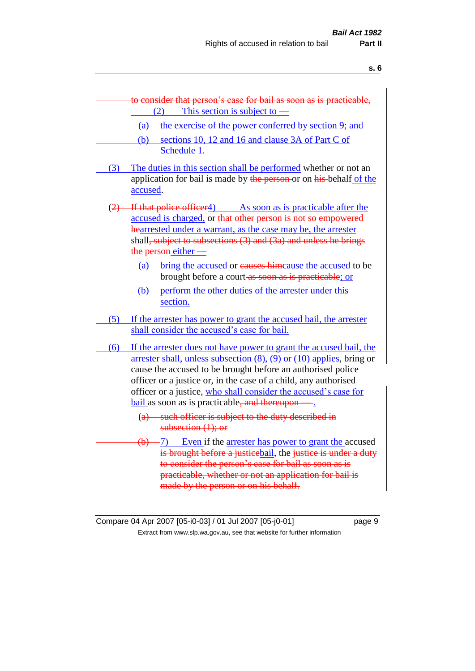|     | to consider that person's case for bail as soon as is practicable,                                                                                                                                                                                                                                                                                                                                             |
|-----|----------------------------------------------------------------------------------------------------------------------------------------------------------------------------------------------------------------------------------------------------------------------------------------------------------------------------------------------------------------------------------------------------------------|
|     | This section is subject to $-$<br>(2)                                                                                                                                                                                                                                                                                                                                                                          |
|     | the exercise of the power conferred by section 9; and<br>(a)                                                                                                                                                                                                                                                                                                                                                   |
|     | (b)<br>sections 10, 12 and 16 and clause 3A of Part C of<br>Schedule 1.                                                                                                                                                                                                                                                                                                                                        |
| (3) | The duties in this section shall be performed whether or not an<br>application for bail is made by the person-or on his-behalf of the<br>accused.                                                                                                                                                                                                                                                              |
| (2) | If that police officer4) As soon as is practicable after the<br>accused is charged, or that other person is not so empowered<br>hearrested under a warrant, as the case may be, the arrester<br>shall, subject to subsections (3) and (3a) and unless he brings<br>the person either -                                                                                                                         |
|     | bring the accused or eauses himcause the accused to be<br>(a)                                                                                                                                                                                                                                                                                                                                                  |
|     | brought before a court-as soon as is practicable; or                                                                                                                                                                                                                                                                                                                                                           |
|     | perform the other duties of the arrester under this<br>(b)<br>section.                                                                                                                                                                                                                                                                                                                                         |
| (5) | If the arrester has power to grant the accused bail, the arrester<br>shall consider the accused's case for bail.                                                                                                                                                                                                                                                                                               |
| (6) | If the arrester does not have power to grant the accused bail, the<br>arrester shall, unless subsection $(8)$ , $(9)$ or $(10)$ applies, bring or<br>cause the accused to be brought before an authorised police<br>officer or a justice or, in the case of a child, any authorised<br>officer or a justice, who shall consider the accused's case for<br><b>bail</b> as soon as is practicable, and thereupon |
|     | (a) such officer is subject to the duty described in<br>subsection $(1)$ ; or                                                                                                                                                                                                                                                                                                                                  |
|     | $\frac{1}{2}$ Even if the arrester has power to grant the accused<br>is brought before a justicebail, the justice is under a duty<br>to consider the person's case for bail as soon as is<br>practicable, whether or not an application for bail is<br>made by the person or on his behalf.                                                                                                                    |

Compare 04 Apr 2007 [05-i0-03] / 01 Jul 2007 [05-j0-01] page 9 Extract from www.slp.wa.gov.au, see that website for further information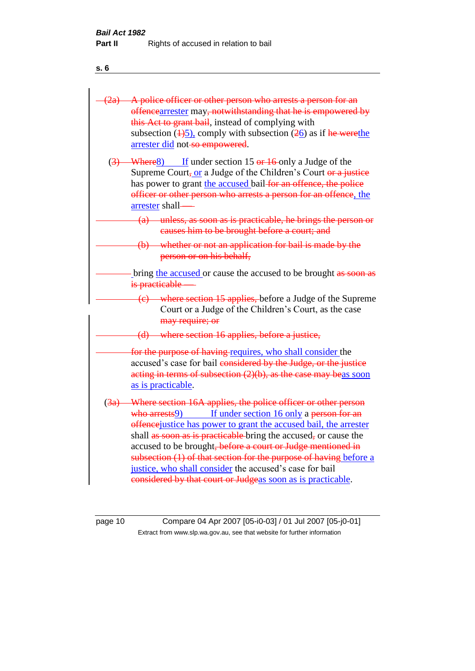|                  | (2a) A police officer or other person who arrests a person for an<br>offencearrester may, notwithstanding that he is empowered by<br>this Act to grant bail, instead of complying with<br>subsection $(\frac{1}{2})$ , comply with subsection $(\frac{2}{6})$ as if he were the<br>arrester did not-so empowered.                                                                                                                                                                                                                     |
|------------------|---------------------------------------------------------------------------------------------------------------------------------------------------------------------------------------------------------------------------------------------------------------------------------------------------------------------------------------------------------------------------------------------------------------------------------------------------------------------------------------------------------------------------------------|
| $\left(3\right)$ | If under section 15 $er 16$ only a Judge of the<br>Where <sub>8</sub> )<br>Supreme Court, or a Judge of the Children's Court or a justice<br>has power to grant the accused bail-for an offence, the police<br>officer or other person who arrests a person for an offence, the<br>arrester shall-                                                                                                                                                                                                                                    |
|                  | (a) unless, as soon as is practicable, he brings the person or<br>causes him to be brought before a court; and                                                                                                                                                                                                                                                                                                                                                                                                                        |
|                  | (b) whether or not an application for bail is made by the<br>person or on his behalf,                                                                                                                                                                                                                                                                                                                                                                                                                                                 |
|                  | bring the accused or cause the accused to be brought as soon as<br>is practicable                                                                                                                                                                                                                                                                                                                                                                                                                                                     |
|                  | (e) where section 15 applies, before a Judge of the Supreme<br>Court or a Judge of the Children's Court, as the case<br>may require; or                                                                                                                                                                                                                                                                                                                                                                                               |
|                  | (d) where section 16 applies, before a justice,                                                                                                                                                                                                                                                                                                                                                                                                                                                                                       |
|                  | for the purpose of having requires, who shall consider the<br>accused's case for bail considered by the Judge, or the justice<br>acting in terms of subsection $(2)(b)$ , as the case may beas soon<br>as is practicable.                                                                                                                                                                                                                                                                                                             |
|                  | (3a) Where section 16A applies, the police officer or other person<br>If under section 16 only a person for an<br>who arrests9)<br>offence justice has power to grant the accused bail, the arrester<br>shall as soon as is practicable bring the accused, or cause the<br>accused to be brought, before a court or Judge mentioned in<br>subsection (1) of that section for the purpose of having before a<br>justice, who shall consider the accused's case for bail<br>considered by that court or Judgeas soon as is practicable. |

page 10 Compare 04 Apr 2007 [05-i0-03] / 01 Jul 2007 [05-j0-01] Extract from www.slp.wa.gov.au, see that website for further information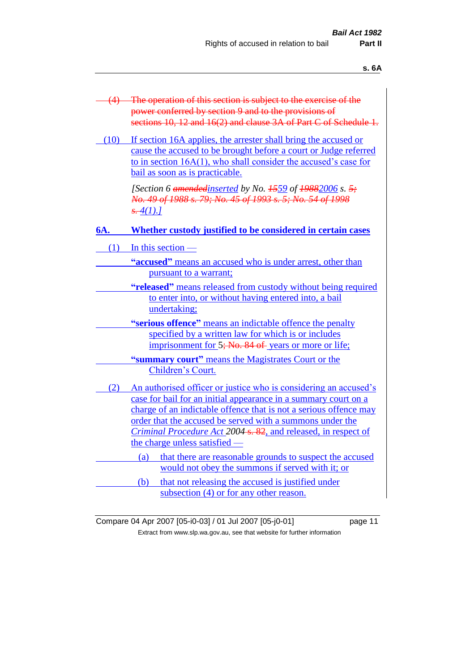| $-$ | $\sim$<br>۰. |
|-----|--------------|
|     |              |

| $(4) -$ | The operation of this section is subject to the exercise of the               |
|---------|-------------------------------------------------------------------------------|
|         | power conferred by section 9 and to the provisions of                         |
|         | sections 10, 12 and 16(2) and clause 3A of Part C of Schedule 1.              |
|         |                                                                               |
| (10)    | If section 16A applies, the arrester shall bring the accused or               |
|         | cause the accused to be brought before a court or Judge referred              |
|         | to in section $16A(1)$ , who shall consider the accused's case for            |
|         | bail as soon as is practicable.                                               |
|         |                                                                               |
|         | [Section 6 amended inserted by No. $\frac{1559}{19882006}$ s. $\frac{5}{7}$ ] |
|         | No. 49 of 1988 s. 79; No. 45 of 1993 s. 5; No. 54 of 1998                     |
|         | $\frac{1}{5}$ -4(1).]                                                         |
|         |                                                                               |
| 6A.     | Whether custody justified to be considered in certain cases                   |
|         |                                                                               |
| (1)     | In this section $-$                                                           |
|         | "accused" means an accused who is under arrest, other than                    |
|         | pursuant to a warrant;                                                        |
|         |                                                                               |
|         | "released" means released from custody without being required                 |
|         | to enter into, or without having entered into, a bail                         |
|         | undertaking;                                                                  |
|         | "serious offence" means an indictable offence the penalty                     |
|         | specified by a written law for which is or includes                           |
|         | imprisonment for 5; No. 84 of years or more or life;                          |
|         |                                                                               |
|         | "summary court" means the Magistrates Court or the                            |
|         | Children's Court.                                                             |
| (2)     | An authorised officer or justice who is considering an accused's              |
|         | case for bail for an initial appearance in a summary court on a               |
|         | charge of an indictable offence that is not a serious offence may             |
|         |                                                                               |
|         | order that the accused be served with a summons under the                     |
|         | Criminal Procedure Act 2004-s. 82, and released, in respect of                |
|         | the charge unless satisfied —                                                 |
|         | that there are reasonable grounds to suspect the accused<br>(a)               |
|         | would not obey the summons if served with it; or                              |
|         | that not releasing the accused is justified under<br>(b)                      |
|         | subsection (4) or for any other reason.                                       |
|         |                                                                               |

Compare 04 Apr 2007 [05-i0-03] / 01 Jul 2007 [05-j0-01] page 11 Extract from www.slp.wa.gov.au, see that website for further information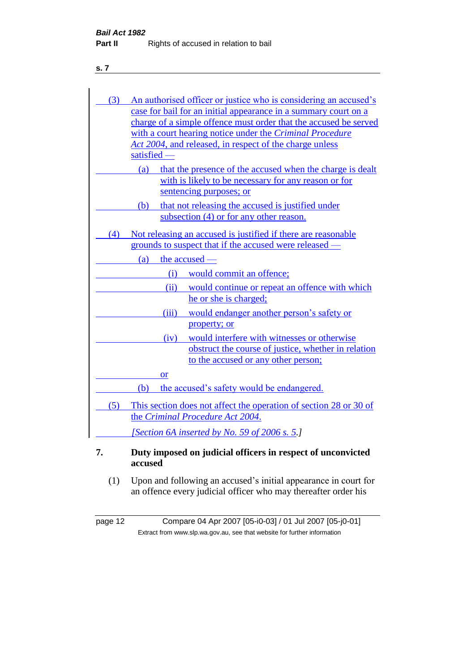| (3) | An authorised officer or justice who is considering an accused's                |
|-----|---------------------------------------------------------------------------------|
|     | case for bail for an initial appearance in a summary court on a                 |
|     | charge of a simple offence must order that the accused be served                |
|     | with a court hearing notice under the Criminal Procedure                        |
|     | Act 2004, and released, in respect of the charge unless<br>satisfied —          |
|     |                                                                                 |
|     | that the presence of the accused when the charge is dealt<br>(a)                |
|     | with is likely to be necessary for any reason or for<br>sentencing purposes; or |
|     |                                                                                 |
|     | (b) that not releasing the accused is justified under                           |
|     | subsection (4) or for any other reason.                                         |
| (4) | Not releasing an accused is justified if there are reasonable                   |
|     | grounds to suspect that if the accused were released -                          |
|     | the accused —<br>(a)                                                            |
|     | would commit an offence;<br>(i)                                                 |
|     | (ii)<br>would continue or repeat an offence with which                          |
|     | he or she is charged;                                                           |
|     | (iii)<br>would endanger another person's safety or                              |
|     | property; or                                                                    |
|     | would interfere with witnesses or otherwise<br>(iv)                             |
|     | obstruct the course of justice, whether in relation                             |
|     | to the accused or any other person;                                             |
|     | <b>or</b>                                                                       |
|     | the accused's safety would be endangered.<br>(b)                                |
| (5) | This section does not affect the operation of section 28 or 30 of               |
|     | the Criminal Procedure Act 2004.                                                |
|     |                                                                                 |
|     | [Section 6A inserted by No. 59 of 2006 s. 5.]                                   |
| 7.  | Duty imposed on judicial officers in respect of unconvicted<br>accused          |

(1) Upon and following an accused's initial appearance in court for an offence every judicial officer who may thereafter order his

page 12 Compare 04 Apr 2007 [05-i0-03] / 01 Jul 2007 [05-j0-01] Extract from www.slp.wa.gov.au, see that website for further information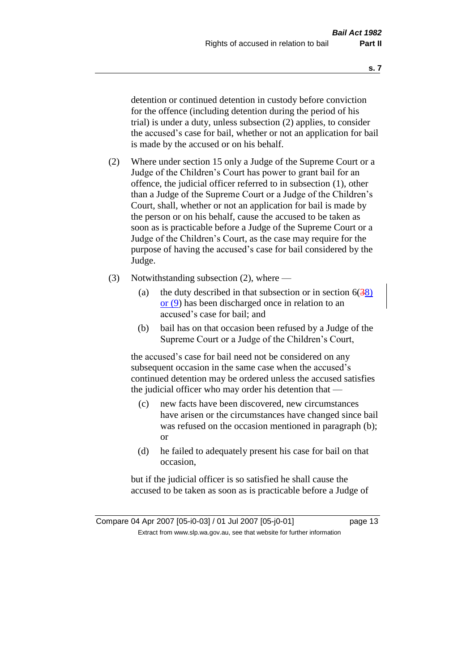detention or continued detention in custody before conviction for the offence (including detention during the period of his trial) is under a duty, unless subsection (2) applies, to consider the accused's case for bail, whether or not an application for bail is made by the accused or on his behalf.

- (2) Where under section 15 only a Judge of the Supreme Court or a Judge of the Children's Court has power to grant bail for an offence, the judicial officer referred to in subsection (1), other than a Judge of the Supreme Court or a Judge of the Children's Court, shall, whether or not an application for bail is made by the person or on his behalf, cause the accused to be taken as soon as is practicable before a Judge of the Supreme Court or a Judge of the Children's Court, as the case may require for the purpose of having the accused's case for bail considered by the Judge.
- (3) Notwithstanding subsection (2), where
	- (a) the duty described in that subsection or in section  $6(38)$ or (9) has been discharged once in relation to an accused's case for bail; and
	- (b) bail has on that occasion been refused by a Judge of the Supreme Court or a Judge of the Children's Court,

the accused's case for bail need not be considered on any subsequent occasion in the same case when the accused's continued detention may be ordered unless the accused satisfies the judicial officer who may order his detention that —

- (c) new facts have been discovered, new circumstances have arisen or the circumstances have changed since bail was refused on the occasion mentioned in paragraph (b); or
- (d) he failed to adequately present his case for bail on that occasion,

but if the judicial officer is so satisfied he shall cause the accused to be taken as soon as is practicable before a Judge of

**s. 7**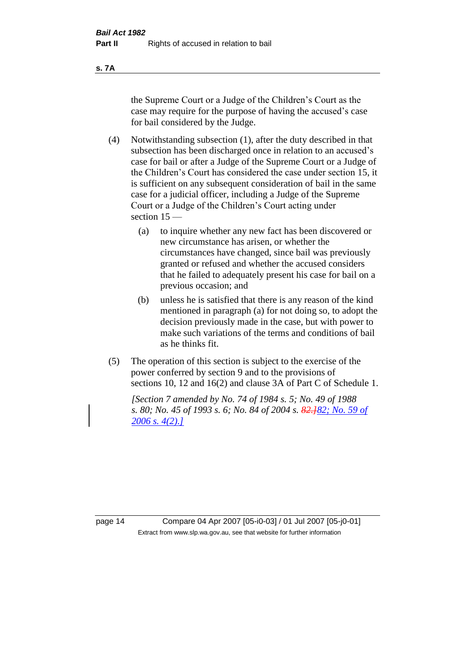**s. 7A**

the Supreme Court or a Judge of the Children's Court as the case may require for the purpose of having the accused's case for bail considered by the Judge.

(4) Notwithstanding subsection (1), after the duty described in that subsection has been discharged once in relation to an accused's case for bail or after a Judge of the Supreme Court or a Judge of the Children's Court has considered the case under section 15, it is sufficient on any subsequent consideration of bail in the same case for a judicial officer, including a Judge of the Supreme Court or a Judge of the Children's Court acting under section 15 —

- (a) to inquire whether any new fact has been discovered or new circumstance has arisen, or whether the circumstances have changed, since bail was previously granted or refused and whether the accused considers that he failed to adequately present his case for bail on a previous occasion; and
- (b) unless he is satisfied that there is any reason of the kind mentioned in paragraph (a) for not doing so, to adopt the decision previously made in the case, but with power to make such variations of the terms and conditions of bail as he thinks fit.
- (5) The operation of this section is subject to the exercise of the power conferred by section 9 and to the provisions of sections 10, 12 and 16(2) and clause 3A of Part C of Schedule 1.

*[Section 7 amended by No. 74 of 1984 s. 5; No. 49 of 1988 s. 80; No. 45 of 1993 s. 6; No. 84 of 2004 s. 82.]82; No. 59 of 2006 s. 4(2).]*

page 14 Compare 04 Apr 2007 [05-i0-03] / 01 Jul 2007 [05-j0-01] Extract from www.slp.wa.gov.au, see that website for further information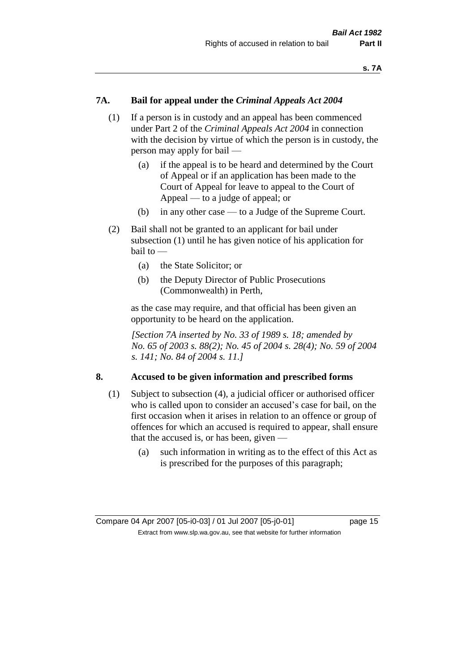#### **7A. Bail for appeal under the** *Criminal Appeals Act 2004*

- (1) If a person is in custody and an appeal has been commenced under Part 2 of the *Criminal Appeals Act 2004* in connection with the decision by virtue of which the person is in custody, the person may apply for bail —
	- (a) if the appeal is to be heard and determined by the Court of Appeal or if an application has been made to the Court of Appeal for leave to appeal to the Court of Appeal — to a judge of appeal; or
	- (b) in any other case to a Judge of the Supreme Court.
- (2) Bail shall not be granted to an applicant for bail under subsection (1) until he has given notice of his application for  $b$ ail to  $-$ 
	- (a) the State Solicitor; or
	- (b) the Deputy Director of Public Prosecutions (Commonwealth) in Perth,

as the case may require, and that official has been given an opportunity to be heard on the application.

*[Section 7A inserted by No. 33 of 1989 s. 18; amended by No. 65 of 2003 s. 88(2); No. 45 of 2004 s. 28(4); No. 59 of 2004 s. 141; No. 84 of 2004 s. 11.]* 

#### **8. Accused to be given information and prescribed forms**

- (1) Subject to subsection (4), a judicial officer or authorised officer who is called upon to consider an accused's case for bail, on the first occasion when it arises in relation to an offence or group of offences for which an accused is required to appear, shall ensure that the accused is, or has been, given —
	- (a) such information in writing as to the effect of this Act as is prescribed for the purposes of this paragraph;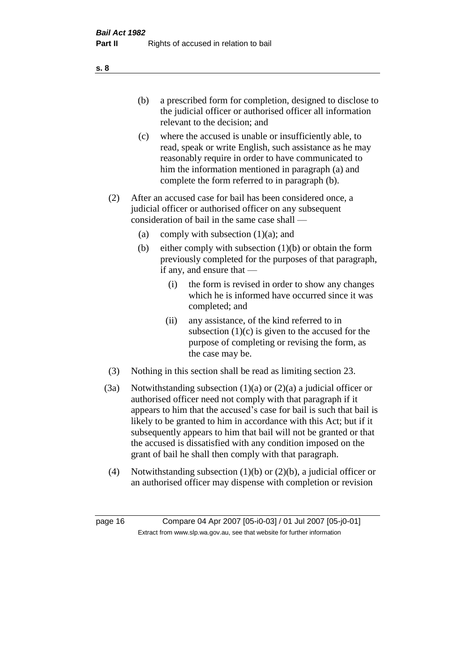- (b) a prescribed form for completion, designed to disclose to the judicial officer or authorised officer all information relevant to the decision; and
- (c) where the accused is unable or insufficiently able, to read, speak or write English, such assistance as he may reasonably require in order to have communicated to him the information mentioned in paragraph (a) and complete the form referred to in paragraph (b).
- (2) After an accused case for bail has been considered once, a judicial officer or authorised officer on any subsequent consideration of bail in the same case shall —
	- (a) comply with subsection  $(1)(a)$ ; and
	- (b) either comply with subsection (1)(b) or obtain the form previously completed for the purposes of that paragraph, if any, and ensure that —
		- (i) the form is revised in order to show any changes which he is informed have occurred since it was completed; and
		- (ii) any assistance, of the kind referred to in subsection  $(1)(c)$  is given to the accused for the purpose of completing or revising the form, as the case may be.
- (3) Nothing in this section shall be read as limiting section 23.
- (3a) Notwithstanding subsection  $(1)(a)$  or  $(2)(a)$  a judicial officer or authorised officer need not comply with that paragraph if it appears to him that the accused's case for bail is such that bail is likely to be granted to him in accordance with this Act; but if it subsequently appears to him that bail will not be granted or that the accused is dissatisfied with any condition imposed on the grant of bail he shall then comply with that paragraph.
- (4) Notwithstanding subsection (1)(b) or (2)(b), a judicial officer or an authorised officer may dispense with completion or revision

page 16 Compare 04 Apr 2007 [05-i0-03] / 01 Jul 2007 [05-j0-01] Extract from www.slp.wa.gov.au, see that website for further information

**s. 8**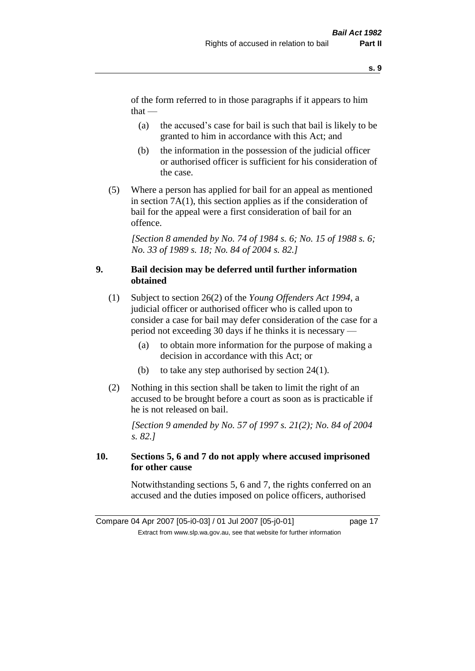of the form referred to in those paragraphs if it appears to him  $that -$ 

- (a) the accused's case for bail is such that bail is likely to be granted to him in accordance with this Act; and
- (b) the information in the possession of the judicial officer or authorised officer is sufficient for his consideration of the case.
- (5) Where a person has applied for bail for an appeal as mentioned in section 7A(1), this section applies as if the consideration of bail for the appeal were a first consideration of bail for an offence.

*[Section 8 amended by No. 74 of 1984 s. 6; No. 15 of 1988 s. 6; No. 33 of 1989 s. 18; No. 84 of 2004 s. 82.]* 

#### **9. Bail decision may be deferred until further information obtained**

- (1) Subject to section 26(2) of the *Young Offenders Act 1994*, a judicial officer or authorised officer who is called upon to consider a case for bail may defer consideration of the case for a period not exceeding 30 days if he thinks it is necessary —
	- (a) to obtain more information for the purpose of making a decision in accordance with this Act; or
	- (b) to take any step authorised by section 24(1).
- (2) Nothing in this section shall be taken to limit the right of an accused to be brought before a court as soon as is practicable if he is not released on bail.

*[Section 9 amended by No. 57 of 1997 s. 21(2); No. 84 of 2004 s. 82.]*

#### **10. Sections 5, 6 and 7 do not apply where accused imprisoned for other cause**

Notwithstanding sections 5, 6 and 7, the rights conferred on an accused and the duties imposed on police officers, authorised

Compare 04 Apr 2007 [05-i0-03] / 01 Jul 2007 [05-j0-01] page 17 Extract from www.slp.wa.gov.au, see that website for further information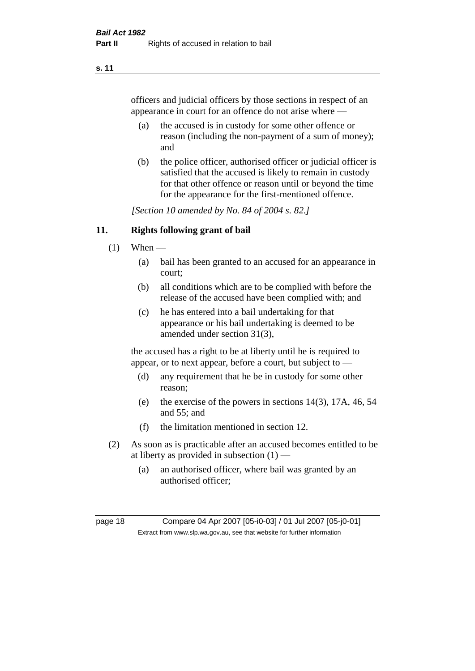officers and judicial officers by those sections in respect of an appearance in court for an offence do not arise where —

- (a) the accused is in custody for some other offence or reason (including the non-payment of a sum of money); and
- (b) the police officer, authorised officer or judicial officer is satisfied that the accused is likely to remain in custody for that other offence or reason until or beyond the time for the appearance for the first-mentioned offence.

*[Section 10 amended by No. 84 of 2004 s. 82.]*

#### **11. Rights following grant of bail**

- $(1)$  When
	- (a) bail has been granted to an accused for an appearance in court;
	- (b) all conditions which are to be complied with before the release of the accused have been complied with; and
	- (c) he has entered into a bail undertaking for that appearance or his bail undertaking is deemed to be amended under section 31(3),

the accused has a right to be at liberty until he is required to appear, or to next appear, before a court, but subject to —

- (d) any requirement that he be in custody for some other reason;
- (e) the exercise of the powers in sections 14(3), 17A, 46, 54 and 55; and
- (f) the limitation mentioned in section 12.
- (2) As soon as is practicable after an accused becomes entitled to be at liberty as provided in subsection  $(1)$  —
	- (a) an authorised officer, where bail was granted by an authorised officer;

page 18 Compare 04 Apr 2007 [05-i0-03] / 01 Jul 2007 [05-j0-01] Extract from www.slp.wa.gov.au, see that website for further information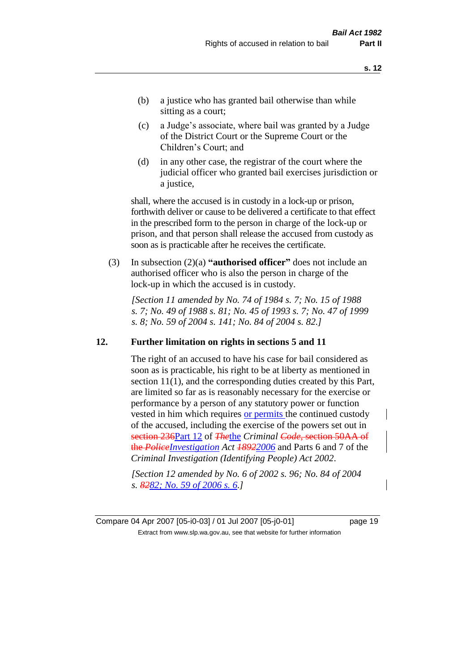- (b) a justice who has granted bail otherwise than while sitting as a court:
- (c) a Judge's associate, where bail was granted by a Judge of the District Court or the Supreme Court or the Children's Court; and
- (d) in any other case, the registrar of the court where the judicial officer who granted bail exercises jurisdiction or a justice,

shall, where the accused is in custody in a lock-up or prison, forthwith deliver or cause to be delivered a certificate to that effect in the prescribed form to the person in charge of the lock-up or prison, and that person shall release the accused from custody as soon as is practicable after he receives the certificate.

(3) In subsection (2)(a) **"authorised officer"** does not include an authorised officer who is also the person in charge of the lock-up in which the accused is in custody.

*[Section 11 amended by No. 74 of 1984 s. 7; No. 15 of 1988 s. 7; No. 49 of 1988 s. 81; No. 45 of 1993 s. 7; No. 47 of 1999 s. 8; No. 59 of 2004 s. 141; No. 84 of 2004 s. 82.]* 

#### **12. Further limitation on rights in sections 5 and 11**

The right of an accused to have his case for bail considered as soon as is practicable, his right to be at liberty as mentioned in section 11(1), and the corresponding duties created by this Part, are limited so far as is reasonably necessary for the exercise or performance by a person of any statutory power or function vested in him which requires or permits the continued custody of the accused, including the exercise of the powers set out in section 236Part 12 of *The*the *Criminal Code*, section 50AA of the *PoliceInvestigation Act 18922006* and Parts 6 and 7 of the *Criminal Investigation (Identifying People) Act 2002*.

*[Section 12 amended by No. 6 of 2002 s. 96; No. 84 of 2004 s. 8282; No. 59 of 2006 s. 6.]*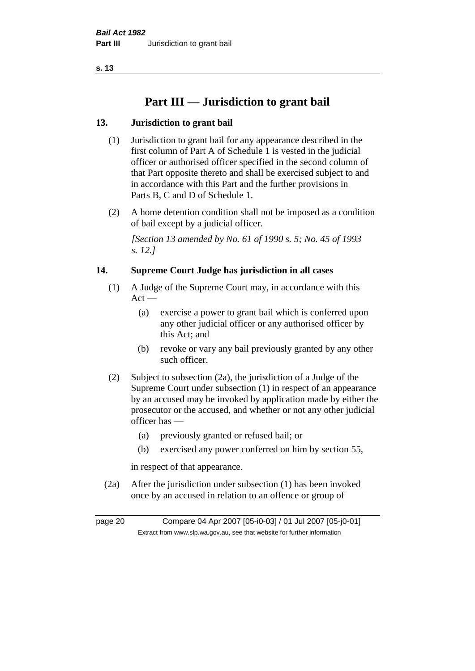# **Part III — Jurisdiction to grant bail**

#### **13. Jurisdiction to grant bail**

- (1) Jurisdiction to grant bail for any appearance described in the first column of Part A of Schedule 1 is vested in the judicial officer or authorised officer specified in the second column of that Part opposite thereto and shall be exercised subject to and in accordance with this Part and the further provisions in Parts B, C and D of Schedule 1.
- (2) A home detention condition shall not be imposed as a condition of bail except by a judicial officer.

*[Section 13 amended by No. 61 of 1990 s. 5; No. 45 of 1993 s. 12.]* 

#### **14. Supreme Court Judge has jurisdiction in all cases**

- (1) A Judge of the Supreme Court may, in accordance with this  $Act -$ 
	- (a) exercise a power to grant bail which is conferred upon any other judicial officer or any authorised officer by this Act; and
	- (b) revoke or vary any bail previously granted by any other such officer.
- (2) Subject to subsection (2a), the jurisdiction of a Judge of the Supreme Court under subsection (1) in respect of an appearance by an accused may be invoked by application made by either the prosecutor or the accused, and whether or not any other judicial officer has —
	- (a) previously granted or refused bail; or
	- (b) exercised any power conferred on him by section 55,

in respect of that appearance.

(2a) After the jurisdiction under subsection (1) has been invoked once by an accused in relation to an offence or group of

page 20 Compare 04 Apr 2007 [05-i0-03] / 01 Jul 2007 [05-j0-01] Extract from www.slp.wa.gov.au, see that website for further information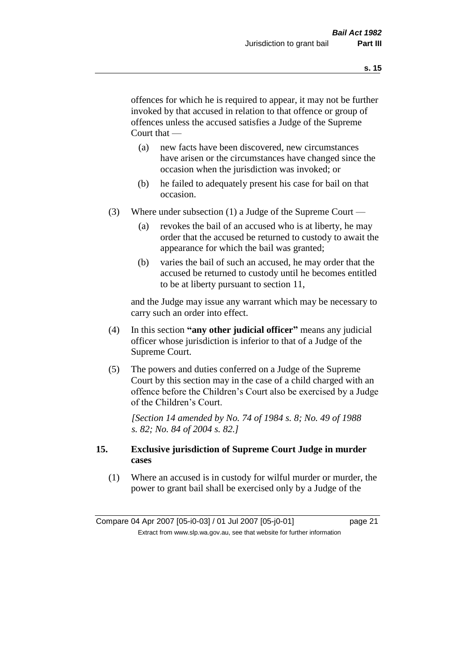offences for which he is required to appear, it may not be further invoked by that accused in relation to that offence or group of offences unless the accused satisfies a Judge of the Supreme Court that —

- (a) new facts have been discovered, new circumstances have arisen or the circumstances have changed since the occasion when the jurisdiction was invoked; or
- (b) he failed to adequately present his case for bail on that occasion.
- (3) Where under subsection (1) a Judge of the Supreme Court
	- (a) revokes the bail of an accused who is at liberty, he may order that the accused be returned to custody to await the appearance for which the bail was granted;
	- (b) varies the bail of such an accused, he may order that the accused be returned to custody until he becomes entitled to be at liberty pursuant to section 11,

and the Judge may issue any warrant which may be necessary to carry such an order into effect.

- (4) In this section **"any other judicial officer"** means any judicial officer whose jurisdiction is inferior to that of a Judge of the Supreme Court.
- (5) The powers and duties conferred on a Judge of the Supreme Court by this section may in the case of a child charged with an offence before the Children's Court also be exercised by a Judge of the Children's Court.

*[Section 14 amended by No. 74 of 1984 s. 8; No. 49 of 1988 s. 82; No. 84 of 2004 s. 82.]* 

#### **15. Exclusive jurisdiction of Supreme Court Judge in murder cases**

(1) Where an accused is in custody for wilful murder or murder, the power to grant bail shall be exercised only by a Judge of the

Compare 04 Apr 2007 [05-i0-03] / 01 Jul 2007 [05-j0-01] page 21 Extract from www.slp.wa.gov.au, see that website for further information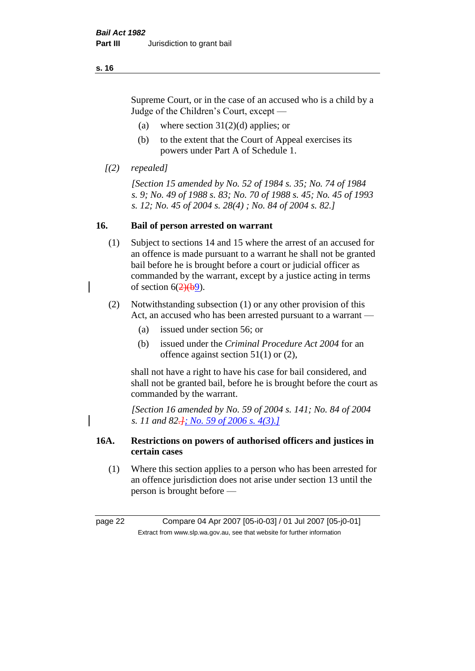Supreme Court, or in the case of an accused who is a child by a Judge of the Children's Court, except —

- (a) where section  $31(2)(d)$  applies; or
- (b) to the extent that the Court of Appeal exercises its powers under Part A of Schedule 1.
- *[(2) repealed]*

*[Section 15 amended by No. 52 of 1984 s. 35; No. 74 of 1984 s. 9; No. 49 of 1988 s. 83; No. 70 of 1988 s. 45; No. 45 of 1993 s. 12; No. 45 of 2004 s. 28(4) ; No. 84 of 2004 s. 82.]* 

#### **16. Bail of person arrested on warrant**

- (1) Subject to sections 14 and 15 where the arrest of an accused for an offence is made pursuant to a warrant he shall not be granted bail before he is brought before a court or judicial officer as commanded by the warrant, except by a justice acting in terms of section  $6(2)(b9)$ .
- (2) Notwithstanding subsection (1) or any other provision of this Act, an accused who has been arrested pursuant to a warrant —
	- (a) issued under section 56; or
	- (b) issued under the *Criminal Procedure Act 2004* for an offence against section 51(1) or (2),

shall not have a right to have his case for bail considered, and shall not be granted bail, before he is brought before the court as commanded by the warrant.

*[Section 16 amended by No. 59 of 2004 s. 141; No. 84 of 2004 s. 11 and 82.]; No. 59 of 2006 s. 4(3).]*

#### **16A. Restrictions on powers of authorised officers and justices in certain cases**

(1) Where this section applies to a person who has been arrested for an offence jurisdiction does not arise under section 13 until the person is brought before —

page 22 Compare 04 Apr 2007 [05-i0-03] / 01 Jul 2007 [05-j0-01] Extract from www.slp.wa.gov.au, see that website for further information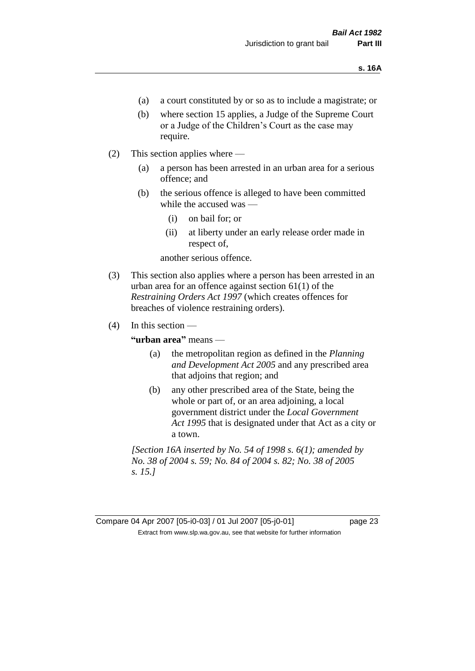- (a) a court constituted by or so as to include a magistrate; or
- (b) where section 15 applies, a Judge of the Supreme Court or a Judge of the Children's Court as the case may require.
- (2) This section applies where
	- (a) a person has been arrested in an urban area for a serious offence; and
	- (b) the serious offence is alleged to have been committed while the accused was —
		- (i) on bail for; or
		- (ii) at liberty under an early release order made in respect of,

another serious offence.

- (3) This section also applies where a person has been arrested in an urban area for an offence against section 61(1) of the *Restraining Orders Act 1997* (which creates offences for breaches of violence restraining orders).
- $(4)$  In this section —

**"urban area"** means —

- (a) the metropolitan region as defined in the *Planning and Development Act 2005* and any prescribed area that adjoins that region; and
- (b) any other prescribed area of the State, being the whole or part of, or an area adjoining, a local government district under the *Local Government Act 1995* that is designated under that Act as a city or a town.

*[Section 16A inserted by No. 54 of 1998 s. 6(1); amended by No. 38 of 2004 s. 59; No. 84 of 2004 s. 82; No. 38 of 2005 s. 15.]*

Compare 04 Apr 2007 [05-i0-03] / 01 Jul 2007 [05-j0-01] page 23 Extract from www.slp.wa.gov.au, see that website for further information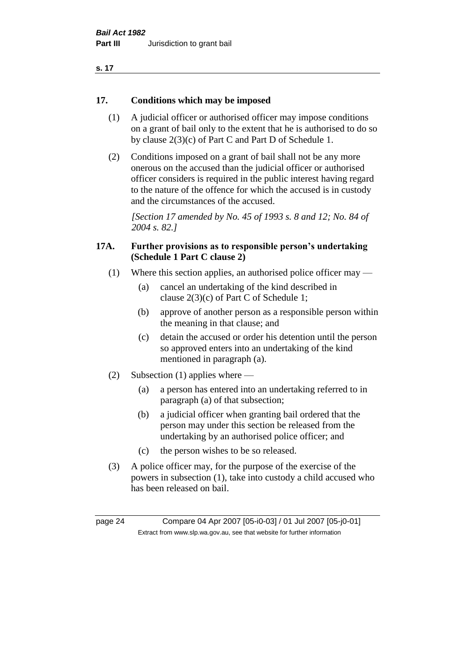| ×<br>. . |  |
|----------|--|
|----------|--|

#### **17. Conditions which may be imposed**

- (1) A judicial officer or authorised officer may impose conditions on a grant of bail only to the extent that he is authorised to do so by clause 2(3)(c) of Part C and Part D of Schedule 1.
- (2) Conditions imposed on a grant of bail shall not be any more onerous on the accused than the judicial officer or authorised officer considers is required in the public interest having regard to the nature of the offence for which the accused is in custody and the circumstances of the accused.

*[Section 17 amended by No. 45 of 1993 s. 8 and 12; No. 84 of 2004 s. 82.]* 

#### **17A. Further provisions as to responsible person's undertaking (Schedule 1 Part C clause 2)**

- (1) Where this section applies, an authorised police officer may
	- (a) cancel an undertaking of the kind described in clause 2(3)(c) of Part C of Schedule 1;
	- (b) approve of another person as a responsible person within the meaning in that clause; and
	- (c) detain the accused or order his detention until the person so approved enters into an undertaking of the kind mentioned in paragraph (a).
- (2) Subsection (1) applies where
	- (a) a person has entered into an undertaking referred to in paragraph (a) of that subsection;
	- (b) a judicial officer when granting bail ordered that the person may under this section be released from the undertaking by an authorised police officer; and
	- (c) the person wishes to be so released.
- (3) A police officer may, for the purpose of the exercise of the powers in subsection (1), take into custody a child accused who has been released on bail.

page 24 Compare 04 Apr 2007 [05-i0-03] / 01 Jul 2007 [05-j0-01] Extract from www.slp.wa.gov.au, see that website for further information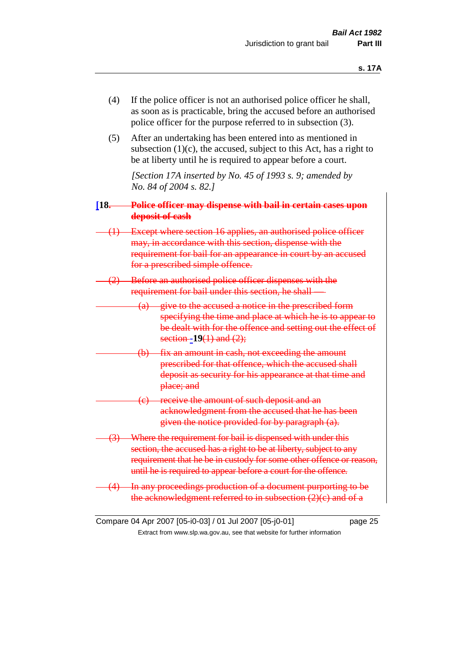- (4) If the police officer is not an authorised police officer he shall, as soon as is practicable, bring the accused before an authorised police officer for the purpose referred to in subsection (3).
- (5) After an undertaking has been entered into as mentioned in subsection  $(1)(c)$ , the accused, subject to this Act, has a right to be at liberty until he is required to appear before a court.

*[Section 17A inserted by No. 45 of 1993 s. 9; amended by No. 84 of 2004 s. 82.]* 

- **[18. Police officer may dispense with bail in certain cases upon deposit of cash**
- (1) Except where section 16 applies, an authorised police officer may, in accordance with this section, dispense with the requirement for bail for an appearance in court by an accused for a prescribed simple offence.
- Before an authorised police officer dispenses with the requirement for bail under this section, he shall
	- (a) give to the accused a notice in the prescribed form specifying the time and place at which he is to appear to be dealt with for the offence and setting out the effect of section **-19**(1) and (2);
	- fix an amount in cash, not exceeding the amount prescribed for that offence, which the accused shall deposit as security for his appearance at that time and place; and
	- (c) receive the amount of such deposit and an acknowledgment from the accused that he has been given the notice provided for by paragraph (a).
- Where the requirement for bail is dispensed with under this section, the accused has a right to be at liberty, subject to any requirement that he be in custody for some other offence or reason, until he is required to appear before a court for the offence.
- In any proceedings production of a document purporting to be the acknowledgment referred to in subsection  $(2)(c)$  and of a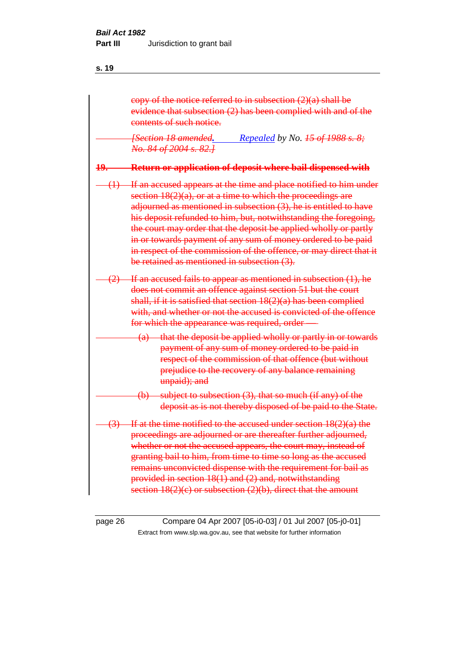|     | copy of the notice referred to in subsection $(2)(a)$ shall be<br>evidence that subsection (2) has been complied with and of the<br>contents of such notice.                                                                                                                                                                                                                                                                                                                                                                               |
|-----|--------------------------------------------------------------------------------------------------------------------------------------------------------------------------------------------------------------------------------------------------------------------------------------------------------------------------------------------------------------------------------------------------------------------------------------------------------------------------------------------------------------------------------------------|
|     | Repealed by No. 45 of 1988 s. 8;<br><b>[Section 18 amended,</b><br>No. 84 of 2004 s. 82.]                                                                                                                                                                                                                                                                                                                                                                                                                                                  |
| 19. | Return or application of deposit where bail dispensed with                                                                                                                                                                                                                                                                                                                                                                                                                                                                                 |
|     | $(1)$ If an accused appears at the time and place notified to him under<br>section $18(2)(a)$ , or at a time to which the proceedings are<br>adjourned as mentioned in subsection (3), he is entitled to have<br>his deposit refunded to him, but, notwithstanding the foregoing,<br>the court may order that the deposit be applied wholly or partly<br>in or towards payment of any sum of money ordered to be paid<br>in respect of the commission of the offence, or may direct that it<br>be retained as mentioned in subsection (3). |
|     | $(2)$ If an accused fails to appear as mentioned in subsection $(1)$ , he<br>does not commit an offence against section 51 but the court<br>shall, if it is satisfied that section $18(2)(a)$ has been complied<br>with, and whether or not the accused is convicted of the offence<br>for which the appearance was required, order-                                                                                                                                                                                                       |
|     | (a) that the deposit be applied wholly or partly in or towards<br>payment of any sum of money ordered to be paid in<br>respect of the commission of that offence (but without<br>prejudice to the recovery of any balance remaining<br>unpaid); and                                                                                                                                                                                                                                                                                        |
|     | $(b)$ subject to subsection $(3)$ , that so much $(if any)$ of the<br>deposit as is not thereby disposed of be paid to the State.                                                                                                                                                                                                                                                                                                                                                                                                          |
|     | $(3)$ If at the time notified to the accused under section $18(2)(a)$ the<br>proceedings are adjourned or are thereafter further adjourned,<br>whether or not the accused appears, the court may, instead of<br>granting bail to him, from time to time so long as the accused<br>remains unconvicted dispense with the requirement for bail as<br>provided in section $18(1)$ and $(2)$ and, notwithstanding<br>section $18(2)(c)$ or subsection $(2)(b)$ , direct that the amount                                                        |

page 26 Compare 04 Apr 2007 [05-i0-03] / 01 Jul 2007 [05-j0-01] Extract from www.slp.wa.gov.au, see that website for further information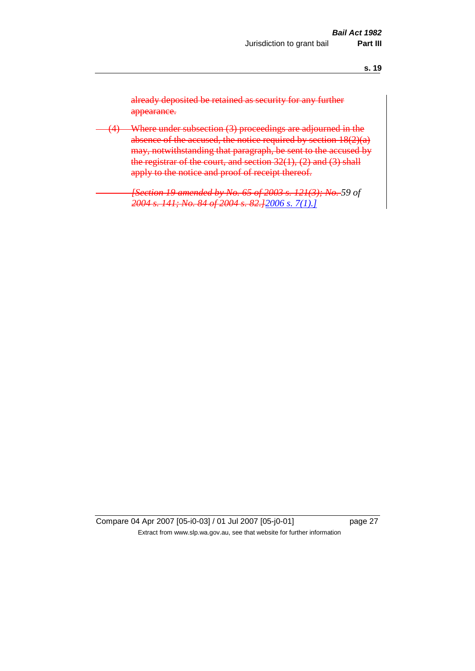already deposited be retained as security for any further appearance.

(4) Where under subsection (3) proceedings are adjourned in the absence of the accused, the notice required by section  $18(2)(a)$ may, notwithstanding that paragraph, be sent to the accused by the registrar of the court, and section 32(1), (2) and (3) shall apply to the notice and proof of receipt thereof.

> *[Section 19 amended by No. 65 of 2003 s. 121(3); No. 59 of 2004 s. 141; No. 84 of 2004 s. 82.]2006 s. 7(1).]*

Compare 04 Apr 2007 [05-i0-03] / 01 Jul 2007 [05-j0-01] page 27 Extract from www.slp.wa.gov.au, see that website for further information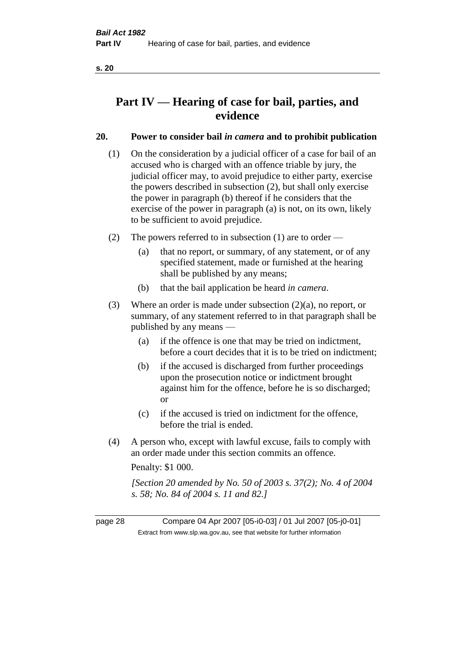# **Part IV — Hearing of case for bail, parties, and evidence**

#### **20. Power to consider bail** *in camera* **and to prohibit publication**

- (1) On the consideration by a judicial officer of a case for bail of an accused who is charged with an offence triable by jury, the judicial officer may, to avoid prejudice to either party, exercise the powers described in subsection (2), but shall only exercise the power in paragraph (b) thereof if he considers that the exercise of the power in paragraph (a) is not, on its own, likely to be sufficient to avoid prejudice.
- (2) The powers referred to in subsection (1) are to order
	- (a) that no report, or summary, of any statement, or of any specified statement, made or furnished at the hearing shall be published by any means;
	- (b) that the bail application be heard *in camera*.
- (3) Where an order is made under subsection (2)(a), no report, or summary, of any statement referred to in that paragraph shall be published by any means —
	- (a) if the offence is one that may be tried on indictment, before a court decides that it is to be tried on indictment;
	- (b) if the accused is discharged from further proceedings upon the prosecution notice or indictment brought against him for the offence, before he is so discharged; or
	- (c) if the accused is tried on indictment for the offence, before the trial is ended.
- (4) A person who, except with lawful excuse, fails to comply with an order made under this section commits an offence.

Penalty: \$1 000.

*[Section 20 amended by No. 50 of 2003 s. 37(2); No. 4 of 2004 s. 58; No. 84 of 2004 s. 11 and 82.]*

page 28 Compare 04 Apr 2007 [05-i0-03] / 01 Jul 2007 [05-j0-01] Extract from www.slp.wa.gov.au, see that website for further information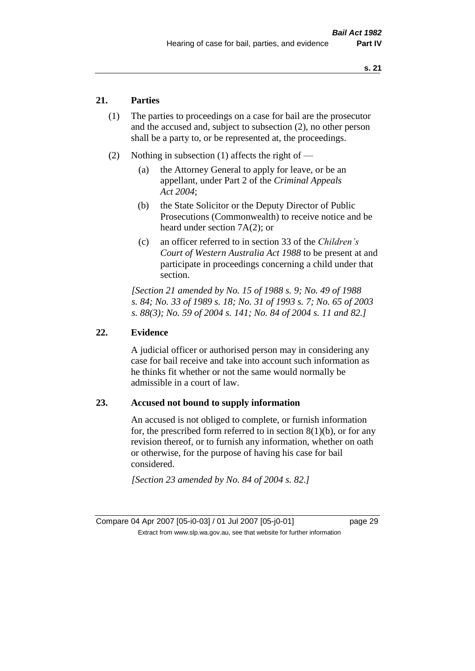#### **21. Parties**

- (1) The parties to proceedings on a case for bail are the prosecutor and the accused and, subject to subsection (2), no other person shall be a party to, or be represented at, the proceedings.
- (2) Nothing in subsection (1) affects the right of
	- (a) the Attorney General to apply for leave, or be an appellant, under Part 2 of the *Criminal Appeals Act 2004*;
	- (b) the State Solicitor or the Deputy Director of Public Prosecutions (Commonwealth) to receive notice and be heard under section 7A(2); or
	- (c) an officer referred to in section 33 of the *Children's Court of Western Australia Act 1988* to be present at and participate in proceedings concerning a child under that section.

*[Section 21 amended by No. 15 of 1988 s. 9; No. 49 of 1988 s. 84; No. 33 of 1989 s. 18; No. 31 of 1993 s. 7; No. 65 of 2003 s. 88(3); No. 59 of 2004 s. 141; No. 84 of 2004 s. 11 and 82.]* 

#### **22. Evidence**

A judicial officer or authorised person may in considering any case for bail receive and take into account such information as he thinks fit whether or not the same would normally be admissible in a court of law.

#### **23. Accused not bound to supply information**

An accused is not obliged to complete, or furnish information for, the prescribed form referred to in section  $8(1)(b)$ , or for any revision thereof, or to furnish any information, whether on oath or otherwise, for the purpose of having his case for bail considered.

*[Section 23 amended by No. 84 of 2004 s. 82.]*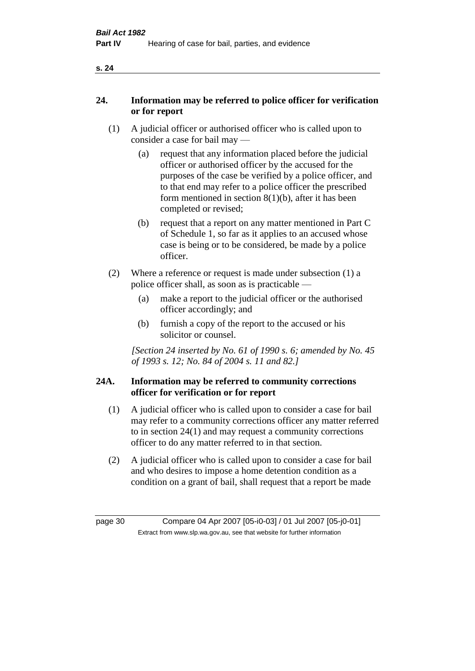| ×<br>. .<br>v |
|---------------|
|---------------|

#### **24. Information may be referred to police officer for verification or for report**

- (1) A judicial officer or authorised officer who is called upon to consider a case for bail may —
	- (a) request that any information placed before the judicial officer or authorised officer by the accused for the purposes of the case be verified by a police officer, and to that end may refer to a police officer the prescribed form mentioned in section 8(1)(b), after it has been completed or revised;
	- (b) request that a report on any matter mentioned in Part C of Schedule 1, so far as it applies to an accused whose case is being or to be considered, be made by a police officer.
- (2) Where a reference or request is made under subsection (1) a police officer shall, as soon as is practicable —
	- (a) make a report to the judicial officer or the authorised officer accordingly; and
	- (b) furnish a copy of the report to the accused or his solicitor or counsel.

*[Section 24 inserted by No. 61 of 1990 s. 6; amended by No. 45 of 1993 s. 12; No. 84 of 2004 s. 11 and 82.]* 

#### **24A. Information may be referred to community corrections officer for verification or for report**

- (1) A judicial officer who is called upon to consider a case for bail may refer to a community corrections officer any matter referred to in section 24(1) and may request a community corrections officer to do any matter referred to in that section.
- (2) A judicial officer who is called upon to consider a case for bail and who desires to impose a home detention condition as a condition on a grant of bail, shall request that a report be made

page 30 Compare 04 Apr 2007 [05-i0-03] / 01 Jul 2007 [05-j0-01] Extract from www.slp.wa.gov.au, see that website for further information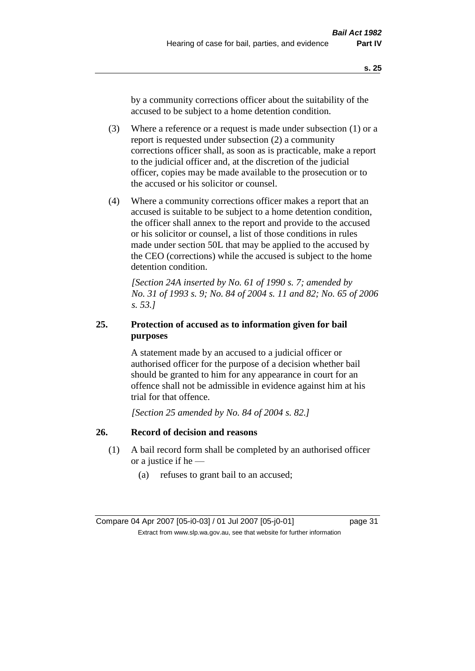by a community corrections officer about the suitability of the accused to be subject to a home detention condition.

- (3) Where a reference or a request is made under subsection (1) or a report is requested under subsection (2) a community corrections officer shall, as soon as is practicable, make a report to the judicial officer and, at the discretion of the judicial officer, copies may be made available to the prosecution or to the accused or his solicitor or counsel.
- (4) Where a community corrections officer makes a report that an accused is suitable to be subject to a home detention condition, the officer shall annex to the report and provide to the accused or his solicitor or counsel, a list of those conditions in rules made under section 50L that may be applied to the accused by the CEO (corrections) while the accused is subject to the home detention condition.

*[Section 24A inserted by No. 61 of 1990 s. 7; amended by No. 31 of 1993 s. 9; No. 84 of 2004 s. 11 and 82; No. 65 of 2006 s. 53.]* 

#### **25. Protection of accused as to information given for bail purposes**

A statement made by an accused to a judicial officer or authorised officer for the purpose of a decision whether bail should be granted to him for any appearance in court for an offence shall not be admissible in evidence against him at his trial for that offence.

*[Section 25 amended by No. 84 of 2004 s. 82.]* 

### **26. Record of decision and reasons**

- (1) A bail record form shall be completed by an authorised officer or a justice if he —
	- (a) refuses to grant bail to an accused;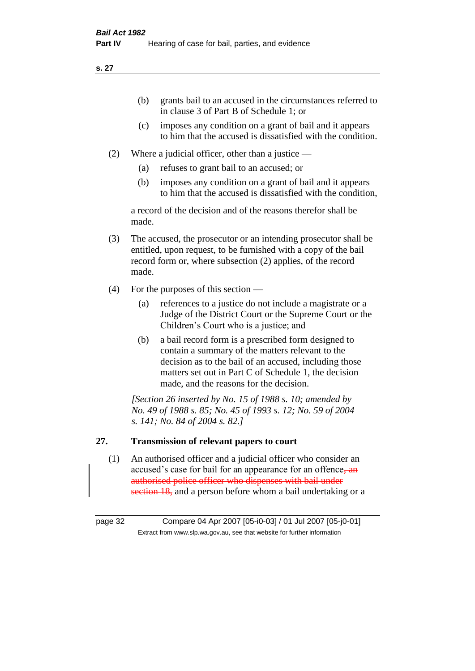- (b) grants bail to an accused in the circumstances referred to in clause 3 of Part B of Schedule 1; or
- (c) imposes any condition on a grant of bail and it appears to him that the accused is dissatisfied with the condition.
- (2) Where a judicial officer, other than a justice
	- (a) refuses to grant bail to an accused; or
	- (b) imposes any condition on a grant of bail and it appears to him that the accused is dissatisfied with the condition,

a record of the decision and of the reasons therefor shall be made.

- (3) The accused, the prosecutor or an intending prosecutor shall be entitled, upon request, to be furnished with a copy of the bail record form or, where subsection (2) applies, of the record made.
- (4) For the purposes of this section
	- (a) references to a justice do not include a magistrate or a Judge of the District Court or the Supreme Court or the Children's Court who is a justice; and
	- (b) a bail record form is a prescribed form designed to contain a summary of the matters relevant to the decision as to the bail of an accused, including those matters set out in Part C of Schedule 1, the decision made, and the reasons for the decision.

*[Section 26 inserted by No. 15 of 1988 s. 10; amended by No. 49 of 1988 s. 85; No. 45 of 1993 s. 12; No. 59 of 2004 s. 141; No. 84 of 2004 s. 82.]* 

### **27. Transmission of relevant papers to court**

(1) An authorised officer and a judicial officer who consider an accused's case for bail for an appearance for an offence<del>, an</del> authorised police officer who dispenses with bail under section 18, and a person before whom a bail undertaking or a

page 32 Compare 04 Apr 2007 [05-i0-03] / 01 Jul 2007 [05-j0-01] Extract from www.slp.wa.gov.au, see that website for further information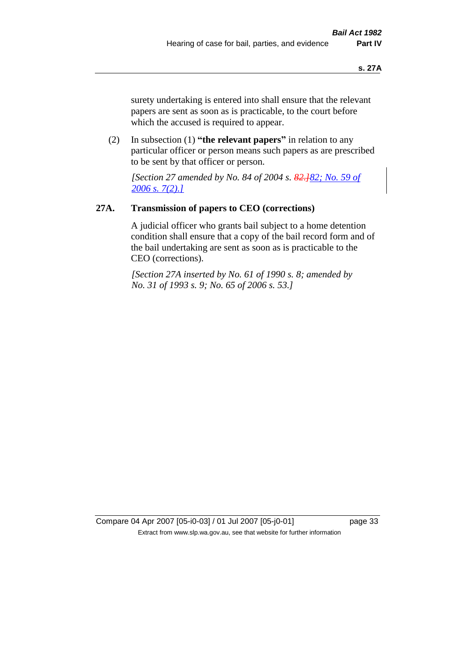surety undertaking is entered into shall ensure that the relevant papers are sent as soon as is practicable, to the court before which the accused is required to appear.

(2) In subsection (1) **"the relevant papers"** in relation to any particular officer or person means such papers as are prescribed to be sent by that officer or person.

*[Section 27 amended by No. 84 of 2004 s. 82.]82; No. 59 of 2006 s. 7(2).]*

#### **27A. Transmission of papers to CEO (corrections)**

A judicial officer who grants bail subject to a home detention condition shall ensure that a copy of the bail record form and of the bail undertaking are sent as soon as is practicable to the CEO (corrections).

*[Section 27A inserted by No. 61 of 1990 s. 8; amended by No. 31 of 1993 s. 9; No. 65 of 2006 s. 53.]* 

Compare 04 Apr 2007 [05-i0-03] / 01 Jul 2007 [05-j0-01] page 33 Extract from www.slp.wa.gov.au, see that website for further information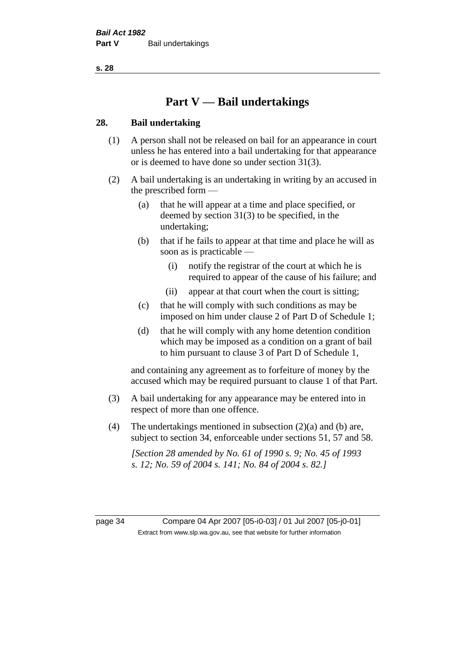# **Part V — Bail undertakings**

#### **28. Bail undertaking**

- (1) A person shall not be released on bail for an appearance in court unless he has entered into a bail undertaking for that appearance or is deemed to have done so under section 31(3).
- (2) A bail undertaking is an undertaking in writing by an accused in the prescribed form —
	- (a) that he will appear at a time and place specified, or deemed by section 31(3) to be specified, in the undertaking;
	- (b) that if he fails to appear at that time and place he will as soon as is practicable —
		- (i) notify the registrar of the court at which he is required to appear of the cause of his failure; and
		- (ii) appear at that court when the court is sitting;
	- (c) that he will comply with such conditions as may be imposed on him under clause 2 of Part D of Schedule 1;
	- (d) that he will comply with any home detention condition which may be imposed as a condition on a grant of bail to him pursuant to clause 3 of Part D of Schedule 1,

and containing any agreement as to forfeiture of money by the accused which may be required pursuant to clause 1 of that Part.

- (3) A bail undertaking for any appearance may be entered into in respect of more than one offence.
- (4) The undertakings mentioned in subsection (2)(a) and (b) are, subject to section 34, enforceable under sections 51, 57 and 58.

*[Section 28 amended by No. 61 of 1990 s. 9; No. 45 of 1993 s. 12; No. 59 of 2004 s. 141; No. 84 of 2004 s. 82.]* 

page 34 Compare 04 Apr 2007 [05-i0-03] / 01 Jul 2007 [05-j0-01] Extract from www.slp.wa.gov.au, see that website for further information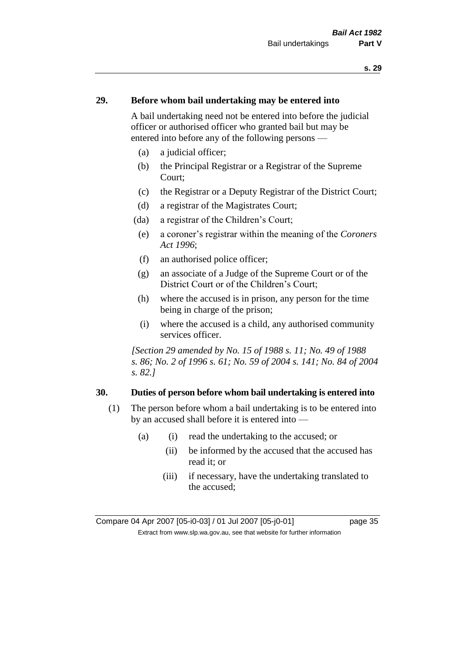## **29. Before whom bail undertaking may be entered into**

A bail undertaking need not be entered into before the judicial officer or authorised officer who granted bail but may be entered into before any of the following persons —

- (a) a judicial officer;
- (b) the Principal Registrar or a Registrar of the Supreme Court;
- (c) the Registrar or a Deputy Registrar of the District Court;
- (d) a registrar of the Magistrates Court;
- (da) a registrar of the Children's Court;
- (e) a coroner's registrar within the meaning of the *Coroners Act 1996*;
- (f) an authorised police officer;
- (g) an associate of a Judge of the Supreme Court or of the District Court or of the Children's Court;
- (h) where the accused is in prison, any person for the time being in charge of the prison;
- (i) where the accused is a child, any authorised community services officer.

*[Section 29 amended by No. 15 of 1988 s. 11; No. 49 of 1988 s. 86; No. 2 of 1996 s. 61; No. 59 of 2004 s. 141; No. 84 of 2004 s. 82.]* 

#### **30. Duties of person before whom bail undertaking is entered into**

- (1) The person before whom a bail undertaking is to be entered into by an accused shall before it is entered into —
	- (a) (i) read the undertaking to the accused; or
		- (ii) be informed by the accused that the accused has read it; or
		- (iii) if necessary, have the undertaking translated to the accused;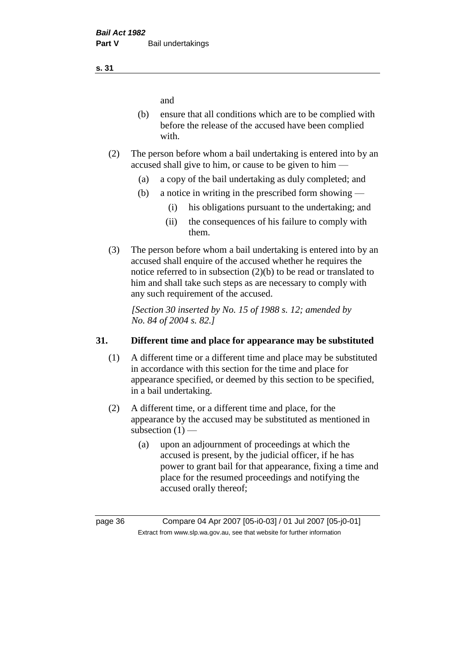and

- (b) ensure that all conditions which are to be complied with before the release of the accused have been complied with.
- (2) The person before whom a bail undertaking is entered into by an accused shall give to him, or cause to be given to him —
	- (a) a copy of the bail undertaking as duly completed; and
	- (b) a notice in writing in the prescribed form showing
		- (i) his obligations pursuant to the undertaking; and
		- (ii) the consequences of his failure to comply with them.
- (3) The person before whom a bail undertaking is entered into by an accused shall enquire of the accused whether he requires the notice referred to in subsection (2)(b) to be read or translated to him and shall take such steps as are necessary to comply with any such requirement of the accused.

*[Section 30 inserted by No. 15 of 1988 s. 12; amended by No. 84 of 2004 s. 82.]* 

## **31. Different time and place for appearance may be substituted**

- (1) A different time or a different time and place may be substituted in accordance with this section for the time and place for appearance specified, or deemed by this section to be specified, in a bail undertaking.
- (2) A different time, or a different time and place, for the appearance by the accused may be substituted as mentioned in subsection  $(1)$  —
	- (a) upon an adjournment of proceedings at which the accused is present, by the judicial officer, if he has power to grant bail for that appearance, fixing a time and place for the resumed proceedings and notifying the accused orally thereof;

**s. 31**

page 36 Compare 04 Apr 2007 [05-i0-03] / 01 Jul 2007 [05-j0-01] Extract from www.slp.wa.gov.au, see that website for further information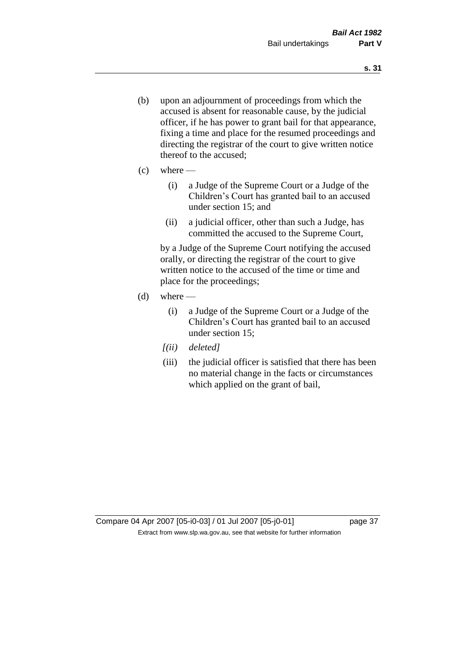- (b) upon an adjournment of proceedings from which the accused is absent for reasonable cause, by the judicial officer, if he has power to grant bail for that appearance, fixing a time and place for the resumed proceedings and directing the registrar of the court to give written notice thereof to the accused;
- $(c)$  where
	- (i) a Judge of the Supreme Court or a Judge of the Children's Court has granted bail to an accused under section 15; and
	- (ii) a judicial officer, other than such a Judge, has committed the accused to the Supreme Court,

by a Judge of the Supreme Court notifying the accused orally, or directing the registrar of the court to give written notice to the accused of the time or time and place for the proceedings;

- $(d)$  where
	- (i) a Judge of the Supreme Court or a Judge of the Children's Court has granted bail to an accused under section 15;
	- *[(ii) deleted]*
	- (iii) the judicial officer is satisfied that there has been no material change in the facts or circumstances which applied on the grant of bail,

Compare 04 Apr 2007 [05-i0-03] / 01 Jul 2007 [05-j0-01] page 37 Extract from www.slp.wa.gov.au, see that website for further information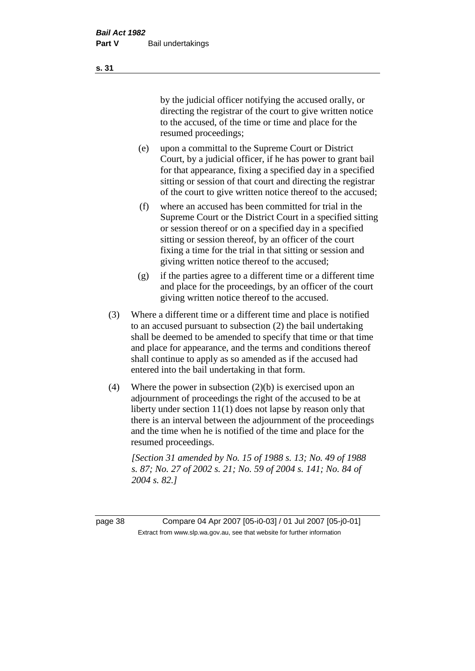by the judicial officer notifying the accused orally, or directing the registrar of the court to give written notice to the accused, of the time or time and place for the resumed proceedings;

- (e) upon a committal to the Supreme Court or District Court, by a judicial officer, if he has power to grant bail for that appearance, fixing a specified day in a specified sitting or session of that court and directing the registrar of the court to give written notice thereof to the accused;
- (f) where an accused has been committed for trial in the Supreme Court or the District Court in a specified sitting or session thereof or on a specified day in a specified sitting or session thereof, by an officer of the court fixing a time for the trial in that sitting or session and giving written notice thereof to the accused;
- (g) if the parties agree to a different time or a different time and place for the proceedings, by an officer of the court giving written notice thereof to the accused.
- (3) Where a different time or a different time and place is notified to an accused pursuant to subsection (2) the bail undertaking shall be deemed to be amended to specify that time or that time and place for appearance, and the terms and conditions thereof shall continue to apply as so amended as if the accused had entered into the bail undertaking in that form.
- (4) Where the power in subsection (2)(b) is exercised upon an adjournment of proceedings the right of the accused to be at liberty under section 11(1) does not lapse by reason only that there is an interval between the adjournment of the proceedings and the time when he is notified of the time and place for the resumed proceedings.

*[Section 31 amended by No. 15 of 1988 s. 13; No. 49 of 1988 s. 87; No. 27 of 2002 s. 21; No. 59 of 2004 s. 141; No. 84 of 2004 s. 82.]* 

page 38 Compare 04 Apr 2007 [05-i0-03] / 01 Jul 2007 [05-j0-01] Extract from www.slp.wa.gov.au, see that website for further information

**s. 31**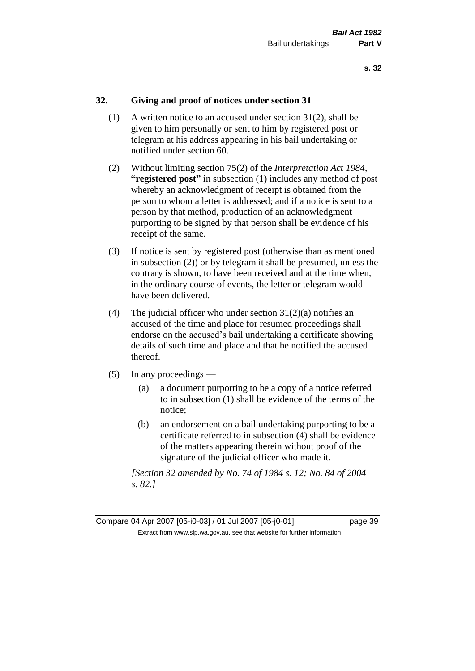# **32. Giving and proof of notices under section 31**

- (1) A written notice to an accused under section 31(2), shall be given to him personally or sent to him by registered post or telegram at his address appearing in his bail undertaking or notified under section 60.
- (2) Without limiting section 75(2) of the *Interpretation Act 1984*, **"registered post"** in subsection (1) includes any method of post whereby an acknowledgment of receipt is obtained from the person to whom a letter is addressed; and if a notice is sent to a person by that method, production of an acknowledgment purporting to be signed by that person shall be evidence of his receipt of the same.
- (3) If notice is sent by registered post (otherwise than as mentioned in subsection (2)) or by telegram it shall be presumed, unless the contrary is shown, to have been received and at the time when, in the ordinary course of events, the letter or telegram would have been delivered.
- (4) The judicial officer who under section  $31(2)(a)$  notifies an accused of the time and place for resumed proceedings shall endorse on the accused's bail undertaking a certificate showing details of such time and place and that he notified the accused thereof.
- (5) In any proceedings
	- (a) a document purporting to be a copy of a notice referred to in subsection (1) shall be evidence of the terms of the notice;
	- (b) an endorsement on a bail undertaking purporting to be a certificate referred to in subsection (4) shall be evidence of the matters appearing therein without proof of the signature of the judicial officer who made it.

*[Section 32 amended by No. 74 of 1984 s. 12; No. 84 of 2004 s. 82.]* 

Compare 04 Apr 2007 [05-i0-03] / 01 Jul 2007 [05-j0-01] page 39 Extract from www.slp.wa.gov.au, see that website for further information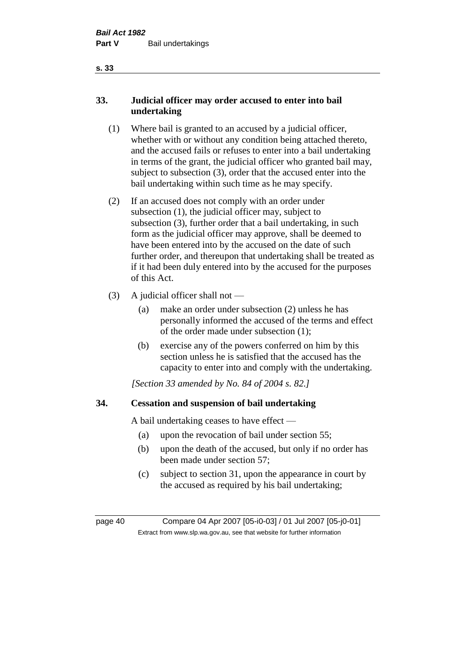# **33. Judicial officer may order accused to enter into bail undertaking**

- (1) Where bail is granted to an accused by a judicial officer, whether with or without any condition being attached thereto, and the accused fails or refuses to enter into a bail undertaking in terms of the grant, the judicial officer who granted bail may, subject to subsection (3), order that the accused enter into the bail undertaking within such time as he may specify.
- (2) If an accused does not comply with an order under subsection (1), the judicial officer may, subject to subsection (3), further order that a bail undertaking, in such form as the judicial officer may approve, shall be deemed to have been entered into by the accused on the date of such further order, and thereupon that undertaking shall be treated as if it had been duly entered into by the accused for the purposes of this Act.
- (3) A judicial officer shall not
	- (a) make an order under subsection (2) unless he has personally informed the accused of the terms and effect of the order made under subsection (1);
	- (b) exercise any of the powers conferred on him by this section unless he is satisfied that the accused has the capacity to enter into and comply with the undertaking.

*[Section 33 amended by No. 84 of 2004 s. 82.]* 

# **34. Cessation and suspension of bail undertaking**

A bail undertaking ceases to have effect —

- (a) upon the revocation of bail under section 55;
- (b) upon the death of the accused, but only if no order has been made under section 57;
- (c) subject to section 31, upon the appearance in court by the accused as required by his bail undertaking;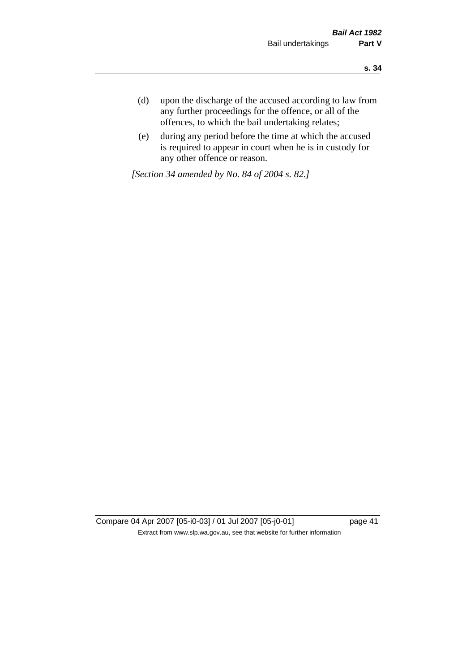- **s. 34**
- (d) upon the discharge of the accused according to law from any further proceedings for the offence, or all of the offences, to which the bail undertaking relates;
- (e) during any period before the time at which the accused is required to appear in court when he is in custody for any other offence or reason.

*[Section 34 amended by No. 84 of 2004 s. 82.]* 

Compare 04 Apr 2007 [05-i0-03] / 01 Jul 2007 [05-j0-01] page 41 Extract from www.slp.wa.gov.au, see that website for further information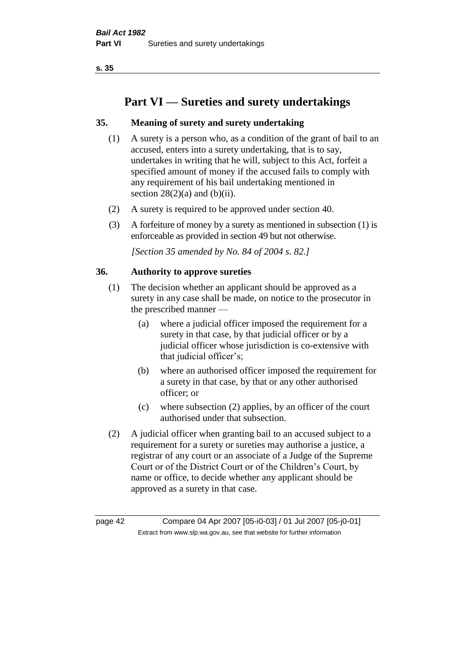# **Part VI — Sureties and surety undertakings**

# **35. Meaning of surety and surety undertaking**

- (1) A surety is a person who, as a condition of the grant of bail to an accused, enters into a surety undertaking, that is to say, undertakes in writing that he will, subject to this Act, forfeit a specified amount of money if the accused fails to comply with any requirement of his bail undertaking mentioned in section  $28(2)(a)$  and  $(b)(ii)$ .
- (2) A surety is required to be approved under section 40.
- (3) A forfeiture of money by a surety as mentioned in subsection (1) is enforceable as provided in section 49 but not otherwise.

*[Section 35 amended by No. 84 of 2004 s. 82.]* 

## **36. Authority to approve sureties**

- (1) The decision whether an applicant should be approved as a surety in any case shall be made, on notice to the prosecutor in the prescribed manner —
	- (a) where a judicial officer imposed the requirement for a surety in that case, by that judicial officer or by a judicial officer whose jurisdiction is co-extensive with that judicial officer's;
	- (b) where an authorised officer imposed the requirement for a surety in that case, by that or any other authorised officer; or
	- (c) where subsection (2) applies, by an officer of the court authorised under that subsection.
- (2) A judicial officer when granting bail to an accused subject to a requirement for a surety or sureties may authorise a justice, a registrar of any court or an associate of a Judge of the Supreme Court or of the District Court or of the Children's Court, by name or office, to decide whether any applicant should be approved as a surety in that case.

page 42 Compare 04 Apr 2007 [05-i0-03] / 01 Jul 2007 [05-j0-01] Extract from www.slp.wa.gov.au, see that website for further information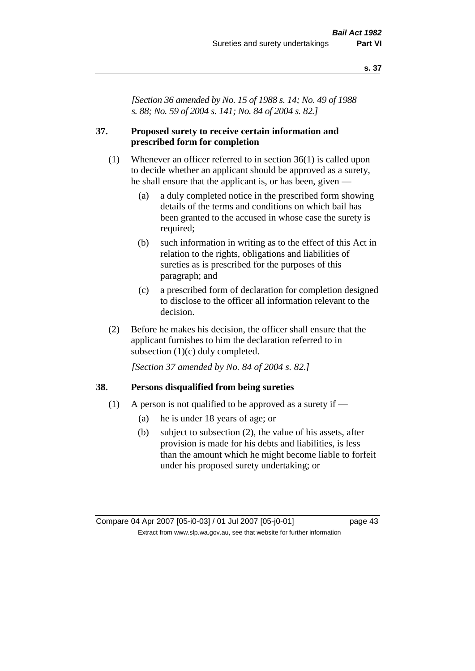*[Section 36 amended by No. 15 of 1988 s. 14; No. 49 of 1988 s. 88; No. 59 of 2004 s. 141; No. 84 of 2004 s. 82.]* 

## **37. Proposed surety to receive certain information and prescribed form for completion**

- (1) Whenever an officer referred to in section 36(1) is called upon to decide whether an applicant should be approved as a surety, he shall ensure that the applicant is, or has been, given —
	- (a) a duly completed notice in the prescribed form showing details of the terms and conditions on which bail has been granted to the accused in whose case the surety is required;
	- (b) such information in writing as to the effect of this Act in relation to the rights, obligations and liabilities of sureties as is prescribed for the purposes of this paragraph; and
	- (c) a prescribed form of declaration for completion designed to disclose to the officer all information relevant to the decision.
- (2) Before he makes his decision, the officer shall ensure that the applicant furnishes to him the declaration referred to in subsection (1)(c) duly completed.

*[Section 37 amended by No. 84 of 2004 s. 82.]* 

#### **38. Persons disqualified from being sureties**

- (1) A person is not qualified to be approved as a surety if  $-$ 
	- (a) he is under 18 years of age; or
	- (b) subject to subsection (2), the value of his assets, after provision is made for his debts and liabilities, is less than the amount which he might become liable to forfeit under his proposed surety undertaking; or

Compare 04 Apr 2007 [05-i0-03] / 01 Jul 2007 [05-j0-01] page 43 Extract from www.slp.wa.gov.au, see that website for further information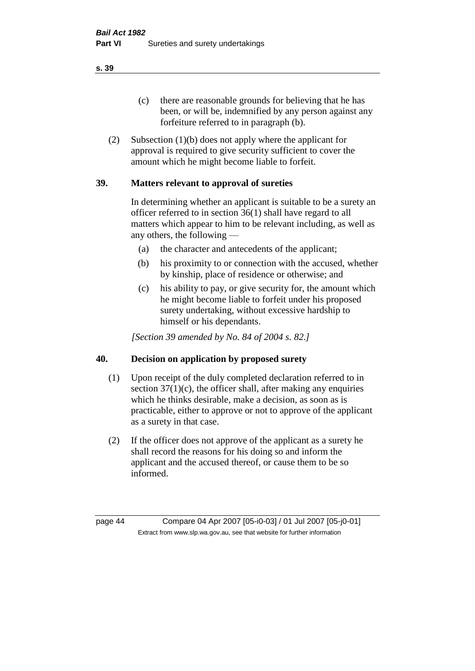(c) there are reasonable grounds for believing that he has been, or will be, indemnified by any person against any forfeiture referred to in paragraph (b).

(2) Subsection (1)(b) does not apply where the applicant for approval is required to give security sufficient to cover the amount which he might become liable to forfeit.

# **39. Matters relevant to approval of sureties**

In determining whether an applicant is suitable to be a surety an officer referred to in section 36(1) shall have regard to all matters which appear to him to be relevant including, as well as any others, the following —

- (a) the character and antecedents of the applicant;
- (b) his proximity to or connection with the accused, whether by kinship, place of residence or otherwise; and
- (c) his ability to pay, or give security for, the amount which he might become liable to forfeit under his proposed surety undertaking, without excessive hardship to himself or his dependants.

*[Section 39 amended by No. 84 of 2004 s. 82.]* 

## **40. Decision on application by proposed surety**

- (1) Upon receipt of the duly completed declaration referred to in section  $37(1)(c)$ , the officer shall, after making any enquiries which he thinks desirable, make a decision, as soon as is practicable, either to approve or not to approve of the applicant as a surety in that case.
- (2) If the officer does not approve of the applicant as a surety he shall record the reasons for his doing so and inform the applicant and the accused thereof, or cause them to be so informed.

page 44 Compare 04 Apr 2007 [05-i0-03] / 01 Jul 2007 [05-j0-01] Extract from www.slp.wa.gov.au, see that website for further information

**s. 39**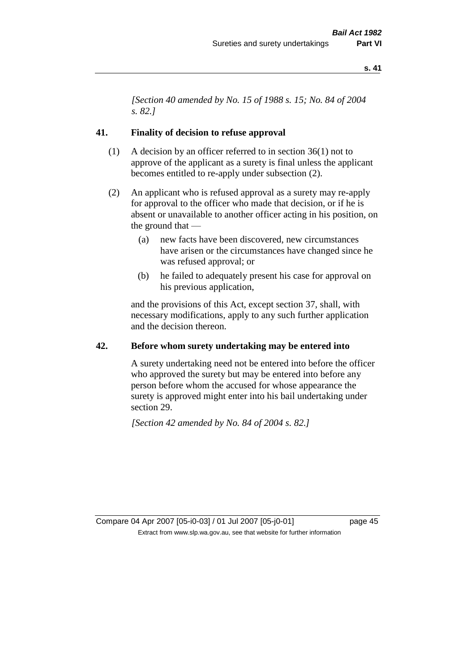*[Section 40 amended by No. 15 of 1988 s. 15; No. 84 of 2004 s. 82.]* 

#### **41. Finality of decision to refuse approval**

- (1) A decision by an officer referred to in section 36(1) not to approve of the applicant as a surety is final unless the applicant becomes entitled to re-apply under subsection (2).
- (2) An applicant who is refused approval as a surety may re-apply for approval to the officer who made that decision, or if he is absent or unavailable to another officer acting in his position, on the ground that —
	- (a) new facts have been discovered, new circumstances have arisen or the circumstances have changed since he was refused approval; or
	- (b) he failed to adequately present his case for approval on his previous application,

and the provisions of this Act, except section 37, shall, with necessary modifications, apply to any such further application and the decision thereon.

#### **42. Before whom surety undertaking may be entered into**

A surety undertaking need not be entered into before the officer who approved the surety but may be entered into before any person before whom the accused for whose appearance the surety is approved might enter into his bail undertaking under section 29.

*[Section 42 amended by No. 84 of 2004 s. 82.]* 

Compare 04 Apr 2007 [05-i0-03] / 01 Jul 2007 [05-j0-01] page 45 Extract from www.slp.wa.gov.au, see that website for further information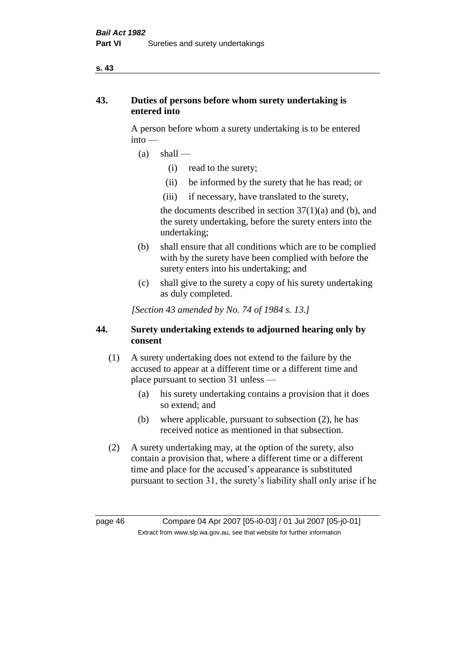# **43. Duties of persons before whom surety undertaking is entered into**

A person before whom a surety undertaking is to be entered into —

- $(a)$  shall
	- (i) read to the surety;
	- (ii) be informed by the surety that he has read; or
	- (iii) if necessary, have translated to the surety,

the documents described in section  $37(1)(a)$  and (b), and the surety undertaking, before the surety enters into the undertaking;

- (b) shall ensure that all conditions which are to be complied with by the surety have been complied with before the surety enters into his undertaking; and
- (c) shall give to the surety a copy of his surety undertaking as duly completed.

*[Section 43 amended by No. 74 of 1984 s. 13.]* 

# **44. Surety undertaking extends to adjourned hearing only by consent**

- (1) A surety undertaking does not extend to the failure by the accused to appear at a different time or a different time and place pursuant to section 31 unless —
	- (a) his surety undertaking contains a provision that it does so extend; and
	- (b) where applicable, pursuant to subsection (2), he has received notice as mentioned in that subsection.
- (2) A surety undertaking may, at the option of the surety, also contain a provision that, where a different time or a different time and place for the accused's appearance is substituted pursuant to section 31, the surety's liability shall only arise if he

page 46 Compare 04 Apr 2007 [05-i0-03] / 01 Jul 2007 [05-j0-01] Extract from www.slp.wa.gov.au, see that website for further information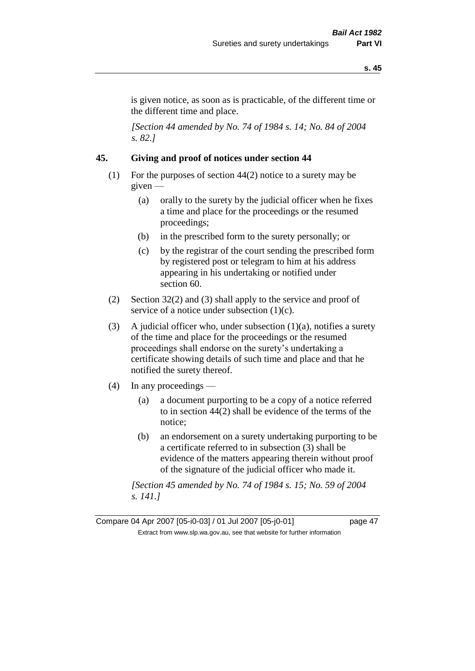is given notice, as soon as is practicable, of the different time or the different time and place.

*[Section 44 amended by No. 74 of 1984 s. 14; No. 84 of 2004 s. 82.]* 

# **45. Giving and proof of notices under section 44**

- (1) For the purposes of section 44(2) notice to a surety may be given —
	- (a) orally to the surety by the judicial officer when he fixes a time and place for the proceedings or the resumed proceedings;
	- (b) in the prescribed form to the surety personally; or
	- (c) by the registrar of the court sending the prescribed form by registered post or telegram to him at his address appearing in his undertaking or notified under section 60.
- (2) Section 32(2) and (3) shall apply to the service and proof of service of a notice under subsection  $(1)(c)$ .
- (3) A judicial officer who, under subsection  $(1)(a)$ , notifies a surety of the time and place for the proceedings or the resumed proceedings shall endorse on the surety's undertaking a certificate showing details of such time and place and that he notified the surety thereof.
- (4) In any proceedings
	- (a) a document purporting to be a copy of a notice referred to in section 44(2) shall be evidence of the terms of the notice;
	- (b) an endorsement on a surety undertaking purporting to be a certificate referred to in subsection (3) shall be evidence of the matters appearing therein without proof of the signature of the judicial officer who made it.

*[Section 45 amended by No. 74 of 1984 s. 15; No. 59 of 2004 s. 141.]* 

Compare 04 Apr 2007 [05-i0-03] / 01 Jul 2007 [05-j0-01] page 47 Extract from www.slp.wa.gov.au, see that website for further information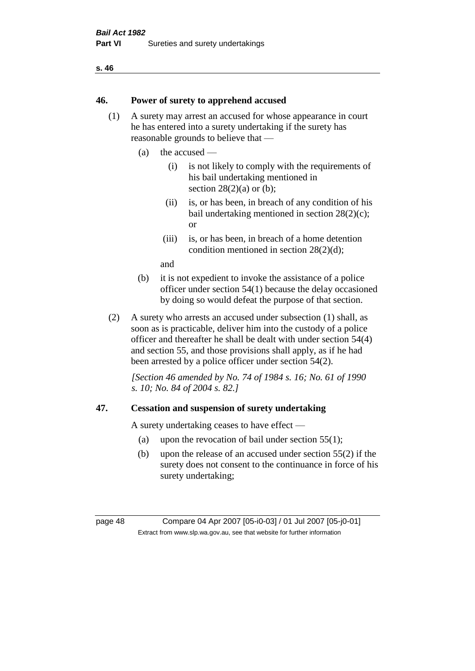#### **46. Power of surety to apprehend accused**

- (1) A surety may arrest an accused for whose appearance in court he has entered into a surety undertaking if the surety has reasonable grounds to believe that —
	- (a) the accused
		- (i) is not likely to comply with the requirements of his bail undertaking mentioned in section  $28(2)(a)$  or (b):
		- (ii) is, or has been, in breach of any condition of his bail undertaking mentioned in section 28(2)(c); or
		- (iii) is, or has been, in breach of a home detention condition mentioned in section 28(2)(d);

and

- (b) it is not expedient to invoke the assistance of a police officer under section 54(1) because the delay occasioned by doing so would defeat the purpose of that section.
- (2) A surety who arrests an accused under subsection (1) shall, as soon as is practicable, deliver him into the custody of a police officer and thereafter he shall be dealt with under section 54(4) and section 55, and those provisions shall apply, as if he had been arrested by a police officer under section 54(2).

*[Section 46 amended by No. 74 of 1984 s. 16; No. 61 of 1990 s. 10; No. 84 of 2004 s. 82.]* 

## **47. Cessation and suspension of surety undertaking**

A surety undertaking ceases to have effect —

- (a) upon the revocation of bail under section  $55(1)$ ;
- (b) upon the release of an accused under section 55(2) if the surety does not consent to the continuance in force of his surety undertaking;

page 48 Compare 04 Apr 2007 [05-i0-03] / 01 Jul 2007 [05-j0-01] Extract from www.slp.wa.gov.au, see that website for further information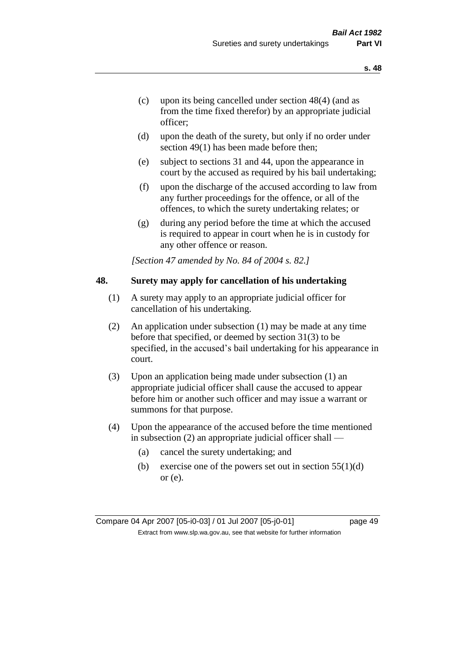- (c) upon its being cancelled under section 48(4) (and as from the time fixed therefor) by an appropriate judicial officer;
- (d) upon the death of the surety, but only if no order under section 49(1) has been made before then;
- (e) subject to sections 31 and 44, upon the appearance in court by the accused as required by his bail undertaking;
- (f) upon the discharge of the accused according to law from any further proceedings for the offence, or all of the offences, to which the surety undertaking relates; or
- (g) during any period before the time at which the accused is required to appear in court when he is in custody for any other offence or reason.

*[Section 47 amended by No. 84 of 2004 s. 82.]* 

## **48. Surety may apply for cancellation of his undertaking**

- (1) A surety may apply to an appropriate judicial officer for cancellation of his undertaking.
- (2) An application under subsection (1) may be made at any time before that specified, or deemed by section 31(3) to be specified, in the accused's bail undertaking for his appearance in court.
- (3) Upon an application being made under subsection (1) an appropriate judicial officer shall cause the accused to appear before him or another such officer and may issue a warrant or summons for that purpose.
- (4) Upon the appearance of the accused before the time mentioned in subsection (2) an appropriate judicial officer shall —
	- (a) cancel the surety undertaking; and
	- (b) exercise one of the powers set out in section  $55(1)(d)$ or (e).

Compare 04 Apr 2007 [05-i0-03] / 01 Jul 2007 [05-j0-01] page 49 Extract from www.slp.wa.gov.au, see that website for further information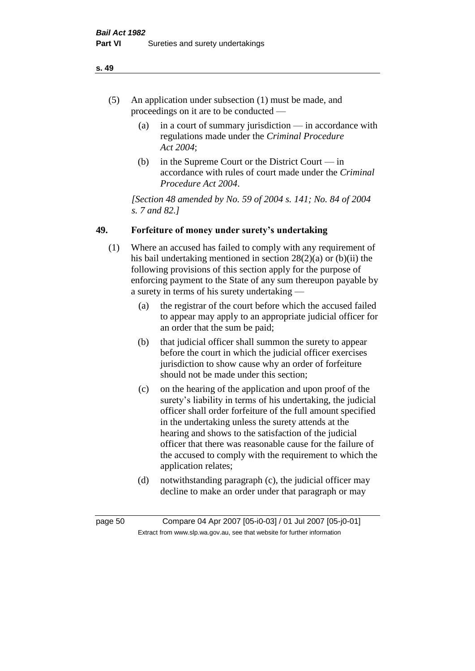- (5) An application under subsection (1) must be made, and proceedings on it are to be conducted —
	- (a) in a court of summary jurisdiction in accordance with regulations made under the *Criminal Procedure Act 2004*;
	- (b) in the Supreme Court or the District Court  $-\text{in}$ accordance with rules of court made under the *Criminal Procedure Act 2004*.

*[Section 48 amended by No. 59 of 2004 s. 141; No. 84 of 2004 s. 7 and 82.]* 

# **49. Forfeiture of money under surety's undertaking**

- (1) Where an accused has failed to comply with any requirement of his bail undertaking mentioned in section 28(2)(a) or (b)(ii) the following provisions of this section apply for the purpose of enforcing payment to the State of any sum thereupon payable by a surety in terms of his surety undertaking —
	- (a) the registrar of the court before which the accused failed to appear may apply to an appropriate judicial officer for an order that the sum be paid;
	- (b) that judicial officer shall summon the surety to appear before the court in which the judicial officer exercises jurisdiction to show cause why an order of forfeiture should not be made under this section;
	- (c) on the hearing of the application and upon proof of the surety's liability in terms of his undertaking, the judicial officer shall order forfeiture of the full amount specified in the undertaking unless the surety attends at the hearing and shows to the satisfaction of the judicial officer that there was reasonable cause for the failure of the accused to comply with the requirement to which the application relates;
	- (d) notwithstanding paragraph (c), the judicial officer may decline to make an order under that paragraph or may

page 50 Compare 04 Apr 2007 [05-i0-03] / 01 Jul 2007 [05-j0-01] Extract from www.slp.wa.gov.au, see that website for further information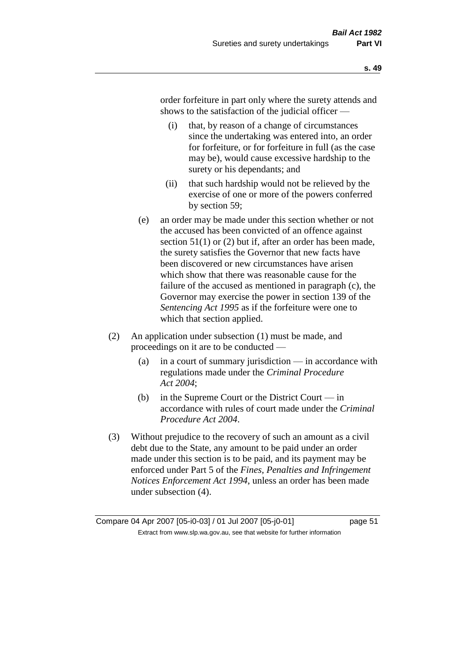order forfeiture in part only where the surety attends and shows to the satisfaction of the judicial officer —

- (i) that, by reason of a change of circumstances since the undertaking was entered into, an order for forfeiture, or for forfeiture in full (as the case may be), would cause excessive hardship to the surety or his dependants; and
- (ii) that such hardship would not be relieved by the exercise of one or more of the powers conferred by section 59;
- (e) an order may be made under this section whether or not the accused has been convicted of an offence against section 51(1) or (2) but if, after an order has been made, the surety satisfies the Governor that new facts have been discovered or new circumstances have arisen which show that there was reasonable cause for the failure of the accused as mentioned in paragraph (c), the Governor may exercise the power in section 139 of the *Sentencing Act 1995* as if the forfeiture were one to which that section applied.
- (2) An application under subsection (1) must be made, and proceedings on it are to be conducted —
	- (a) in a court of summary jurisdiction in accordance with regulations made under the *Criminal Procedure Act 2004*;
	- (b) in the Supreme Court or the District Court  $-\text{in}$ accordance with rules of court made under the *Criminal Procedure Act 2004*.
- (3) Without prejudice to the recovery of such an amount as a civil debt due to the State, any amount to be paid under an order made under this section is to be paid, and its payment may be enforced under Part 5 of the *Fines, Penalties and Infringement Notices Enforcement Act 1994*, unless an order has been made under subsection (4).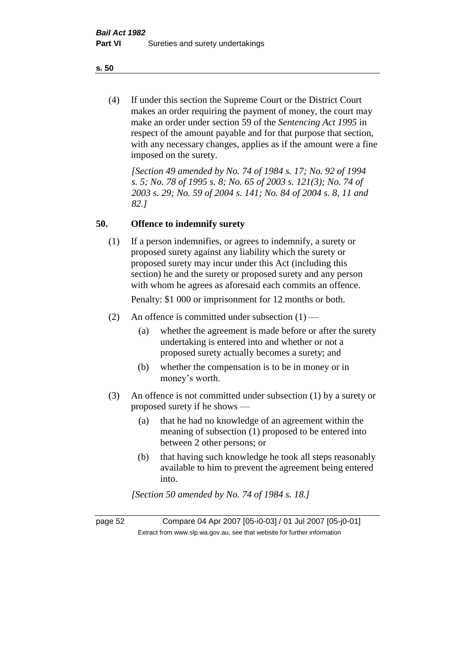(4) If under this section the Supreme Court or the District Court makes an order requiring the payment of money, the court may make an order under section 59 of the *Sentencing Act 1995* in respect of the amount payable and for that purpose that section, with any necessary changes, applies as if the amount were a fine imposed on the surety.

*[Section 49 amended by No. 74 of 1984 s. 17; No. 92 of 1994 s. 5; No. 78 of 1995 s. 8; No. 65 of 2003 s. 121(3); No. 74 of 2003 s. 29; No. 59 of 2004 s. 141; No. 84 of 2004 s. 8, 11 and 82.]* 

#### **50. Offence to indemnify surety**

(1) If a person indemnifies, or agrees to indemnify, a surety or proposed surety against any liability which the surety or proposed surety may incur under this Act (including this section) he and the surety or proposed surety and any person with whom he agrees as aforesaid each commits an offence.

Penalty: \$1 000 or imprisonment for 12 months or both.

- (2) An offence is committed under subsection  $(1)$ 
	- (a) whether the agreement is made before or after the surety undertaking is entered into and whether or not a proposed surety actually becomes a surety; and
	- (b) whether the compensation is to be in money or in money's worth.
- (3) An offence is not committed under subsection (1) by a surety or proposed surety if he shows —
	- (a) that he had no knowledge of an agreement within the meaning of subsection (1) proposed to be entered into between 2 other persons; or
	- (b) that having such knowledge he took all steps reasonably available to him to prevent the agreement being entered into.

*[Section 50 amended by No. 74 of 1984 s. 18.]* 

page 52 Compare 04 Apr 2007 [05-i0-03] / 01 Jul 2007 [05-j0-01] Extract from www.slp.wa.gov.au, see that website for further information

**s. 50**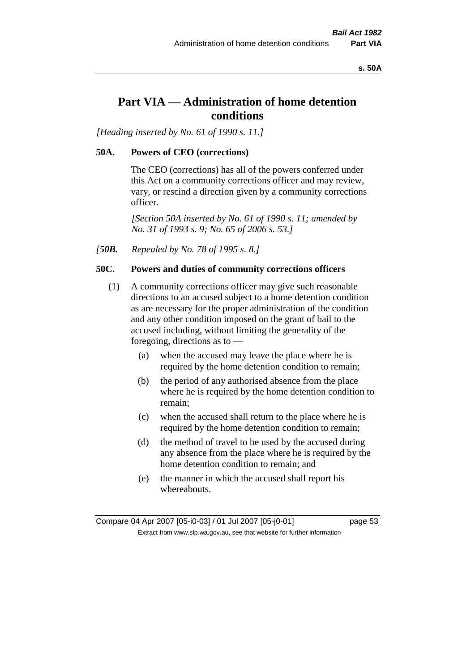**s. 50A**

# **Part VIA — Administration of home detention conditions**

*[Heading inserted by No. 61 of 1990 s. 11.]* 

# **50A. Powers of CEO (corrections)**

The CEO (corrections) has all of the powers conferred under this Act on a community corrections officer and may review, vary, or rescind a direction given by a community corrections officer.

*[Section 50A inserted by No. 61 of 1990 s. 11; amended by No. 31 of 1993 s. 9; No. 65 of 2006 s. 53.]* 

*[50B. Repealed by No. 78 of 1995 s. 8.]* 

# **50C. Powers and duties of community corrections officers**

- (1) A community corrections officer may give such reasonable directions to an accused subject to a home detention condition as are necessary for the proper administration of the condition and any other condition imposed on the grant of bail to the accused including, without limiting the generality of the foregoing, directions as to —
	- (a) when the accused may leave the place where he is required by the home detention condition to remain;
	- (b) the period of any authorised absence from the place where he is required by the home detention condition to remain;
	- (c) when the accused shall return to the place where he is required by the home detention condition to remain;
	- (d) the method of travel to be used by the accused during any absence from the place where he is required by the home detention condition to remain; and
	- (e) the manner in which the accused shall report his whereabouts.

Compare 04 Apr 2007 [05-i0-03] / 01 Jul 2007 [05-j0-01] page 53 Extract from www.slp.wa.gov.au, see that website for further information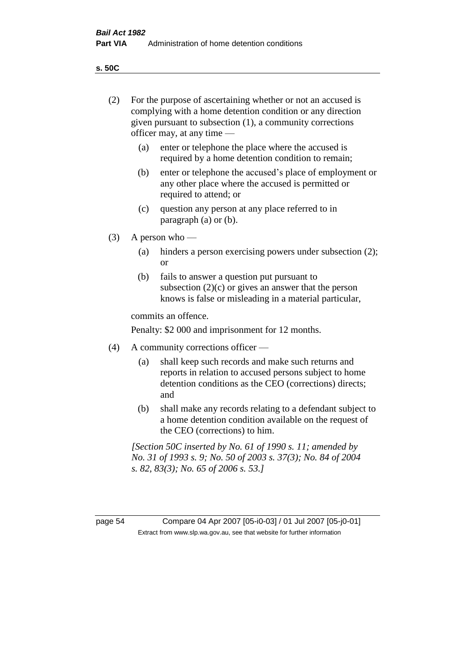**s. 50C**

| (2)     | For the purpose of ascertaining whether or not an accused is<br>complying with a home detention condition or any direction<br>given pursuant to subsection (1), a community corrections<br>officer may, at any time — |                                                                                                                                                                              |  |
|---------|-----------------------------------------------------------------------------------------------------------------------------------------------------------------------------------------------------------------------|------------------------------------------------------------------------------------------------------------------------------------------------------------------------------|--|
|         | (a)                                                                                                                                                                                                                   | enter or telephone the place where the accused is<br>required by a home detention condition to remain;                                                                       |  |
|         | (b)                                                                                                                                                                                                                   | enter or telephone the accused's place of employment or<br>any other place where the accused is permitted or<br>required to attend; or                                       |  |
|         | (c)                                                                                                                                                                                                                   | question any person at any place referred to in<br>paragraph $(a)$ or $(b)$ .                                                                                                |  |
| (3)     | A person who $-$                                                                                                                                                                                                      |                                                                                                                                                                              |  |
|         | (a)                                                                                                                                                                                                                   | hinders a person exercising powers under subsection (2);<br><sub>or</sub>                                                                                                    |  |
|         | (b)                                                                                                                                                                                                                   | fails to answer a question put pursuant to<br>subsection $(2)(c)$ or gives an answer that the person<br>knows is false or misleading in a material particular,               |  |
|         |                                                                                                                                                                                                                       | commits an offence.                                                                                                                                                          |  |
|         |                                                                                                                                                                                                                       | Penalty: \$2 000 and imprisonment for 12 months.                                                                                                                             |  |
| (4)     | A community corrections officer —                                                                                                                                                                                     |                                                                                                                                                                              |  |
|         | (a)                                                                                                                                                                                                                   | shall keep such records and make such returns and<br>reports in relation to accused persons subject to home<br>detention conditions as the CEO (corrections) directs;<br>and |  |
|         | (b)                                                                                                                                                                                                                   | shall make any records relating to a defendant subject to<br>a home detention condition available on the request of<br>the CEO (corrections) to him.                         |  |
|         |                                                                                                                                                                                                                       | [Section 50C inserted by No. 61 of 1990 s. 11; amended by<br>No. 31 of 1993 s. 9; No. 50 of 2003 s. 37(3); No. 84 of 2004<br>s. 82, 83(3); No. 65 of 2006 s. 53.]            |  |
|         |                                                                                                                                                                                                                       |                                                                                                                                                                              |  |
| page 54 |                                                                                                                                                                                                                       | Compare 04 Apr 2007 [05-i0-03] / 01 Jul 2007 [05-j0-01]<br>Extract from www.slp.wa.gov.au, see that website for further information                                          |  |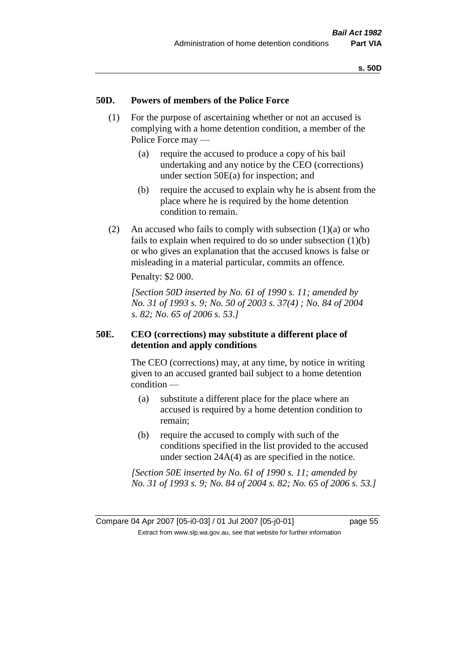#### **50D. Powers of members of the Police Force**

- (1) For the purpose of ascertaining whether or not an accused is complying with a home detention condition, a member of the Police Force may —
	- (a) require the accused to produce a copy of his bail undertaking and any notice by the CEO (corrections) under section 50E(a) for inspection; and
	- (b) require the accused to explain why he is absent from the place where he is required by the home detention condition to remain.
- (2) An accused who fails to comply with subsection  $(1)(a)$  or who fails to explain when required to do so under subsection (1)(b) or who gives an explanation that the accused knows is false or misleading in a material particular, commits an offence.

Penalty: \$2 000.

*[Section 50D inserted by No. 61 of 1990 s. 11; amended by No. 31 of 1993 s. 9; No. 50 of 2003 s. 37(4) ; No. 84 of 2004 s. 82; No. 65 of 2006 s. 53.]* 

## **50E. CEO (corrections) may substitute a different place of detention and apply conditions**

The CEO (corrections) may, at any time, by notice in writing given to an accused granted bail subject to a home detention condition —

- (a) substitute a different place for the place where an accused is required by a home detention condition to remain;
- (b) require the accused to comply with such of the conditions specified in the list provided to the accused under section 24A(4) as are specified in the notice.

*[Section 50E inserted by No. 61 of 1990 s. 11; amended by No. 31 of 1993 s. 9; No. 84 of 2004 s. 82; No. 65 of 2006 s. 53.]*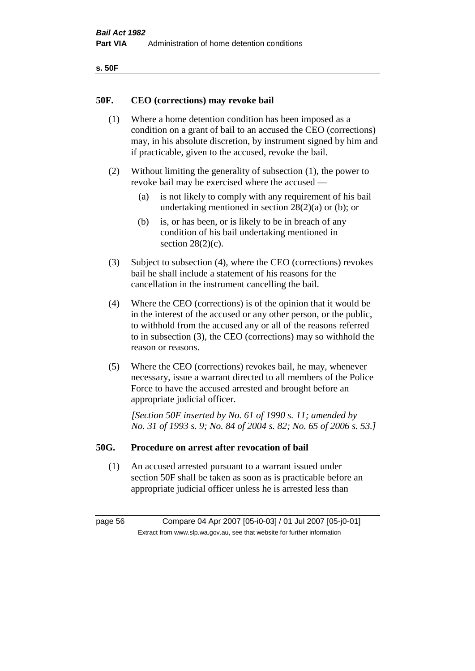| ۰.<br>×<br>-<br>۰.<br>× |  |
|-------------------------|--|
|-------------------------|--|

#### **50F. CEO (corrections) may revoke bail**

- (1) Where a home detention condition has been imposed as a condition on a grant of bail to an accused the CEO (corrections) may, in his absolute discretion, by instrument signed by him and if practicable, given to the accused, revoke the bail.
- (2) Without limiting the generality of subsection (1), the power to revoke bail may be exercised where the accused —
	- (a) is not likely to comply with any requirement of his bail undertaking mentioned in section  $28(2)(a)$  or (b); or
	- (b) is, or has been, or is likely to be in breach of any condition of his bail undertaking mentioned in section  $28(2)(c)$ .
- (3) Subject to subsection (4), where the CEO (corrections) revokes bail he shall include a statement of his reasons for the cancellation in the instrument cancelling the bail.
- (4) Where the CEO (corrections) is of the opinion that it would be in the interest of the accused or any other person, or the public, to withhold from the accused any or all of the reasons referred to in subsection (3), the CEO (corrections) may so withhold the reason or reasons.
- (5) Where the CEO (corrections) revokes bail, he may, whenever necessary, issue a warrant directed to all members of the Police Force to have the accused arrested and brought before an appropriate judicial officer.

*[Section 50F inserted by No. 61 of 1990 s. 11; amended by No. 31 of 1993 s. 9; No. 84 of 2004 s. 82; No. 65 of 2006 s. 53.]* 

#### **50G. Procedure on arrest after revocation of bail**

(1) An accused arrested pursuant to a warrant issued under section 50F shall be taken as soon as is practicable before an appropriate judicial officer unless he is arrested less than

page 56 Compare 04 Apr 2007 [05-i0-03] / 01 Jul 2007 [05-j0-01] Extract from www.slp.wa.gov.au, see that website for further information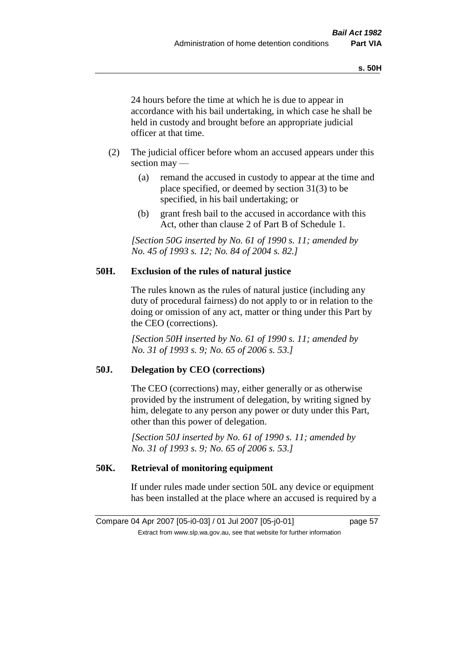24 hours before the time at which he is due to appear in accordance with his bail undertaking, in which case he shall be held in custody and brought before an appropriate judicial officer at that time.

- (2) The judicial officer before whom an accused appears under this section may —
	- (a) remand the accused in custody to appear at the time and place specified, or deemed by section 31(3) to be specified, in his bail undertaking; or
	- (b) grant fresh bail to the accused in accordance with this Act, other than clause 2 of Part B of Schedule 1.

*[Section 50G inserted by No. 61 of 1990 s. 11; amended by No. 45 of 1993 s. 12; No. 84 of 2004 s. 82.]* 

## **50H. Exclusion of the rules of natural justice**

The rules known as the rules of natural justice (including any duty of procedural fairness) do not apply to or in relation to the doing or omission of any act, matter or thing under this Part by the CEO (corrections).

*[Section 50H inserted by No. 61 of 1990 s. 11; amended by No. 31 of 1993 s. 9; No. 65 of 2006 s. 53.]* 

## **50J. Delegation by CEO (corrections)**

The CEO (corrections) may, either generally or as otherwise provided by the instrument of delegation, by writing signed by him, delegate to any person any power or duty under this Part, other than this power of delegation.

*[Section 50J inserted by No. 61 of 1990 s. 11; amended by No. 31 of 1993 s. 9; No. 65 of 2006 s. 53.]* 

# **50K. Retrieval of monitoring equipment**

If under rules made under section 50L any device or equipment has been installed at the place where an accused is required by a

Compare 04 Apr 2007 [05-i0-03] / 01 Jul 2007 [05-j0-01] page 57 Extract from www.slp.wa.gov.au, see that website for further information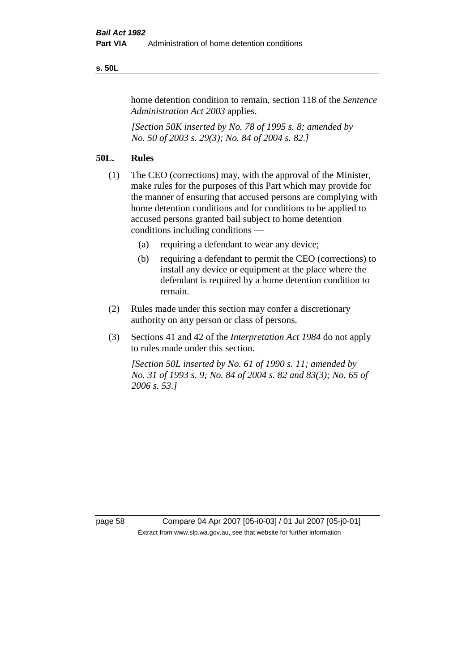#### **s. 50L**

home detention condition to remain, section 118 of the *Sentence Administration Act 2003* applies.

*[Section 50K inserted by No. 78 of 1995 s. 8; amended by No. 50 of 2003 s. 29(3); No. 84 of 2004 s. 82.]* 

## **50L. Rules**

- (1) The CEO (corrections) may, with the approval of the Minister, make rules for the purposes of this Part which may provide for the manner of ensuring that accused persons are complying with home detention conditions and for conditions to be applied to accused persons granted bail subject to home detention conditions including conditions —
	- (a) requiring a defendant to wear any device;
	- (b) requiring a defendant to permit the CEO (corrections) to install any device or equipment at the place where the defendant is required by a home detention condition to remain.
- (2) Rules made under this section may confer a discretionary authority on any person or class of persons.
- (3) Sections 41 and 42 of the *Interpretation Act 1984* do not apply to rules made under this section.

*[Section 50L inserted by No. 61 of 1990 s. 11; amended by No. 31 of 1993 s. 9; No. 84 of 2004 s. 82 and 83(3); No. 65 of 2006 s. 53.]* 

page 58 Compare 04 Apr 2007 [05-i0-03] / 01 Jul 2007 [05-j0-01] Extract from www.slp.wa.gov.au, see that website for further information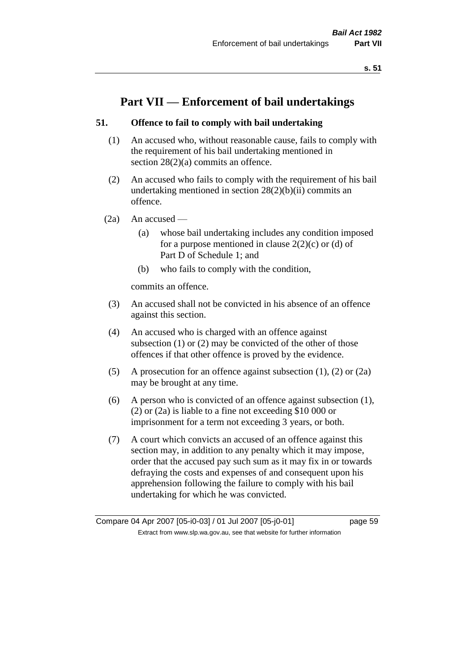# **Part VII — Enforcement of bail undertakings**

# **51. Offence to fail to comply with bail undertaking**

- (1) An accused who, without reasonable cause, fails to comply with the requirement of his bail undertaking mentioned in section 28(2)(a) commits an offence.
- (2) An accused who fails to comply with the requirement of his bail undertaking mentioned in section  $28(2)(b)(ii)$  commits an offence.
- $(2a)$  An accused
	- (a) whose bail undertaking includes any condition imposed for a purpose mentioned in clause  $2(2)(c)$  or (d) of Part D of Schedule 1; and
	- (b) who fails to comply with the condition,

commits an offence.

- (3) An accused shall not be convicted in his absence of an offence against this section.
- (4) An accused who is charged with an offence against subsection (1) or (2) may be convicted of the other of those offences if that other offence is proved by the evidence.
- (5) A prosecution for an offence against subsection (1), (2) or (2a) may be brought at any time.
- (6) A person who is convicted of an offence against subsection (1), (2) or (2a) is liable to a fine not exceeding \$10 000 or imprisonment for a term not exceeding 3 years, or both.
- (7) A court which convicts an accused of an offence against this section may, in addition to any penalty which it may impose, order that the accused pay such sum as it may fix in or towards defraying the costs and expenses of and consequent upon his apprehension following the failure to comply with his bail undertaking for which he was convicted.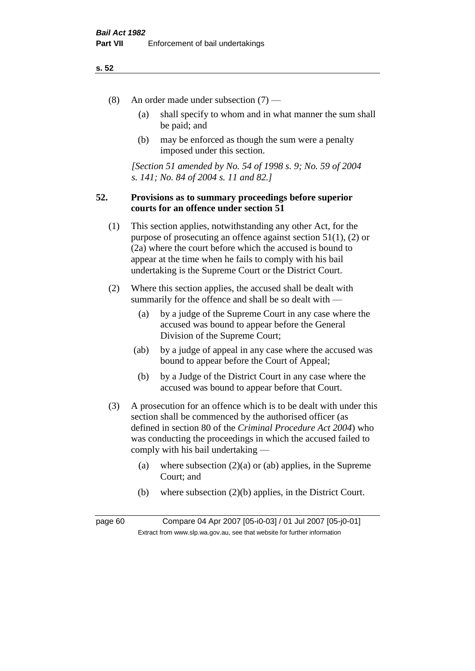- (8) An order made under subsection (7)
	- (a) shall specify to whom and in what manner the sum shall be paid; and
	- (b) may be enforced as though the sum were a penalty imposed under this section.

*[Section 51 amended by No. 54 of 1998 s. 9; No. 59 of 2004 s. 141; No. 84 of 2004 s. 11 and 82.]*

## **52. Provisions as to summary proceedings before superior courts for an offence under section 51**

- (1) This section applies, notwithstanding any other Act, for the purpose of prosecuting an offence against section 51(1), (2) or (2a) where the court before which the accused is bound to appear at the time when he fails to comply with his bail undertaking is the Supreme Court or the District Court.
- (2) Where this section applies, the accused shall be dealt with summarily for the offence and shall be so dealt with —
	- (a) by a judge of the Supreme Court in any case where the accused was bound to appear before the General Division of the Supreme Court;
	- (ab) by a judge of appeal in any case where the accused was bound to appear before the Court of Appeal;
	- (b) by a Judge of the District Court in any case where the accused was bound to appear before that Court.
- (3) A prosecution for an offence which is to be dealt with under this section shall be commenced by the authorised officer (as defined in section 80 of the *Criminal Procedure Act 2004*) who was conducting the proceedings in which the accused failed to comply with his bail undertaking —
	- (a) where subsection  $(2)(a)$  or (ab) applies, in the Supreme Court; and
	- (b) where subsection (2)(b) applies, in the District Court.

page 60 Compare 04 Apr 2007 [05-i0-03] / 01 Jul 2007 [05-j0-01] Extract from www.slp.wa.gov.au, see that website for further information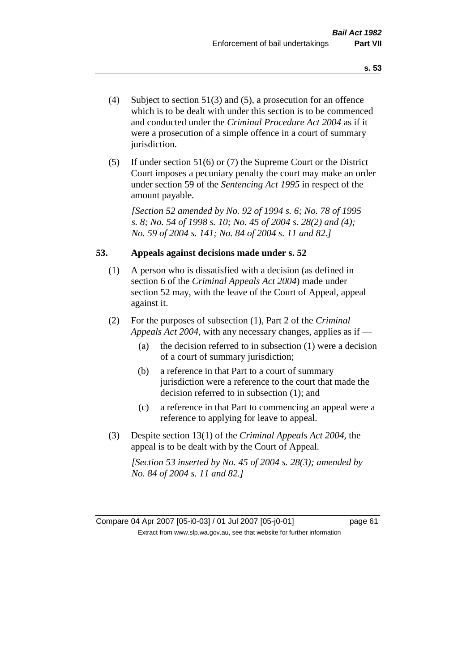- (4) Subject to section 51(3) and (5), a prosecution for an offence which is to be dealt with under this section is to be commenced and conducted under the *Criminal Procedure Act 2004* as if it were a prosecution of a simple offence in a court of summary jurisdiction.
- (5) If under section 51(6) or (7) the Supreme Court or the District Court imposes a pecuniary penalty the court may make an order under section 59 of the *Sentencing Act 1995* in respect of the amount payable.

*[Section 52 amended by No. 92 of 1994 s. 6; No. 78 of 1995 s. 8; No. 54 of 1998 s. 10; No. 45 of 2004 s. 28(2) and (4); No. 59 of 2004 s. 141; No. 84 of 2004 s. 11 and 82.]* 

## **53. Appeals against decisions made under s. 52**

- (1) A person who is dissatisfied with a decision (as defined in section 6 of the *Criminal Appeals Act 2004*) made under section 52 may, with the leave of the Court of Appeal, appeal against it.
- (2) For the purposes of subsection (1), Part 2 of the *Criminal Appeals Act 2004*, with any necessary changes, applies as if —
	- (a) the decision referred to in subsection (1) were a decision of a court of summary jurisdiction;
	- (b) a reference in that Part to a court of summary jurisdiction were a reference to the court that made the decision referred to in subsection (1); and
	- (c) a reference in that Part to commencing an appeal were a reference to applying for leave to appeal.
- (3) Despite section 13(1) of the *Criminal Appeals Act 2004*, the appeal is to be dealt with by the Court of Appeal.

*[Section 53 inserted by No. 45 of 2004 s. 28(3); amended by No. 84 of 2004 s. 11 and 82.]*

Compare 04 Apr 2007 [05-i0-03] / 01 Jul 2007 [05-j0-01] page 61 Extract from www.slp.wa.gov.au, see that website for further information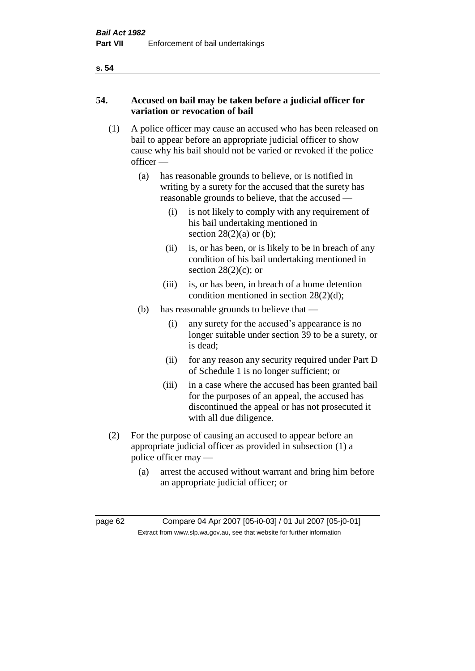# **54. Accused on bail may be taken before a judicial officer for variation or revocation of bail**

- (1) A police officer may cause an accused who has been released on bail to appear before an appropriate judicial officer to show cause why his bail should not be varied or revoked if the police officer —
	- (a) has reasonable grounds to believe, or is notified in writing by a surety for the accused that the surety has reasonable grounds to believe, that the accused —
		- (i) is not likely to comply with any requirement of his bail undertaking mentioned in section  $28(2)(a)$  or (b);
		- (ii) is, or has been, or is likely to be in breach of any condition of his bail undertaking mentioned in section  $28(2)(c)$ ; or
		- (iii) is, or has been, in breach of a home detention condition mentioned in section 28(2)(d);
	- (b) has reasonable grounds to believe that
		- (i) any surety for the accused's appearance is no longer suitable under section 39 to be a surety, or is dead;
		- (ii) for any reason any security required under Part D of Schedule 1 is no longer sufficient; or
		- (iii) in a case where the accused has been granted bail for the purposes of an appeal, the accused has discontinued the appeal or has not prosecuted it with all due diligence.
- (2) For the purpose of causing an accused to appear before an appropriate judicial officer as provided in subsection (1) a police officer may —
	- (a) arrest the accused without warrant and bring him before an appropriate judicial officer; or

page 62 Compare 04 Apr 2007 [05-i0-03] / 01 Jul 2007 [05-j0-01] Extract from www.slp.wa.gov.au, see that website for further information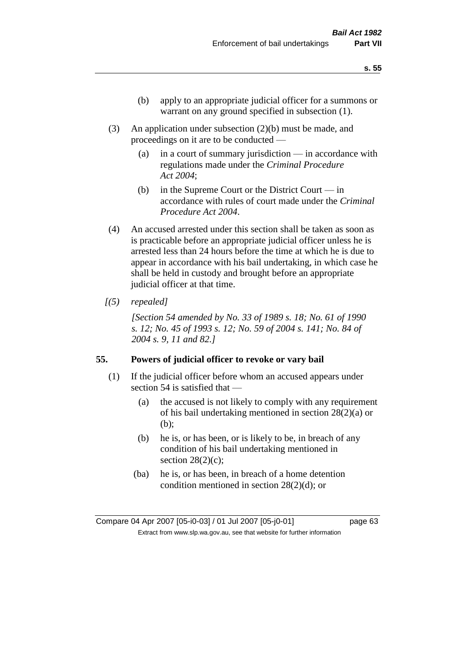- (b) apply to an appropriate judicial officer for a summons or warrant on any ground specified in subsection (1).
- (3) An application under subsection (2)(b) must be made, and proceedings on it are to be conducted —
	- (a) in a court of summary jurisdiction in accordance with regulations made under the *Criminal Procedure Act 2004*;
	- (b) in the Supreme Court or the District Court  $-\text{in}$ accordance with rules of court made under the *Criminal Procedure Act 2004*.
- (4) An accused arrested under this section shall be taken as soon as is practicable before an appropriate judicial officer unless he is arrested less than 24 hours before the time at which he is due to appear in accordance with his bail undertaking, in which case he shall be held in custody and brought before an appropriate judicial officer at that time.
- *[(5) repealed]*

*[Section 54 amended by No. 33 of 1989 s. 18; No. 61 of 1990 s. 12; No. 45 of 1993 s. 12; No. 59 of 2004 s. 141; No. 84 of 2004 s. 9, 11 and 82.]* 

#### **55. Powers of judicial officer to revoke or vary bail**

- (1) If the judicial officer before whom an accused appears under section 54 is satisfied that —
	- (a) the accused is not likely to comply with any requirement of his bail undertaking mentioned in section 28(2)(a) or (b);
	- (b) he is, or has been, or is likely to be, in breach of any condition of his bail undertaking mentioned in section  $28(2)(c)$ ;
	- (ba) he is, or has been, in breach of a home detention condition mentioned in section 28(2)(d); or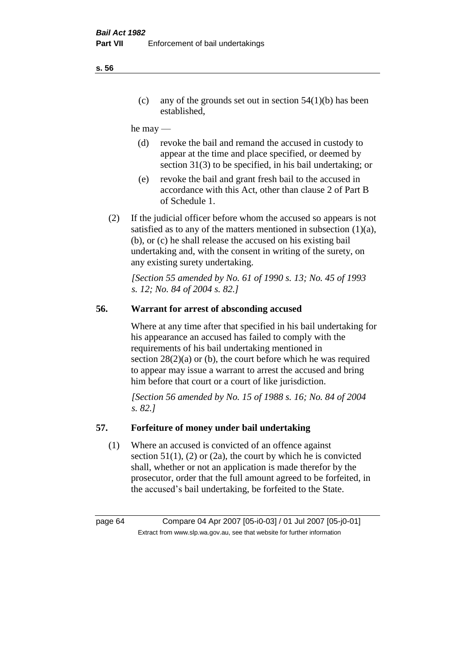(c) any of the grounds set out in section  $54(1)(b)$  has been established,

#### he may —

- (d) revoke the bail and remand the accused in custody to appear at the time and place specified, or deemed by section 31(3) to be specified, in his bail undertaking; or
- (e) revoke the bail and grant fresh bail to the accused in accordance with this Act, other than clause 2 of Part B of Schedule 1.
- (2) If the judicial officer before whom the accused so appears is not satisfied as to any of the matters mentioned in subsection (1)(a), (b), or (c) he shall release the accused on his existing bail undertaking and, with the consent in writing of the surety, on any existing surety undertaking.

*[Section 55 amended by No. 61 of 1990 s. 13; No. 45 of 1993 s. 12; No. 84 of 2004 s. 82.]* 

# **56. Warrant for arrest of absconding accused**

Where at any time after that specified in his bail undertaking for his appearance an accused has failed to comply with the requirements of his bail undertaking mentioned in section  $28(2)(a)$  or (b), the court before which he was required to appear may issue a warrant to arrest the accused and bring him before that court or a court of like jurisdiction.

*[Section 56 amended by No. 15 of 1988 s. 16; No. 84 of 2004 s. 82.]* 

## **57. Forfeiture of money under bail undertaking**

(1) Where an accused is convicted of an offence against section  $51(1)$ , (2) or (2a), the court by which he is convicted shall, whether or not an application is made therefor by the prosecutor, order that the full amount agreed to be forfeited, in the accused's bail undertaking, be forfeited to the State.

page 64 Compare 04 Apr 2007 [05-i0-03] / 01 Jul 2007 [05-j0-01] Extract from www.slp.wa.gov.au, see that website for further information

#### **s. 56**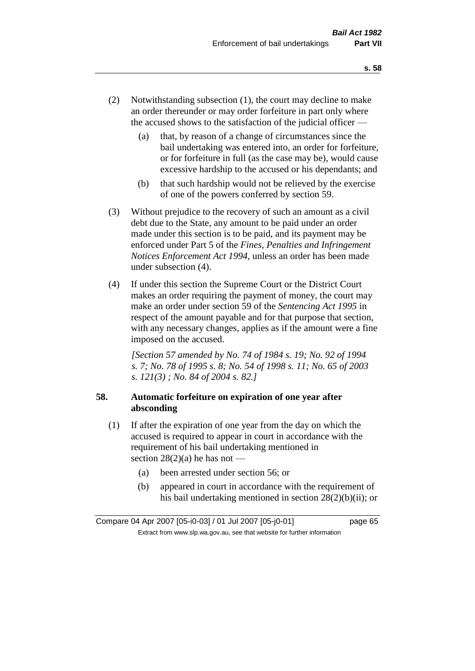- (2) Notwithstanding subsection (1), the court may decline to make an order thereunder or may order forfeiture in part only where the accused shows to the satisfaction of the judicial officer —
	- (a) that, by reason of a change of circumstances since the bail undertaking was entered into, an order for forfeiture, or for forfeiture in full (as the case may be), would cause excessive hardship to the accused or his dependants; and
	- (b) that such hardship would not be relieved by the exercise of one of the powers conferred by section 59.
- (3) Without prejudice to the recovery of such an amount as a civil debt due to the State, any amount to be paid under an order made under this section is to be paid, and its payment may be enforced under Part 5 of the *Fines, Penalties and Infringement Notices Enforcement Act 1994*, unless an order has been made under subsection (4).
- (4) If under this section the Supreme Court or the District Court makes an order requiring the payment of money, the court may make an order under section 59 of the *Sentencing Act 1995* in respect of the amount payable and for that purpose that section, with any necessary changes, applies as if the amount were a fine imposed on the accused.

*[Section 57 amended by No. 74 of 1984 s. 19; No. 92 of 1994 s. 7; No. 78 of 1995 s. 8; No. 54 of 1998 s. 11; No. 65 of 2003 s. 121(3) ; No. 84 of 2004 s. 82.]* 

# **58. Automatic forfeiture on expiration of one year after absconding**

- (1) If after the expiration of one year from the day on which the accused is required to appear in court in accordance with the requirement of his bail undertaking mentioned in section  $28(2)(a)$  he has not —
	- (a) been arrested under section 56; or
	- (b) appeared in court in accordance with the requirement of his bail undertaking mentioned in section 28(2)(b)(ii); or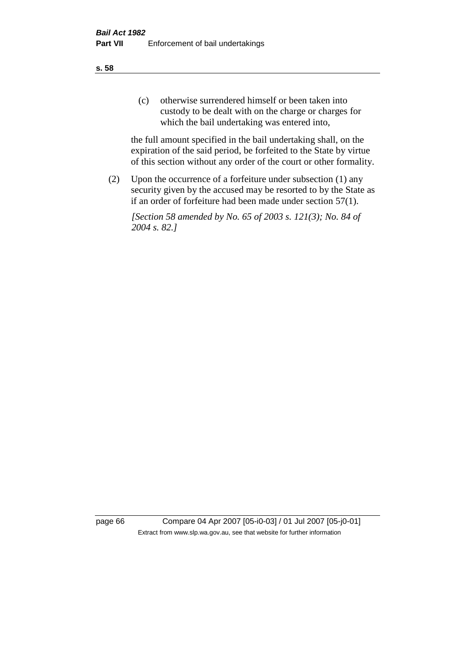(c) otherwise surrendered himself or been taken into custody to be dealt with on the charge or charges for which the bail undertaking was entered into,

the full amount specified in the bail undertaking shall, on the expiration of the said period, be forfeited to the State by virtue of this section without any order of the court or other formality.

(2) Upon the occurrence of a forfeiture under subsection (1) any security given by the accused may be resorted to by the State as if an order of forfeiture had been made under section 57(1).

*[Section 58 amended by No. 65 of 2003 s. 121(3); No. 84 of 2004 s. 82.]*

page 66 Compare 04 Apr 2007 [05-i0-03] / 01 Jul 2007 [05-j0-01] Extract from www.slp.wa.gov.au, see that website for further information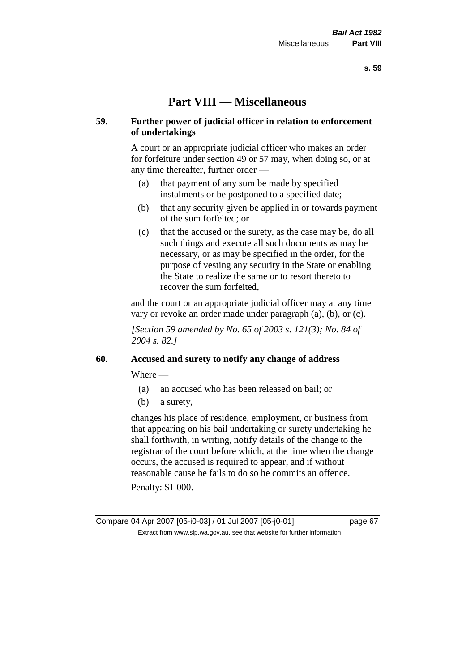# **Part VIII — Miscellaneous**

## **59. Further power of judicial officer in relation to enforcement of undertakings**

A court or an appropriate judicial officer who makes an order for forfeiture under section 49 or 57 may, when doing so, or at any time thereafter, further order —

- (a) that payment of any sum be made by specified instalments or be postponed to a specified date;
- (b) that any security given be applied in or towards payment of the sum forfeited; or
- (c) that the accused or the surety, as the case may be, do all such things and execute all such documents as may be necessary, or as may be specified in the order, for the purpose of vesting any security in the State or enabling the State to realize the same or to resort thereto to recover the sum forfeited,

and the court or an appropriate judicial officer may at any time vary or revoke an order made under paragraph (a), (b), or (c).

*[Section 59 amended by No. 65 of 2003 s. 121(3); No. 84 of 2004 s. 82.]*

#### **60. Accused and surety to notify any change of address**

Where —

- (a) an accused who has been released on bail; or
- (b) a surety,

changes his place of residence, employment, or business from that appearing on his bail undertaking or surety undertaking he shall forthwith, in writing, notify details of the change to the registrar of the court before which, at the time when the change occurs, the accused is required to appear, and if without reasonable cause he fails to do so he commits an offence.

Penalty: \$1 000.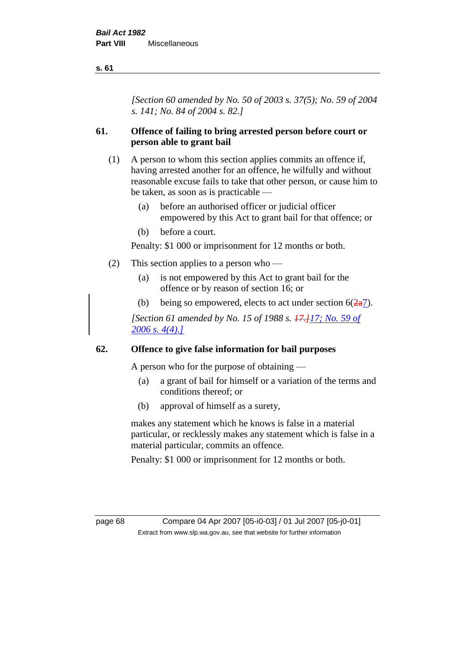*[Section 60 amended by No. 50 of 2003 s. 37(5); No. 59 of 2004 s. 141; No. 84 of 2004 s. 82.]*

# **61. Offence of failing to bring arrested person before court or person able to grant bail**

- (1) A person to whom this section applies commits an offence if, having arrested another for an offence, he wilfully and without reasonable excuse fails to take that other person, or cause him to be taken, as soon as is practicable —
	- (a) before an authorised officer or judicial officer empowered by this Act to grant bail for that offence; or
	- (b) before a court.

Penalty: \$1 000 or imprisonment for 12 months or both.

- (2) This section applies to a person who
	- (a) is not empowered by this Act to grant bail for the offence or by reason of section 16; or
	- (b) being so empowered, elects to act under section  $6(\frac{2a}{2})$ .

*[Section 61 amended by No. 15 of 1988 s. 17.]17; No. 59 of 2006 s. 4(4).]*

## **62. Offence to give false information for bail purposes**

A person who for the purpose of obtaining —

- (a) a grant of bail for himself or a variation of the terms and conditions thereof; or
- (b) approval of himself as a surety,

makes any statement which he knows is false in a material particular, or recklessly makes any statement which is false in a material particular, commits an offence.

Penalty: \$1 000 or imprisonment for 12 months or both.

page 68 Compare 04 Apr 2007 [05-i0-03] / 01 Jul 2007 [05-j0-01] Extract from www.slp.wa.gov.au, see that website for further information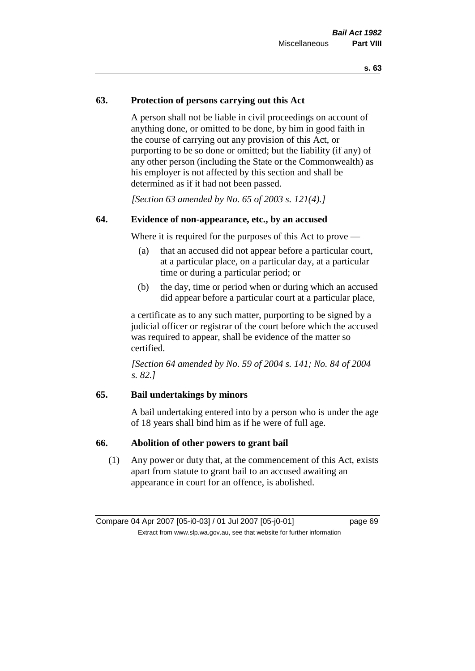# **63. Protection of persons carrying out this Act**

A person shall not be liable in civil proceedings on account of anything done, or omitted to be done, by him in good faith in the course of carrying out any provision of this Act, or purporting to be so done or omitted; but the liability (if any) of any other person (including the State or the Commonwealth) as his employer is not affected by this section and shall be determined as if it had not been passed.

*[Section 63 amended by No. 65 of 2003 s. 121(4).]*

## **64. Evidence of non-appearance, etc., by an accused**

Where it is required for the purposes of this Act to prove —

- (a) that an accused did not appear before a particular court, at a particular place, on a particular day, at a particular time or during a particular period; or
- (b) the day, time or period when or during which an accused did appear before a particular court at a particular place,

a certificate as to any such matter, purporting to be signed by a judicial officer or registrar of the court before which the accused was required to appear, shall be evidence of the matter so certified.

*[Section 64 amended by No. 59 of 2004 s. 141; No. 84 of 2004 s. 82.]* 

#### **65. Bail undertakings by minors**

A bail undertaking entered into by a person who is under the age of 18 years shall bind him as if he were of full age.

#### **66. Abolition of other powers to grant bail**

(1) Any power or duty that, at the commencement of this Act, exists apart from statute to grant bail to an accused awaiting an appearance in court for an offence, is abolished.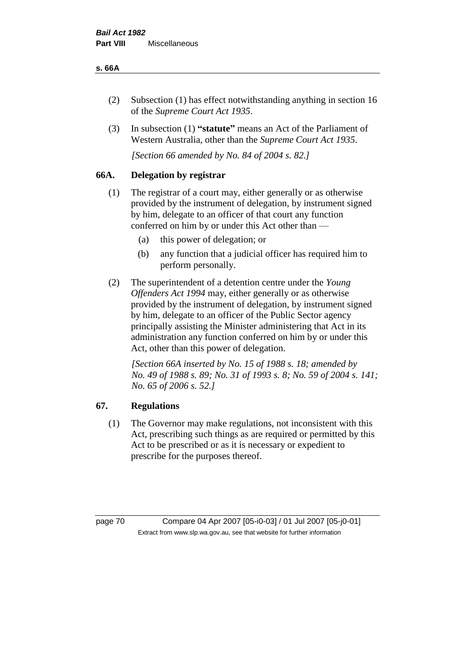#### **s. 66A**

- (2) Subsection (1) has effect notwithstanding anything in section 16 of the *Supreme Court Act 1935*.
- (3) In subsection (1) **"statute"** means an Act of the Parliament of Western Australia, other than the *Supreme Court Act 1935*.

*[Section 66 amended by No. 84 of 2004 s. 82.]*

# **66A. Delegation by registrar**

- (1) The registrar of a court may, either generally or as otherwise provided by the instrument of delegation, by instrument signed by him, delegate to an officer of that court any function conferred on him by or under this Act other than —
	- (a) this power of delegation; or
	- (b) any function that a judicial officer has required him to perform personally.
- (2) The superintendent of a detention centre under the *Young Offenders Act 1994* may, either generally or as otherwise provided by the instrument of delegation, by instrument signed by him, delegate to an officer of the Public Sector agency principally assisting the Minister administering that Act in its administration any function conferred on him by or under this Act, other than this power of delegation.

*[Section 66A inserted by No. 15 of 1988 s. 18; amended by No. 49 of 1988 s. 89; No. 31 of 1993 s. 8; No. 59 of 2004 s. 141; No. 65 of 2006 s. 52.]* 

# **67. Regulations**

(1) The Governor may make regulations, not inconsistent with this Act, prescribing such things as are required or permitted by this Act to be prescribed or as it is necessary or expedient to prescribe for the purposes thereof.

page 70 Compare 04 Apr 2007 [05-i0-03] / 01 Jul 2007 [05-j0-01] Extract from www.slp.wa.gov.au, see that website for further information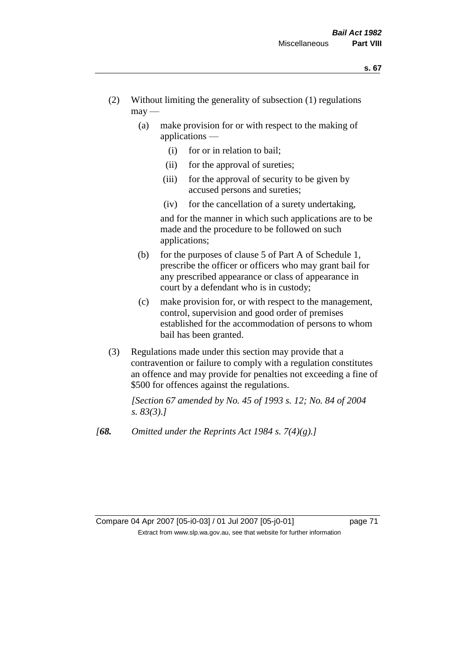- (2) Without limiting the generality of subsection (1) regulations  $\text{max}$  —
	- (a) make provision for or with respect to the making of applications —
		- (i) for or in relation to bail;
		- (ii) for the approval of sureties;
		- (iii) for the approval of security to be given by accused persons and sureties;
		- (iv) for the cancellation of a surety undertaking,

and for the manner in which such applications are to be made and the procedure to be followed on such applications;

- (b) for the purposes of clause 5 of Part A of Schedule 1, prescribe the officer or officers who may grant bail for any prescribed appearance or class of appearance in court by a defendant who is in custody;
- (c) make provision for, or with respect to the management, control, supervision and good order of premises established for the accommodation of persons to whom bail has been granted.
- (3) Regulations made under this section may provide that a contravention or failure to comply with a regulation constitutes an offence and may provide for penalties not exceeding a fine of \$500 for offences against the regulations.

*[Section 67 amended by No. 45 of 1993 s. 12; No. 84 of 2004 s. 83(3).]* 

*[68. Omitted under the Reprints Act 1984 s. 7(4)(g).]*

### Compare 04 Apr 2007 [05-i0-03] / 01 Jul 2007 [05-j0-01] page 71 Extract from www.slp.wa.gov.au, see that website for further information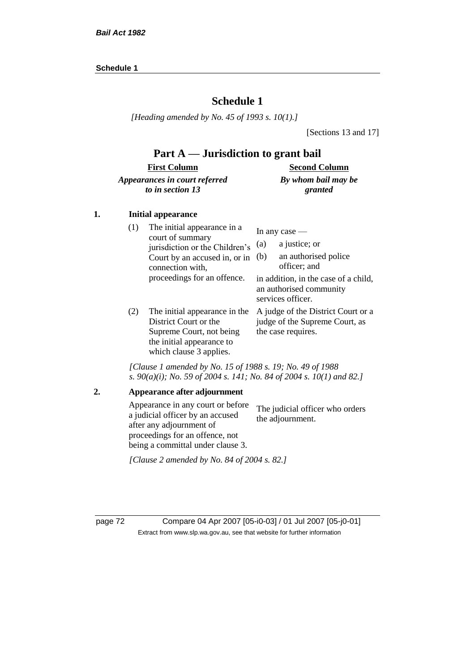### **Schedule 1**

*[Heading amended by No. 45 of 1993 s. 10(1).]*

[Sections 13 and 17]

### **Part A — Jurisdiction to grant bail**

#### **First Column** *Appearances in court referred to in section 13* **Second Column** *By whom bail may be granted*

#### **1. Initial appearance**

| (1) | The initial appearance in a<br>court of summary<br>jurisdiction or the Children's<br>Court by an accused in, or in<br>connection with,<br>proceedings for an offence. | In any case $-$<br>a justice; or<br>(a)<br>an authorised police<br>(b)<br>officer; and |  |  |
|-----|-----------------------------------------------------------------------------------------------------------------------------------------------------------------------|----------------------------------------------------------------------------------------|--|--|
|     |                                                                                                                                                                       | in addition, in the case of a child,<br>an authorised community<br>services officer.   |  |  |
| (2) | The initial appearance in the<br>District Court or the                                                                                                                | A judge of the District Court or a<br>$ind$ ge of the Supreme Court as                 |  |  |

District Court or the Supreme Court, not being the initial appearance to which clause 3 applies.

A judge of the District Court or a judge of the Supreme Court, the case requires.

*[Clause 1 amended by No. 15 of 1988 s. 19; No. 49 of 1988 s. 90(a)(i); No. 59 of 2004 s. 141; No. 84 of 2004 s. 10(1) and 82.]*

## **2. Appearance after adjournment** Appearance in any court or before

a judicial officer by an accused after any adjournment of proceedings for an offence, not being a committal under clause 3. The judicial officer who orders the adjournment.

*[Clause 2 amended by No. 84 of 2004 s. 82.]*

page 72 Compare 04 Apr 2007 [05-i0-03] / 01 Jul 2007 [05-j0-01] Extract from www.slp.wa.gov.au, see that website for further information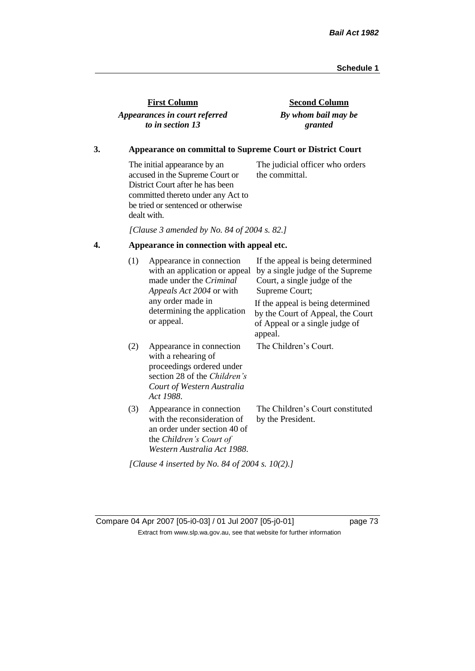| <b>First Column</b>                               |  |
|---------------------------------------------------|--|
| Appearances in court referred<br>to in section 13 |  |

**Second Column** *By whom bail may be granted*

#### **3. Appearance on committal to Supreme Court or District Court**

The initial appearance by an accused in the Supreme Court or District Court after he has been committed thereto under any Act to be tried or sentenced or otherwise dealt with. The judicial officer who orders the committal.

*[Clause 3 amended by No. 84 of 2004 s. 82.]*

### **4. Appearance in connection with appeal etc.**

| (1)<br>Appearance in connection<br>with an application or appeal<br>made under the <i>Criminal</i><br>Appeals Act 2004 or with | If the appeal is being determined<br>by a single judge of the Supreme<br>Court, a single judge of the<br>Supreme Court;                                 |                                                                                                                     |  |
|--------------------------------------------------------------------------------------------------------------------------------|---------------------------------------------------------------------------------------------------------------------------------------------------------|---------------------------------------------------------------------------------------------------------------------|--|
|                                                                                                                                | any order made in<br>determining the application<br>or appeal.                                                                                          | If the appeal is being determined<br>by the Court of Appeal, the Court<br>of Appeal or a single judge of<br>appeal. |  |
| (2)                                                                                                                            | Appearance in connection<br>with a rehearing of<br>proceedings ordered under<br>section 28 of the Children's<br>Court of Western Australia<br>Act 1988. | The Children's Court.                                                                                               |  |
| (3)                                                                                                                            | Appearance in connection<br>with the reconsideration of<br>an order under section 40 of<br>the Children's Court of<br>Western Australia Act 1988.       | The Children's Court constituted<br>by the President.                                                               |  |
|                                                                                                                                | [Clause 4 inserted by No. 84 of 2004 s. 10(2).]                                                                                                         |                                                                                                                     |  |

Compare 04 Apr 2007 [05-i0-03] / 01 Jul 2007 [05-j0-01] page 73 Extract from www.slp.wa.gov.au, see that website for further information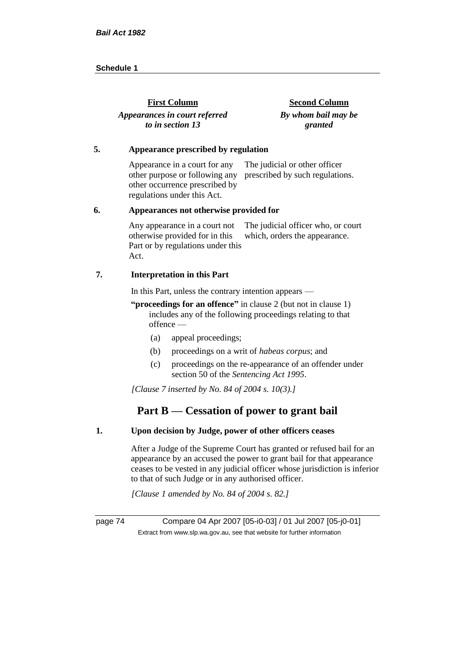| <b>First Column</b>           | <b>Second Column</b> |
|-------------------------------|----------------------|
| Appearances in court referred | By whom bail may be  |
| to in section 13              | granted              |

#### **5. Appearance prescribed by regulation**

Appearance in a court for any other purpose or following any prescribed by such regulations. other occurrence prescribed by regulations under this Act. The judicial or other officer

#### **6. Appearances not otherwise provided for**

Any appearance in a court not otherwise provided for in this Part or by regulations under this Act. The judicial officer who, or court which, orders the appearance.

#### **7. Interpretation in this Part**

In this Part, unless the contrary intention appears —

**"proceedings for an offence"** in clause 2 (but not in clause 1) includes any of the following proceedings relating to that offence —

- (a) appeal proceedings;
- (b) proceedings on a writ of *habeas corpus*; and
- (c) proceedings on the re-appearance of an offender under section 50 of the *Sentencing Act 1995*.

*[Clause 7 inserted by No. 84 of 2004 s. 10(3).]*

### **Part B — Cessation of power to grant bail**

#### **1. Upon decision by Judge, power of other officers ceases**

After a Judge of the Supreme Court has granted or refused bail for an appearance by an accused the power to grant bail for that appearance ceases to be vested in any judicial officer whose jurisdiction is inferior to that of such Judge or in any authorised officer.

*[Clause 1 amended by No. 84 of 2004 s. 82.]*

page 74 Compare 04 Apr 2007 [05-i0-03] / 01 Jul 2007 [05-j0-01] Extract from www.slp.wa.gov.au, see that website for further information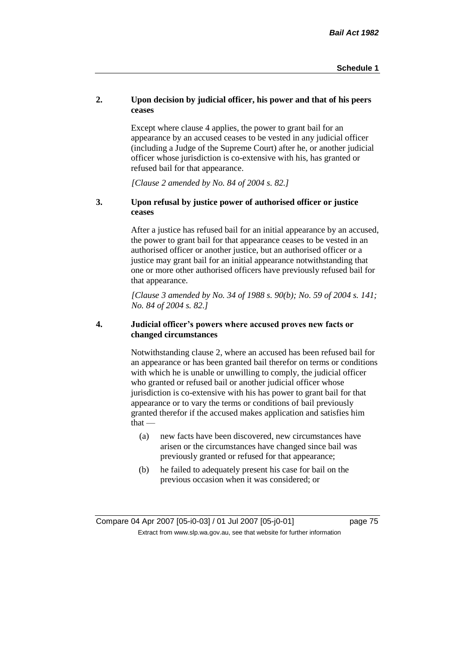#### **2. Upon decision by judicial officer, his power and that of his peers ceases**

Except where clause 4 applies, the power to grant bail for an appearance by an accused ceases to be vested in any judicial officer (including a Judge of the Supreme Court) after he, or another judicial officer whose jurisdiction is co-extensive with his, has granted or refused bail for that appearance.

*[Clause 2 amended by No. 84 of 2004 s. 82.]*

#### **3. Upon refusal by justice power of authorised officer or justice ceases**

After a justice has refused bail for an initial appearance by an accused, the power to grant bail for that appearance ceases to be vested in an authorised officer or another justice, but an authorised officer or a justice may grant bail for an initial appearance notwithstanding that one or more other authorised officers have previously refused bail for that appearance.

*[Clause 3 amended by No. 34 of 1988 s. 90(b); No. 59 of 2004 s. 141; No. 84 of 2004 s. 82.]*

#### **4. Judicial officer's powers where accused proves new facts or changed circumstances**

Notwithstanding clause 2, where an accused has been refused bail for an appearance or has been granted bail therefor on terms or conditions with which he is unable or unwilling to comply, the judicial officer who granted or refused bail or another judicial officer whose jurisdiction is co-extensive with his has power to grant bail for that appearance or to vary the terms or conditions of bail previously granted therefor if the accused makes application and satisfies him  $that -$ 

- (a) new facts have been discovered, new circumstances have arisen or the circumstances have changed since bail was previously granted or refused for that appearance;
- (b) he failed to adequately present his case for bail on the previous occasion when it was considered; or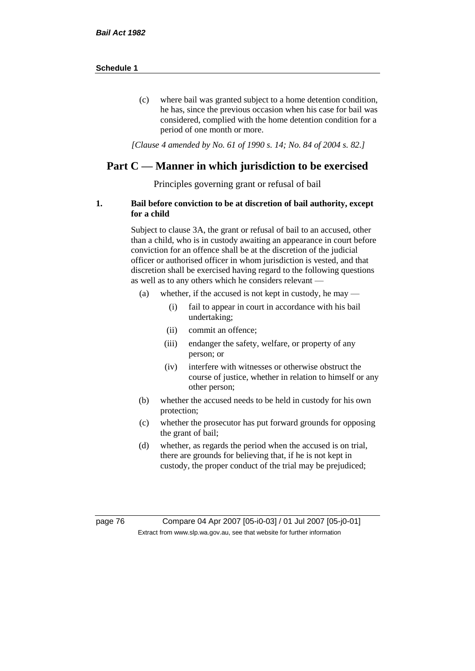(c) where bail was granted subject to a home detention condition, he has, since the previous occasion when his case for bail was considered, complied with the home detention condition for a period of one month or more.

*[Clause 4 amended by No. 61 of 1990 s. 14; No. 84 of 2004 s. 82.]*

### **Part C — Manner in which jurisdiction to be exercised**

Principles governing grant or refusal of bail

#### **1. Bail before conviction to be at discretion of bail authority, except for a child**

Subject to clause 3A, the grant or refusal of bail to an accused, other than a child, who is in custody awaiting an appearance in court before conviction for an offence shall be at the discretion of the judicial officer or authorised officer in whom jurisdiction is vested, and that discretion shall be exercised having regard to the following questions as well as to any others which he considers relevant —

- (a) whether, if the accused is not kept in custody, he may
	- (i) fail to appear in court in accordance with his bail undertaking;
	- (ii) commit an offence;
	- (iii) endanger the safety, welfare, or property of any person; or
	- (iv) interfere with witnesses or otherwise obstruct the course of justice, whether in relation to himself or any other person;
- (b) whether the accused needs to be held in custody for his own protection;
- (c) whether the prosecutor has put forward grounds for opposing the grant of bail;
- (d) whether, as regards the period when the accused is on trial, there are grounds for believing that, if he is not kept in custody, the proper conduct of the trial may be prejudiced;

page 76 Compare 04 Apr 2007 [05-i0-03] / 01 Jul 2007 [05-j0-01] Extract from www.slp.wa.gov.au, see that website for further information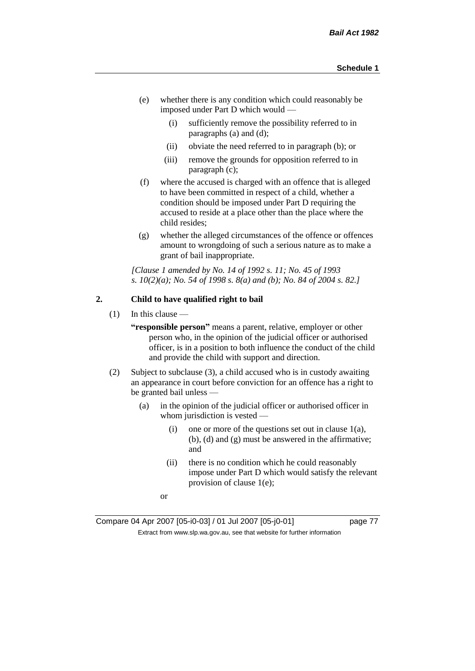- (e) whether there is any condition which could reasonably be imposed under Part D which would —
	- (i) sufficiently remove the possibility referred to in paragraphs (a) and (d);
	- (ii) obviate the need referred to in paragraph (b); or
	- (iii) remove the grounds for opposition referred to in paragraph (c);
- (f) where the accused is charged with an offence that is alleged to have been committed in respect of a child, whether a condition should be imposed under Part D requiring the accused to reside at a place other than the place where the child resides;
- (g) whether the alleged circumstances of the offence or offences amount to wrongdoing of such a serious nature as to make a grant of bail inappropriate.

*[Clause 1 amended by No. 14 of 1992 s. 11; No. 45 of 1993 s. 10(2)(a); No. 54 of 1998 s. 8(a) and (b); No. 84 of 2004 s. 82.]*

#### **2. Child to have qualified right to bail**

 $(1)$  In this clause —

**"responsible person"** means a parent, relative, employer or other person who, in the opinion of the judicial officer or authorised officer, is in a position to both influence the conduct of the child and provide the child with support and direction.

- (2) Subject to subclause (3), a child accused who is in custody awaiting an appearance in court before conviction for an offence has a right to be granted bail unless —
	- (a) in the opinion of the judicial officer or authorised officer in whom jurisdiction is vested —
		- (i) one or more of the questions set out in clause  $1(a)$ , (b), (d) and (g) must be answered in the affirmative; and
		- (ii) there is no condition which he could reasonably impose under Part D which would satisfy the relevant provision of clause 1(e);
		- or

Compare 04 Apr 2007 [05-i0-03] / 01 Jul 2007 [05-j0-01] page 77 Extract from www.slp.wa.gov.au, see that website for further information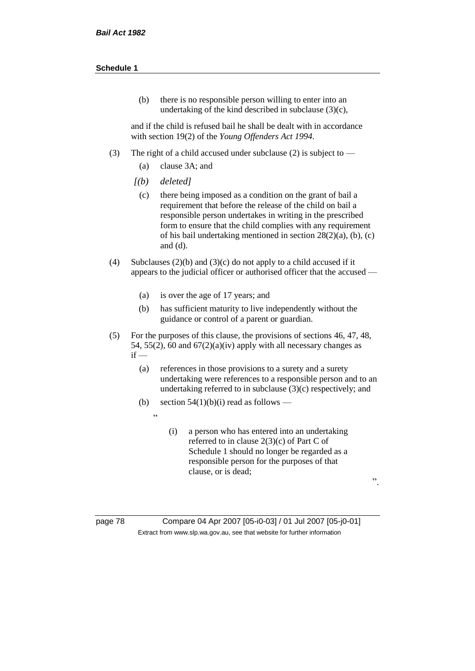(b) there is no responsible person willing to enter into an undertaking of the kind described in subclause (3)(c),

and if the child is refused bail he shall be dealt with in accordance with section 19(2) of the *Young Offenders Act 1994*.

- (3) The right of a child accused under subclause (2) is subject to
	- (a) clause 3A; and
	- *[(b) deleted]*

 $\overline{a}$ 

- (c) there being imposed as a condition on the grant of bail a requirement that before the release of the child on bail a responsible person undertakes in writing in the prescribed form to ensure that the child complies with any requirement of his bail undertaking mentioned in section 28(2)(a), (b), (c) and (d).
- (4) Subclauses (2)(b) and (3)(c) do not apply to a child accused if it appears to the judicial officer or authorised officer that the accused —
	- (a) is over the age of 17 years; and
	- (b) has sufficient maturity to live independently without the guidance or control of a parent or guardian.
- (5) For the purposes of this clause, the provisions of sections 46, 47, 48, 54, 55(2), 60 and  $67(2)(a)(iv)$  apply with all necessary changes as  $if -$ 
	- (a) references in those provisions to a surety and a surety undertaking were references to a responsible person and to an undertaking referred to in subclause (3)(c) respectively; and
	- (b) section  $54(1)(b)(i)$  read as follows
		- (i) a person who has entered into an undertaking referred to in clause 2(3)(c) of Part C of Schedule 1 should no longer be regarded as a responsible person for the purposes of that clause, or is dead;

".

page 78 Compare 04 Apr 2007 [05-i0-03] / 01 Jul 2007 [05-j0-01] Extract from www.slp.wa.gov.au, see that website for further information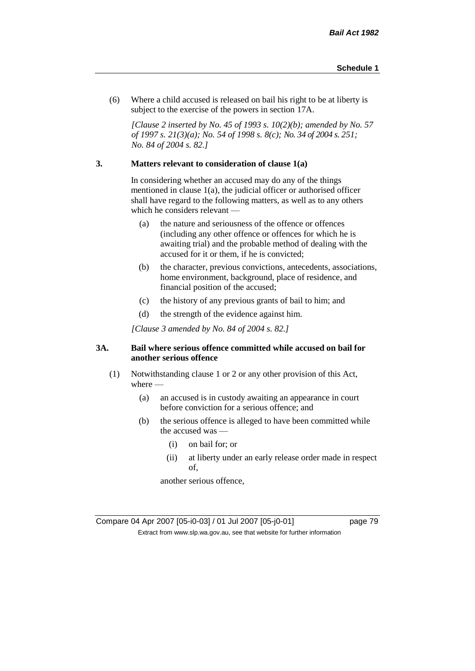(6) Where a child accused is released on bail his right to be at liberty is subject to the exercise of the powers in section 17A.

*[Clause 2 inserted by No. 45 of 1993 s. 10(2)(b); amended by No. 57 of 1997 s. 21(3)(a); No. 54 of 1998 s. 8(c); No. 34 of 2004 s. 251; No. 84 of 2004 s. 82.]*

#### **3. Matters relevant to consideration of clause 1(a)**

In considering whether an accused may do any of the things mentioned in clause 1(a), the judicial officer or authorised officer shall have regard to the following matters, as well as to any others which he considers relevant —

- (a) the nature and seriousness of the offence or offences (including any other offence or offences for which he is awaiting trial) and the probable method of dealing with the accused for it or them, if he is convicted;
- (b) the character, previous convictions, antecedents, associations, home environment, background, place of residence, and financial position of the accused;
- (c) the history of any previous grants of bail to him; and
- (d) the strength of the evidence against him.

*[Clause 3 amended by No. 84 of 2004 s. 82.]*

#### **3A. Bail where serious offence committed while accused on bail for another serious offence**

- (1) Notwithstanding clause 1 or 2 or any other provision of this Act, where —
	- (a) an accused is in custody awaiting an appearance in court before conviction for a serious offence; and
	- (b) the serious offence is alleged to have been committed while the accused was —
		- (i) on bail for; or
		- (ii) at liberty under an early release order made in respect of,

another serious offence,

Compare 04 Apr 2007 [05-i0-03] / 01 Jul 2007 [05-j0-01] page 79 Extract from www.slp.wa.gov.au, see that website for further information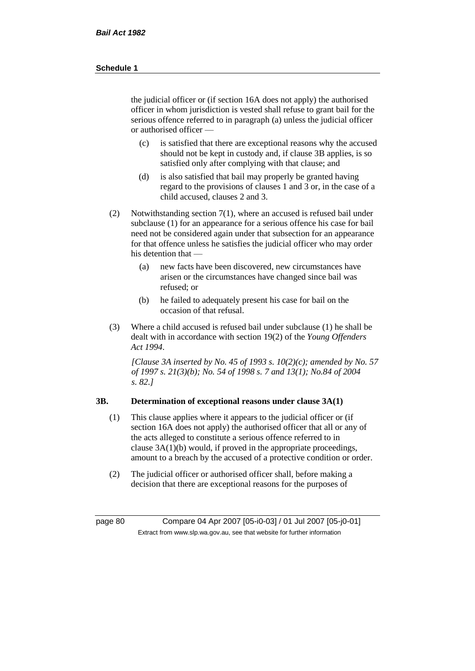the judicial officer or (if section 16A does not apply) the authorised officer in whom jurisdiction is vested shall refuse to grant bail for the serious offence referred to in paragraph (a) unless the judicial officer or authorised officer —

- (c) is satisfied that there are exceptional reasons why the accused should not be kept in custody and, if clause 3B applies, is so satisfied only after complying with that clause; and
- (d) is also satisfied that bail may properly be granted having regard to the provisions of clauses 1 and 3 or, in the case of a child accused, clauses 2 and 3.
- (2) Notwithstanding section 7(1), where an accused is refused bail under subclause (1) for an appearance for a serious offence his case for bail need not be considered again under that subsection for an appearance for that offence unless he satisfies the judicial officer who may order his detention that —
	- (a) new facts have been discovered, new circumstances have arisen or the circumstances have changed since bail was refused; or
	- (b) he failed to adequately present his case for bail on the occasion of that refusal.
- (3) Where a child accused is refused bail under subclause (1) he shall be dealt with in accordance with section 19(2) of the *Young Offenders Act 1994*.

*[Clause 3A inserted by No. 45 of 1993 s. 10(2)(c); amended by No. 57 of 1997 s. 21(3)(b); No. 54 of 1998 s. 7 and 13(1); No.84 of 2004 s. 82.]*

#### **3B. Determination of exceptional reasons under clause 3A(1)**

- (1) This clause applies where it appears to the judicial officer or (if section 16A does not apply) the authorised officer that all or any of the acts alleged to constitute a serious offence referred to in clause 3A(1)(b) would, if proved in the appropriate proceedings, amount to a breach by the accused of a protective condition or order.
- (2) The judicial officer or authorised officer shall, before making a decision that there are exceptional reasons for the purposes of

page 80 Compare 04 Apr 2007 [05-i0-03] / 01 Jul 2007 [05-j0-01] Extract from www.slp.wa.gov.au, see that website for further information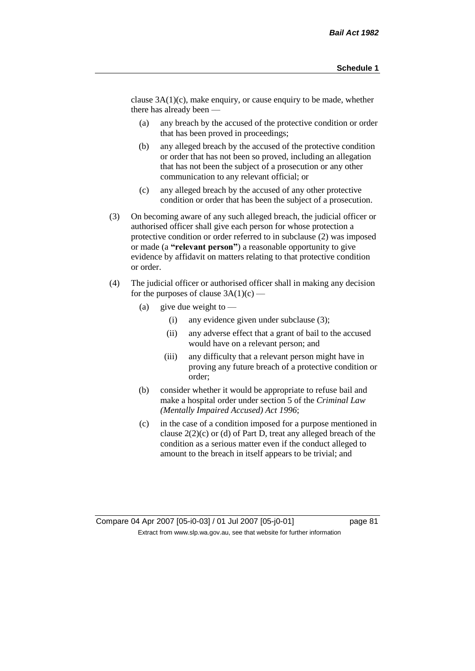clause 3A(1)(c), make enquiry, or cause enquiry to be made, whether there has already been —

- (a) any breach by the accused of the protective condition or order that has been proved in proceedings;
- (b) any alleged breach by the accused of the protective condition or order that has not been so proved, including an allegation that has not been the subject of a prosecution or any other communication to any relevant official; or
- (c) any alleged breach by the accused of any other protective condition or order that has been the subject of a prosecution.
- (3) On becoming aware of any such alleged breach, the judicial officer or authorised officer shall give each person for whose protection a protective condition or order referred to in subclause (2) was imposed or made (a **"relevant person"**) a reasonable opportunity to give evidence by affidavit on matters relating to that protective condition or order.
- (4) The judicial officer or authorised officer shall in making any decision for the purposes of clause  $3A(1)(c)$  —
	- (a) give due weight to  $\equiv$ 
		- (i) any evidence given under subclause (3);
		- (ii) any adverse effect that a grant of bail to the accused would have on a relevant person; and
		- (iii) any difficulty that a relevant person might have in proving any future breach of a protective condition or order;
	- (b) consider whether it would be appropriate to refuse bail and make a hospital order under section 5 of the *Criminal Law (Mentally Impaired Accused) Act 1996*;
	- (c) in the case of a condition imposed for a purpose mentioned in clause 2(2)(c) or (d) of Part D, treat any alleged breach of the condition as a serious matter even if the conduct alleged to amount to the breach in itself appears to be trivial; and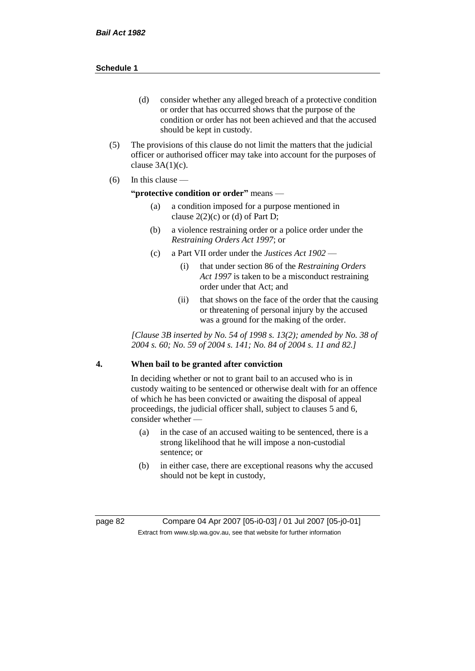- (d) consider whether any alleged breach of a protective condition or order that has occurred shows that the purpose of the condition or order has not been achieved and that the accused should be kept in custody.
- (5) The provisions of this clause do not limit the matters that the judicial officer or authorised officer may take into account for the purposes of clause  $3A(1)(c)$ .
- $(6)$  In this clause —

#### **"protective condition or order"** means —

- (a) a condition imposed for a purpose mentioned in clause  $2(2)(c)$  or (d) of Part D;
- (b) a violence restraining order or a police order under the *Restraining Orders Act 1997*; or
- (c) a Part VII order under the *Justices Act 1902*
	- (i) that under section 86 of the *Restraining Orders Act 1997* is taken to be a misconduct restraining order under that Act; and
	- (ii) that shows on the face of the order that the causing or threatening of personal injury by the accused was a ground for the making of the order.

*[Clause 3B inserted by No. 54 of 1998 s. 13(2); amended by No. 38 of 2004 s. 60; No. 59 of 2004 s. 141; No. 84 of 2004 s. 11 and 82.]*

#### **4. When bail to be granted after conviction**

In deciding whether or not to grant bail to an accused who is in custody waiting to be sentenced or otherwise dealt with for an offence of which he has been convicted or awaiting the disposal of appeal proceedings, the judicial officer shall, subject to clauses 5 and 6, consider whether -

- (a) in the case of an accused waiting to be sentenced, there is a strong likelihood that he will impose a non-custodial sentence; or
- (b) in either case, there are exceptional reasons why the accused should not be kept in custody,

page 82 Compare 04 Apr 2007 [05-i0-03] / 01 Jul 2007 [05-j0-01] Extract from www.slp.wa.gov.au, see that website for further information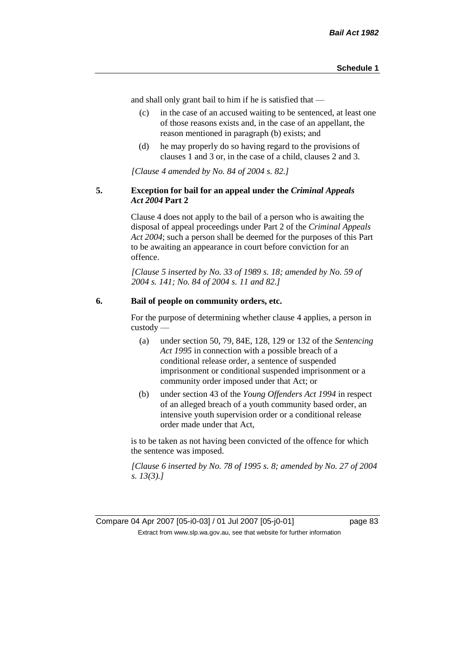and shall only grant bail to him if he is satisfied that —

- (c) in the case of an accused waiting to be sentenced, at least one of those reasons exists and, in the case of an appellant, the reason mentioned in paragraph (b) exists; and
- (d) he may properly do so having regard to the provisions of clauses 1 and 3 or, in the case of a child, clauses 2 and 3.

*[Clause 4 amended by No. 84 of 2004 s. 82.]*

#### **5. Exception for bail for an appeal under the** *Criminal Appeals Act 2004* **Part 2**

Clause 4 does not apply to the bail of a person who is awaiting the disposal of appeal proceedings under Part 2 of the *Criminal Appeals Act 2004*; such a person shall be deemed for the purposes of this Part to be awaiting an appearance in court before conviction for an offence.

*[Clause 5 inserted by No. 33 of 1989 s. 18; amended by No. 59 of 2004 s. 141; No. 84 of 2004 s. 11 and 82.]*

#### **6. Bail of people on community orders, etc.**

For the purpose of determining whether clause 4 applies, a person in custody —

- (a) under section 50, 79, 84E, 128, 129 or 132 of the *Sentencing Act 1995* in connection with a possible breach of a conditional release order, a sentence of suspended imprisonment or conditional suspended imprisonment or a community order imposed under that Act; or
- (b) under section 43 of the *Young Offenders Act 1994* in respect of an alleged breach of a youth community based order, an intensive youth supervision order or a conditional release order made under that Act,

is to be taken as not having been convicted of the offence for which the sentence was imposed.

*[Clause 6 inserted by No. 78 of 1995 s. 8; amended by No. 27 of 2004 s. 13(3).]*

Compare 04 Apr 2007 [05-i0-03] / 01 Jul 2007 [05-j0-01] page 83 Extract from www.slp.wa.gov.au, see that website for further information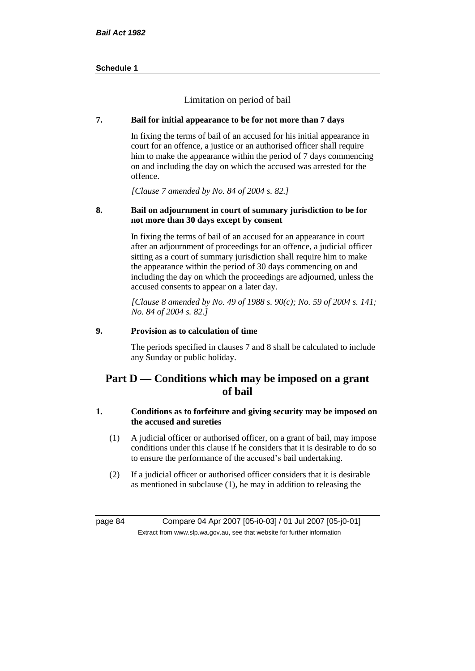Limitation on period of bail

#### **7. Bail for initial appearance to be for not more than 7 days**

In fixing the terms of bail of an accused for his initial appearance in court for an offence, a justice or an authorised officer shall require him to make the appearance within the period of 7 days commencing on and including the day on which the accused was arrested for the offence.

*[Clause 7 amended by No. 84 of 2004 s. 82.]*

#### **8. Bail on adjournment in court of summary jurisdiction to be for not more than 30 days except by consent**

In fixing the terms of bail of an accused for an appearance in court after an adjournment of proceedings for an offence, a judicial officer sitting as a court of summary jurisdiction shall require him to make the appearance within the period of 30 days commencing on and including the day on which the proceedings are adjourned, unless the accused consents to appear on a later day.

*[Clause 8 amended by No. 49 of 1988 s. 90(c); No. 59 of 2004 s. 141; No. 84 of 2004 s. 82.]*

#### **9. Provision as to calculation of time**

The periods specified in clauses 7 and 8 shall be calculated to include any Sunday or public holiday.

### **Part D — Conditions which may be imposed on a grant of bail**

#### **1. Conditions as to forfeiture and giving security may be imposed on the accused and sureties**

- (1) A judicial officer or authorised officer, on a grant of bail, may impose conditions under this clause if he considers that it is desirable to do so to ensure the performance of the accused's bail undertaking.
- (2) If a judicial officer or authorised officer considers that it is desirable as mentioned in subclause (1), he may in addition to releasing the

page 84 Compare 04 Apr 2007 [05-i0-03] / 01 Jul 2007 [05-j0-01] Extract from www.slp.wa.gov.au, see that website for further information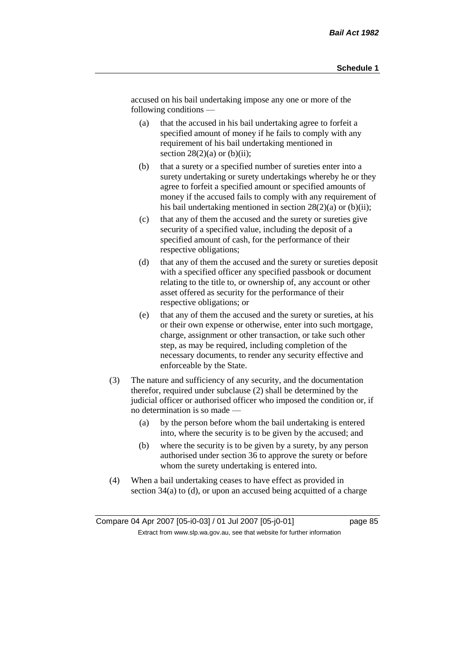accused on his bail undertaking impose any one or more of the following conditions —

- (a) that the accused in his bail undertaking agree to forfeit a specified amount of money if he fails to comply with any requirement of his bail undertaking mentioned in section  $28(2)(a)$  or  $(b)(ii)$ ;
- (b) that a surety or a specified number of sureties enter into a surety undertaking or surety undertakings whereby he or they agree to forfeit a specified amount or specified amounts of money if the accused fails to comply with any requirement of his bail undertaking mentioned in section  $28(2)(a)$  or (b)(ii);
- (c) that any of them the accused and the surety or sureties give security of a specified value, including the deposit of a specified amount of cash, for the performance of their respective obligations;
- (d) that any of them the accused and the surety or sureties deposit with a specified officer any specified passbook or document relating to the title to, or ownership of, any account or other asset offered as security for the performance of their respective obligations; or
- (e) that any of them the accused and the surety or sureties, at his or their own expense or otherwise, enter into such mortgage, charge, assignment or other transaction, or take such other step, as may be required, including completion of the necessary documents, to render any security effective and enforceable by the State.
- (3) The nature and sufficiency of any security, and the documentation therefor, required under subclause (2) shall be determined by the judicial officer or authorised officer who imposed the condition or, if no determination is so made —
	- (a) by the person before whom the bail undertaking is entered into, where the security is to be given by the accused; and
	- (b) where the security is to be given by a surety, by any person authorised under section 36 to approve the surety or before whom the surety undertaking is entered into.
- (4) When a bail undertaking ceases to have effect as provided in section 34(a) to (d), or upon an accused being acquitted of a charge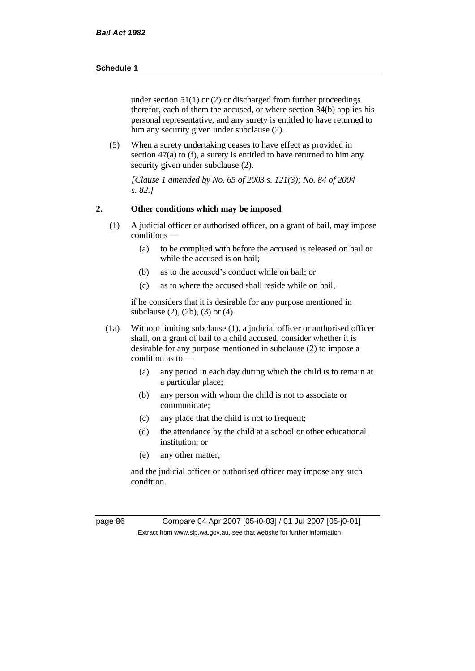under section  $51(1)$  or (2) or discharged from further proceedings therefor, each of them the accused, or where section 34(b) applies his personal representative, and any surety is entitled to have returned to him any security given under subclause (2).

(5) When a surety undertaking ceases to have effect as provided in section 47(a) to (f), a surety is entitled to have returned to him any security given under subclause (2).

*[Clause 1 amended by No. 65 of 2003 s. 121(3); No. 84 of 2004 s. 82.]*

#### **2. Other conditions which may be imposed**

- (1) A judicial officer or authorised officer, on a grant of bail, may impose conditions —
	- (a) to be complied with before the accused is released on bail or while the accused is on bail;
	- (b) as to the accused's conduct while on bail; or
	- (c) as to where the accused shall reside while on bail,

if he considers that it is desirable for any purpose mentioned in subclause (2), (2b), (3) or (4).

- (1a) Without limiting subclause (1), a judicial officer or authorised officer shall, on a grant of bail to a child accused, consider whether it is desirable for any purpose mentioned in subclause (2) to impose a condition as to —
	- (a) any period in each day during which the child is to remain at a particular place;
	- (b) any person with whom the child is not to associate or communicate;
	- (c) any place that the child is not to frequent;
	- (d) the attendance by the child at a school or other educational institution; or
	- (e) any other matter,

and the judicial officer or authorised officer may impose any such condition.

page 86 Compare 04 Apr 2007 [05-i0-03] / 01 Jul 2007 [05-j0-01] Extract from www.slp.wa.gov.au, see that website for further information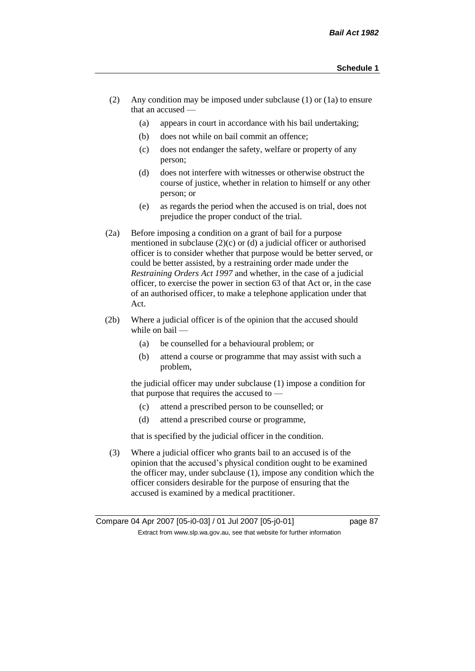- (2) Any condition may be imposed under subclause (1) or (1a) to ensure that an accused —
	- (a) appears in court in accordance with his bail undertaking;
	- (b) does not while on bail commit an offence;
	- (c) does not endanger the safety, welfare or property of any person;
	- (d) does not interfere with witnesses or otherwise obstruct the course of justice, whether in relation to himself or any other person; or
	- (e) as regards the period when the accused is on trial, does not prejudice the proper conduct of the trial.
- (2a) Before imposing a condition on a grant of bail for a purpose mentioned in subclause (2)(c) or (d) a judicial officer or authorised officer is to consider whether that purpose would be better served, or could be better assisted, by a restraining order made under the *Restraining Orders Act 1997* and whether, in the case of a judicial officer, to exercise the power in section 63 of that Act or, in the case of an authorised officer, to make a telephone application under that Act.
- (2b) Where a judicial officer is of the opinion that the accused should while on bail -
	- (a) be counselled for a behavioural problem; or
	- (b) attend a course or programme that may assist with such a problem,

the judicial officer may under subclause (1) impose a condition for that purpose that requires the accused to —

- (c) attend a prescribed person to be counselled; or
- (d) attend a prescribed course or programme,

that is specified by the judicial officer in the condition.

(3) Where a judicial officer who grants bail to an accused is of the opinion that the accused's physical condition ought to be examined the officer may, under subclause (1), impose any condition which the officer considers desirable for the purpose of ensuring that the accused is examined by a medical practitioner.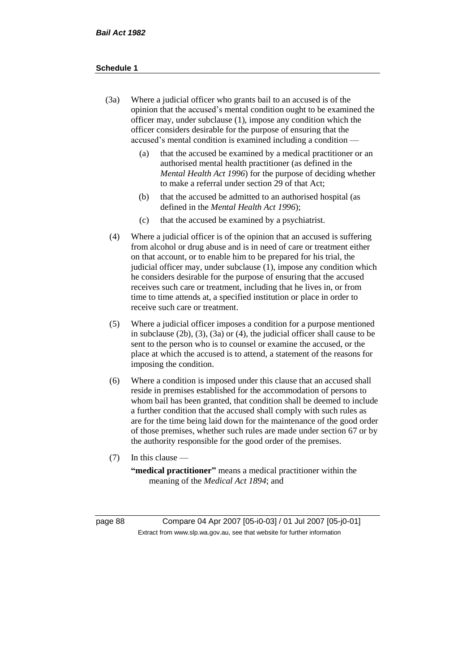- (3a) Where a judicial officer who grants bail to an accused is of the opinion that the accused's mental condition ought to be examined the officer may, under subclause (1), impose any condition which the officer considers desirable for the purpose of ensuring that the accused's mental condition is examined including a condition —
	- (a) that the accused be examined by a medical practitioner or an authorised mental health practitioner (as defined in the *Mental Health Act 1996*) for the purpose of deciding whether to make a referral under section 29 of that Act;
	- (b) that the accused be admitted to an authorised hospital (as defined in the *Mental Health Act 1996*);
	- (c) that the accused be examined by a psychiatrist.
- (4) Where a judicial officer is of the opinion that an accused is suffering from alcohol or drug abuse and is in need of care or treatment either on that account, or to enable him to be prepared for his trial, the judicial officer may, under subclause (1), impose any condition which he considers desirable for the purpose of ensuring that the accused receives such care or treatment, including that he lives in, or from time to time attends at, a specified institution or place in order to receive such care or treatment.
- (5) Where a judicial officer imposes a condition for a purpose mentioned in subclause (2b), (3), (3a) or (4), the judicial officer shall cause to be sent to the person who is to counsel or examine the accused, or the place at which the accused is to attend, a statement of the reasons for imposing the condition.
- (6) Where a condition is imposed under this clause that an accused shall reside in premises established for the accommodation of persons to whom bail has been granted, that condition shall be deemed to include a further condition that the accused shall comply with such rules as are for the time being laid down for the maintenance of the good order of those premises, whether such rules are made under section 67 or by the authority responsible for the good order of the premises.
- (7) In this clause —

**"medical practitioner"** means a medical practitioner within the meaning of the *Medical Act 1894*; and

page 88 Compare 04 Apr 2007 [05-i0-03] / 01 Jul 2007 [05-j0-01] Extract from www.slp.wa.gov.au, see that website for further information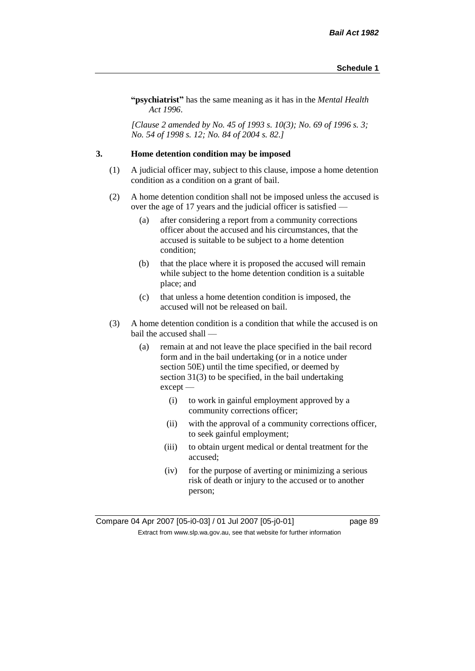**"psychiatrist"** has the same meaning as it has in the *Mental Health Act 1996*.

*[Clause 2 amended by No. 45 of 1993 s. 10(3); No. 69 of 1996 s. 3; No. 54 of 1998 s. 12; No. 84 of 2004 s. 82.]*

#### **3. Home detention condition may be imposed**

- (1) A judicial officer may, subject to this clause, impose a home detention condition as a condition on a grant of bail.
- (2) A home detention condition shall not be imposed unless the accused is over the age of 17 years and the judicial officer is satisfied —
	- (a) after considering a report from a community corrections officer about the accused and his circumstances, that the accused is suitable to be subject to a home detention condition;
	- (b) that the place where it is proposed the accused will remain while subject to the home detention condition is a suitable place; and
	- (c) that unless a home detention condition is imposed, the accused will not be released on bail.
- (3) A home detention condition is a condition that while the accused is on bail the accused shall —
	- (a) remain at and not leave the place specified in the bail record form and in the bail undertaking (or in a notice under section 50E) until the time specified, or deemed by section 31(3) to be specified, in the bail undertaking except —
		- (i) to work in gainful employment approved by a community corrections officer;
		- (ii) with the approval of a community corrections officer, to seek gainful employment;
		- (iii) to obtain urgent medical or dental treatment for the accused;
		- (iv) for the purpose of averting or minimizing a serious risk of death or injury to the accused or to another person;

Compare 04 Apr 2007 [05-i0-03] / 01 Jul 2007 [05-j0-01] page 89 Extract from www.slp.wa.gov.au, see that website for further information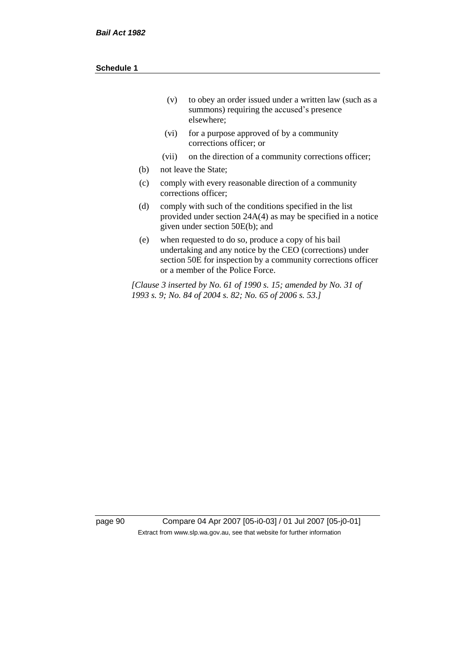| (v) | to obey an order issued under a written law (such as a |
|-----|--------------------------------------------------------|
|     | summons) requiring the accused's presence              |
|     | elsewhere:                                             |

- (vi) for a purpose approved of by a community corrections officer; or
- (vii) on the direction of a community corrections officer;
- (b) not leave the State;
- (c) comply with every reasonable direction of a community corrections officer;
- (d) comply with such of the conditions specified in the list provided under section 24A(4) as may be specified in a notice given under section 50E(b); and
- (e) when requested to do so, produce a copy of his bail undertaking and any notice by the CEO (corrections) under section 50E for inspection by a community corrections officer or a member of the Police Force.

*[Clause 3 inserted by No. 61 of 1990 s. 15; amended by No. 31 of 1993 s. 9; No. 84 of 2004 s. 82; No. 65 of 2006 s. 53.]*

page 90 Compare 04 Apr 2007 [05-i0-03] / 01 Jul 2007 [05-j0-01] Extract from www.slp.wa.gov.au, see that website for further information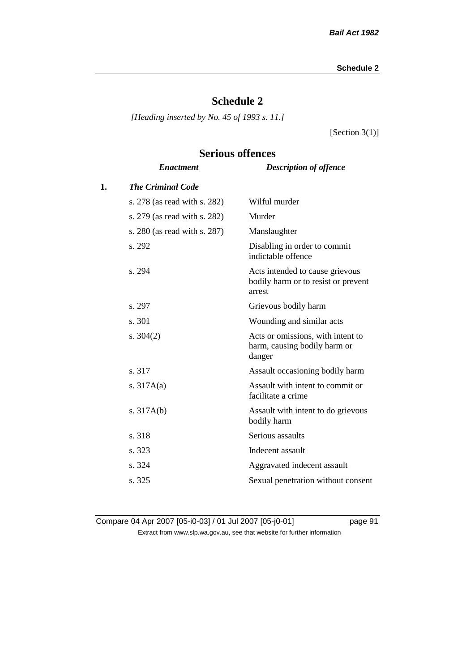### **Schedule 2**

*[Heading inserted by No. 45 of 1993 s. 11.]*

[Section  $3(1)$ ]

# *Enactment Description of offence* **1.** *The Criminal Code* s. 278 (as read with s. 282) Wilful murder s. 279 (as read with s. 282) Murder s. 280 (as read with s. 287) Manslaughter s. 292 Disabling in order to commit indictable offence s. 294 Acts intended to cause grievous bodily harm or to resist or prevent arrest s. 297 Grievous bodily harm s. 301 Wounding and similar acts s. 304(2) Acts or omissions, with intent to harm, causing bodily harm or danger s. 317 Assault occasioning bodily harm s. 317A(a) Assault with intent to commit or facilitate a crime s. 317A(b) Assault with intent to do grievous bodily harm s. 318 Serious assaults s. 323 Indecent assault s. 324 Aggravated indecent assault s. 325 Sexual penetration without consent

# **Serious offences**

Compare 04 Apr 2007 [05-i0-03] / 01 Jul 2007 [05-j0-01] page 91 Extract from www.slp.wa.gov.au, see that website for further information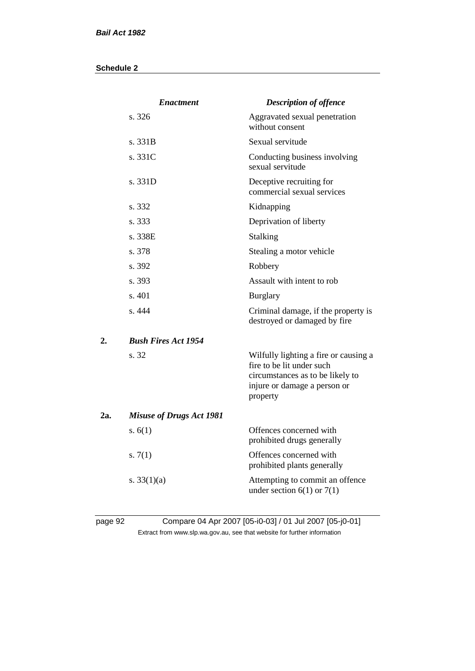|     | <b>Enactment</b>                | <b>Description of offence</b>                                                                                                                      |
|-----|---------------------------------|----------------------------------------------------------------------------------------------------------------------------------------------------|
|     | s. 326                          | Aggravated sexual penetration<br>without consent                                                                                                   |
|     | s.331B                          | Sexual servitude                                                                                                                                   |
|     | s. 331C                         | Conducting business involving<br>sexual servitude                                                                                                  |
|     | s. 331D                         | Deceptive recruiting for<br>commercial sexual services                                                                                             |
|     | s. 332                          | Kidnapping                                                                                                                                         |
|     | s. 333                          | Deprivation of liberty                                                                                                                             |
|     | s. 338E                         | Stalking                                                                                                                                           |
|     | s. 378                          | Stealing a motor vehicle                                                                                                                           |
|     | s. 392                          | Robbery                                                                                                                                            |
|     | s. 393                          | Assault with intent to rob                                                                                                                         |
|     | s. 401                          | <b>Burglary</b>                                                                                                                                    |
|     | s. 444                          | Criminal damage, if the property is<br>destroyed or damaged by fire                                                                                |
| 2.  | <b>Bush Fires Act 1954</b>      |                                                                                                                                                    |
|     | s. 32                           | Wilfully lighting a fire or causing a<br>fire to be lit under such<br>circumstances as to be likely to<br>injure or damage a person or<br>property |
| 2a. | <b>Misuse of Drugs Act 1981</b> |                                                                                                                                                    |
|     | s. $6(1)$                       | Offences concerned with<br>prohibited drugs generally                                                                                              |
|     | s. $7(1)$                       | Offences concerned with<br>prohibited plants generally                                                                                             |
|     | s. $33(1)(a)$                   | Attempting to commit an offence<br>under section $6(1)$ or $7(1)$                                                                                  |
|     |                                 |                                                                                                                                                    |

### page 92 Compare 04 Apr 2007 [05-i0-03] / 01 Jul 2007 [05-j0-01] Extract from www.slp.wa.gov.au, see that website for further information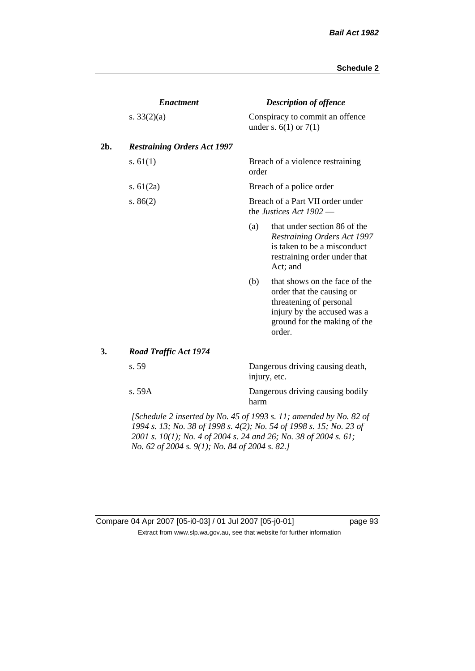|     | <b>Enactment</b>                                                           |                                                               | <b>Description of offence</b>                                                                                                                                  |  |  |
|-----|----------------------------------------------------------------------------|---------------------------------------------------------------|----------------------------------------------------------------------------------------------------------------------------------------------------------------|--|--|
|     | s. $33(2)(a)$                                                              |                                                               | Conspiracy to commit an offence<br>under s. $6(1)$ or $7(1)$                                                                                                   |  |  |
| 2b. | <b>Restraining Orders Act 1997</b>                                         |                                                               |                                                                                                                                                                |  |  |
|     | s. $61(1)$                                                                 | order                                                         | Breach of a violence restraining                                                                                                                               |  |  |
|     | s. $61(2a)$                                                                |                                                               | Breach of a police order                                                                                                                                       |  |  |
|     | s. $86(2)$                                                                 | Breach of a Part VII order under<br>the Justices Act $1902$ — |                                                                                                                                                                |  |  |
|     |                                                                            | (a)                                                           | that under section 86 of the<br>Restraining Orders Act 1997<br>is taken to be a misconduct<br>restraining order under that<br>Act; and                         |  |  |
|     |                                                                            | (b)                                                           | that shows on the face of the<br>order that the causing or<br>threatening of personal<br>injury by the accused was a<br>ground for the making of the<br>order. |  |  |
| 3.  | <b>Road Traffic Act 1974</b>                                               |                                                               |                                                                                                                                                                |  |  |
|     | s. 59                                                                      |                                                               | Dangerous driving causing death,<br>injury, etc.                                                                                                               |  |  |
|     | s. 59A                                                                     | harm                                                          | Dangerous driving causing bodily                                                                                                                               |  |  |
|     | $\Delta$ Cohedule 2 inserted by No. 45 of 1003 s. 11; amended by No. 82 of |                                                               |                                                                                                                                                                |  |  |

*[Schedule 2 inserted by No. 45 of 1993 s. 11; amended by No. 82 of 1994 s. 13; No. 38 of 1998 s. 4(2); No. 54 of 1998 s. 15; No. 23 of 2001 s. 10(1); No. 4 of 2004 s. 24 and 26; No. 38 of 2004 s. 61; No. 62 of 2004 s. 9(1); No. 84 of 2004 s. 82.]* 

Compare 04 Apr 2007 [05-i0-03] / 01 Jul 2007 [05-j0-01] page 93 Extract from www.slp.wa.gov.au, see that website for further information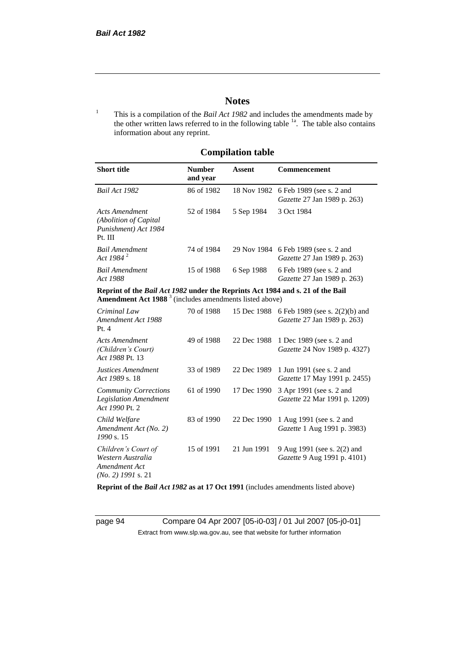### **Notes**

<sup>1</sup> This is a compilation of the *Bail Act 1982* and includes the amendments made by the other written laws referred to in the following table  $1a$ . The table also contains information about any reprint.

### **Compilation table**

| <b>Short title</b>                                                          | <b>Number</b><br>and year | Assent     | <b>Commencement</b>                                                        |
|-----------------------------------------------------------------------------|---------------------------|------------|----------------------------------------------------------------------------|
| Bail Act 1982                                                               | 86 of 1982                |            | 18 Nov 1982 6 Feb 1989 (see s. 2 and<br><i>Gazette</i> 27 Jan 1989 p. 263) |
| Acts Amendment<br>(Abolition of Capital)<br>Punishment) Act 1984<br>Pt. III | 52 of 1984                | 5 Sep 1984 | 3 Oct 1984                                                                 |
| Bail Amendment<br>Act 1984 <sup>2</sup>                                     | 74 of 1984                |            | 29 Nov 1984 6 Feb 1989 (see s. 2 and<br>Gazette 27 Jan 1989 p. 263)        |
| <b>Bail Amendment</b><br>Act 1988                                           | 15 of 1988                | 6 Sep 1988 | 6 Feb 1989 (see s. 2 and<br><i>Gazette</i> 27 Jan 1989 p. 263)             |

**Reprint of the** *Bail Act 1982* **under the Reprints Act 1984 and s. 21 of the Bail Amendment Act 1988** <sup>3</sup> (includes amendments listed above)

| Criminal Law<br>Amendment Act 1988<br>Pt.4                                        | 70 of 1988 | 15 Dec 1988 | 6 Feb 1989 (see s. 2(2)(b) and<br><i>Gazette</i> 27 Jan 1989 p. 263) |
|-----------------------------------------------------------------------------------|------------|-------------|----------------------------------------------------------------------|
| <b>Acts Amendment</b><br>(Children's Court)<br>Act 1988 Pt. 13                    | 49 of 1988 | 22 Dec 1988 | 1 Dec 1989 (see s. 2 and<br><i>Gazette</i> 24 Nov 1989 p. 4327)      |
| Justices Amendment<br>Act 1989 s. 18                                              | 33 of 1989 | 22 Dec 1989 | 1 Jun 1991 (see s. 2 and<br><i>Gazette</i> 17 May 1991 p. 2455)      |
| <b>Community Corrections</b><br><b>Legislation Amendment</b><br>Act 1990 Pt. 2    | 61 of 1990 | 17 Dec 1990 | 3 Apr 1991 (see s. 2 and<br><i>Gazette</i> 22 Mar 1991 p. 1209)      |
| Child Welfare<br>Amendment Act (No. 2)<br>1990 s. 15                              | 83 of 1990 | 22 Dec 1990 | 1 Aug 1991 (see s. 2 and<br><i>Gazette</i> 1 Aug 1991 p. 3983)       |
| Children's Court of<br>Western Australia<br>Amendment Act<br>$(No. 2)$ 1991 s. 21 | 15 of 1991 | 21 Jun 1991 | 9 Aug 1991 (see s. 2(2) and<br><i>Gazette</i> 9 Aug 1991 p. 4101)    |

**Reprint of the** *Bail Act 1982* **as at 17 Oct 1991** (includes amendments listed above)

page 94 Compare 04 Apr 2007 [05-i0-03] / 01 Jul 2007 [05-j0-01] Extract from www.slp.wa.gov.au, see that website for further information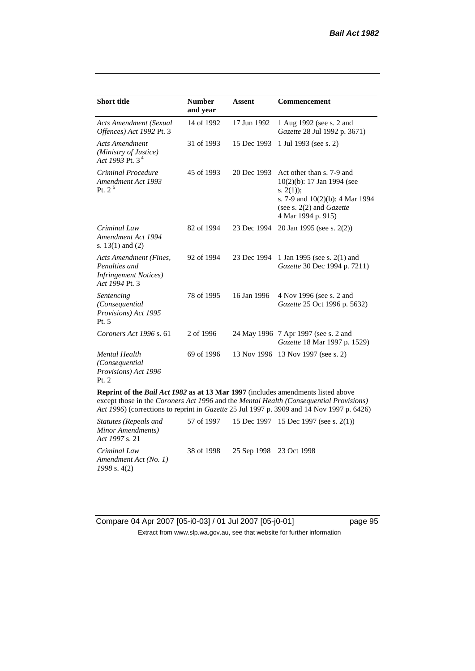| <b>Short title</b>                                                                                                                                                                                                                                                      | <b>Number</b><br>and year | <b>Assent</b> | Commencement                                                                                                                                                               |  |
|-------------------------------------------------------------------------------------------------------------------------------------------------------------------------------------------------------------------------------------------------------------------------|---------------------------|---------------|----------------------------------------------------------------------------------------------------------------------------------------------------------------------------|--|
| <b>Acts Amendment (Sexual</b><br>Offences) Act 1992 Pt. 3                                                                                                                                                                                                               | 14 of 1992                | 17 Jun 1992   | 1 Aug 1992 (see s. 2 and<br>Gazette 28 Jul 1992 p. 3671)                                                                                                                   |  |
| <b>Acts Amendment</b><br>(Ministry of Justice)<br>Act 1993 Pt. $3^4$                                                                                                                                                                                                    | 31 of 1993                | 15 Dec 1993   | 1 Jul 1993 (see s. 2)                                                                                                                                                      |  |
| Criminal Procedure<br>Amendment Act 1993<br>Pt. $2^5$                                                                                                                                                                                                                   | 45 of 1993                | 20 Dec 1993   | Act other than s. 7-9 and<br>$10(2)(b)$ : 17 Jan 1994 (see<br>s. $2(1)$ ;<br>s. 7-9 and $10(2)(b)$ : 4 Mar 1994<br>(see s. $2(2)$ and <i>Gazette</i><br>4 Mar 1994 p. 915) |  |
| Criminal Law<br>Amendment Act 1994<br>s. $13(1)$ and $(2)$                                                                                                                                                                                                              | 82 of 1994                | 23 Dec 1994   | 20 Jan 1995 (see s. 2(2))                                                                                                                                                  |  |
| <b>Acts Amendment (Fines,</b><br>Penalties and<br><b>Infringement Notices</b> )<br>Act 1994 Pt. 3                                                                                                                                                                       | 92 of 1994                | 23 Dec 1994   | 1 Jan 1995 (see s. 2(1) and<br>Gazette 30 Dec 1994 p. 7211)                                                                                                                |  |
| Sentencing<br>(Consequential<br>Provisions) Act 1995<br>Pt. 5                                                                                                                                                                                                           | 78 of 1995                | 16 Jan 1996   | 4 Nov 1996 (see s. 2 and<br>Gazette 25 Oct 1996 p. 5632)                                                                                                                   |  |
| Coroners Act 1996 s. 61                                                                                                                                                                                                                                                 | 2 of 1996                 |               | 24 May 1996 7 Apr 1997 (see s. 2 and<br>Gazette 18 Mar 1997 p. 1529)                                                                                                       |  |
| <b>Mental Health</b><br>(Consequential<br>Provisions) Act 1996<br>Pt. 2                                                                                                                                                                                                 | 69 of 1996                |               | 13 Nov 1996 13 Nov 1997 (see s. 2)                                                                                                                                         |  |
| Reprint of the Bail Act 1982 as at 13 Mar 1997 (includes amendments listed above<br>except those in the Coroners Act 1996 and the Mental Health (Consequential Provisions)<br>Act 1996) (corrections to reprint in Gazette 25 Jul 1997 p. 3909 and 14 Nov 1997 p. 6426) |                           |               |                                                                                                                                                                            |  |

| <i>Statutes (Repeals and</i><br>Minor Amendments)<br><i>Act 1997 s.</i> 21 |                                    | 57 of 1997 15 Dec 1997 15 Dec 1997 (see s. 2(1)) |
|----------------------------------------------------------------------------|------------------------------------|--------------------------------------------------|
| Criminal Law<br>Amendment Act (No. 1)<br>1998 s. 4(2)                      | 38 of 1998 25 Sep 1998 23 Oct 1998 |                                                  |

Compare 04 Apr 2007 [05-i0-03] / 01 Jul 2007 [05-j0-01] page 95 Extract from www.slp.wa.gov.au, see that website for further information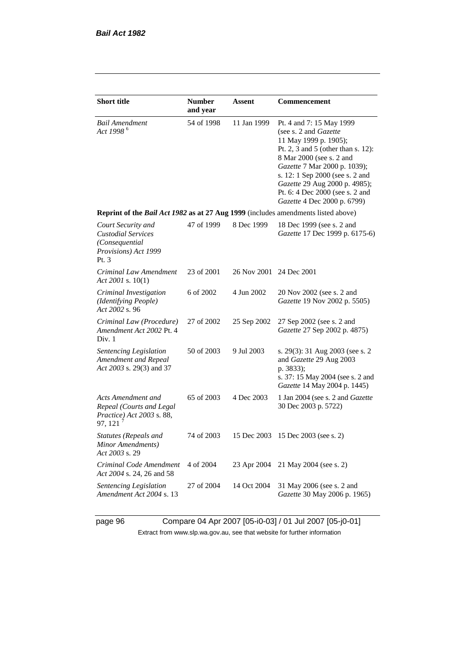| <b>Short title</b>                                                                                 | <b>Number</b><br>and year | Assent                  | Commencement                                                                                                                                                                                                                                                                                                       |  |  |  |
|----------------------------------------------------------------------------------------------------|---------------------------|-------------------------|--------------------------------------------------------------------------------------------------------------------------------------------------------------------------------------------------------------------------------------------------------------------------------------------------------------------|--|--|--|
| <b>Bail Amendment</b><br>Act 1998 <sup>6</sup>                                                     | 54 of 1998                | 11 Jan 1999             | Pt. 4 and 7: 15 May 1999<br>(see s. 2 and Gazette<br>11 May 1999 p. 1905);<br>Pt. 2, 3 and 5 (other than s. 12):<br>8 Mar 2000 (see s. 2 and<br>Gazette 7 Mar 2000 p. 1039);<br>s. 12: 1 Sep 2000 (see s. 2 and<br>Gazette 29 Aug 2000 p. 4985);<br>Pt. 6: 4 Dec 2000 (see s. 2 and<br>Gazette 4 Dec 2000 p. 6799) |  |  |  |
| Reprint of the <i>Bail Act 1982</i> as at 27 Aug 1999 (includes amendments listed above)           |                           |                         |                                                                                                                                                                                                                                                                                                                    |  |  |  |
| Court Security and<br><b>Custodial Services</b><br>(Consequential<br>Provisions) Act 1999<br>Pt. 3 | 47 of 1999                | 8 Dec 1999              | 18 Dec 1999 (see s. 2 and<br>Gazette 17 Dec 1999 p. 6175-6)                                                                                                                                                                                                                                                        |  |  |  |
| Criminal Law Amendment<br>Act 2001 s. 10(1)                                                        | 23 of 2001                | 26 Nov 2001 24 Dec 2001 |                                                                                                                                                                                                                                                                                                                    |  |  |  |
| Criminal Investigation<br>(Identifying People)<br>Act 2002 s. 96                                   | 6 of 2002                 | 4 Jun 2002              | 20 Nov 2002 (see s. 2 and<br>Gazette 19 Nov 2002 p. 5505)                                                                                                                                                                                                                                                          |  |  |  |
| Criminal Law (Procedure)<br>Amendment Act 2002 Pt. 4<br>Div. 1                                     | 27 of 2002                | 25 Sep 2002             | 27 Sep 2002 (see s. 2 and<br>Gazette 27 Sep 2002 p. 4875)                                                                                                                                                                                                                                                          |  |  |  |
| Sentencing Legislation<br>Amendment and Repeal<br>Act 2003 s. 29(3) and 37                         | 50 of 2003                | 9 Jul 2003              | s. 29(3): 31 Aug 2003 (see s. 2<br>and Gazette 29 Aug 2003<br>p. 3833);<br>s. 37: 15 May 2004 (see s. 2 and<br>Gazette 14 May 2004 p. 1445)                                                                                                                                                                        |  |  |  |
| Acts Amendment and<br>Repeal (Courts and Legal<br>Practice) Act 2003 s. 88,<br>97, 121 $^7$        | 65 of 2003                | 4 Dec 2003              | 1 Jan 2004 (see s. 2 and Gazette<br>30 Dec 2003 p. 5722)                                                                                                                                                                                                                                                           |  |  |  |
| <b>Statutes (Repeals and</b><br>Minor Amendments)<br>Act 2003 s. 29                                | 74 of 2003                | 15 Dec 2003             | 15 Dec 2003 (see s. 2)                                                                                                                                                                                                                                                                                             |  |  |  |
| Criminal Code Amendment<br>Act 2004 s. 24, 26 and 58                                               | 4 of 2004                 | 23 Apr 2004             | 21 May 2004 (see s. 2)                                                                                                                                                                                                                                                                                             |  |  |  |
| Sentencing Legislation<br>Amendment Act 2004 s. 13                                                 | 27 of 2004                | 14 Oct 2004             | 31 May 2006 (see s. 2 and<br>Gazette 30 May 2006 p. 1965)                                                                                                                                                                                                                                                          |  |  |  |

page 96 Compare 04 Apr 2007 [05-i0-03] / 01 Jul 2007 [05-j0-01] Extract from www.slp.wa.gov.au, see that website for further information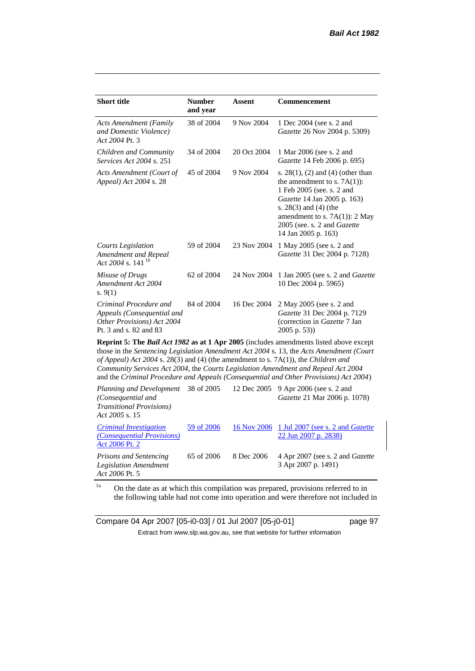| <b>Short title</b>                                                                                                                                                                                                                                                             | <b>Number</b><br>and year | <b>Assent</b> | <b>Commencement</b>                                                                                                                                                                                                                                            |  |
|--------------------------------------------------------------------------------------------------------------------------------------------------------------------------------------------------------------------------------------------------------------------------------|---------------------------|---------------|----------------------------------------------------------------------------------------------------------------------------------------------------------------------------------------------------------------------------------------------------------------|--|
| <b>Acts Amendment (Family</b><br>and Domestic Violence)<br>Act 2004 Pt. 3                                                                                                                                                                                                      | 38 of 2004                | 9 Nov 2004    | 1 Dec 2004 (see s. 2 and<br><i>Gazette</i> 26 Nov 2004 p. 5309)                                                                                                                                                                                                |  |
| Children and Community<br><i>Services Act 2004 s. 251</i>                                                                                                                                                                                                                      | 34 of 2004                | 20 Oct 2004   | 1 Mar 2006 (see s. 2 and<br><i>Gazette</i> 14 Feb 2006 p. 695)                                                                                                                                                                                                 |  |
| Acts Amendment (Court of<br>Appeal) Act 2004 s. 28                                                                                                                                                                                                                             | 45 of 2004                | 9 Nov 2004    | s. $28(1)$ , (2) and (4) (other than<br>the amendment to s. $7A(1)$ :<br>1 Feb 2005 (see. s. 2 and<br><i>Gazette</i> 14 Jan 2005 p. 163)<br>s. $28(3)$ and $(4)$ (the<br>amendment to s. $7A(1)$ : 2 May<br>2005 (see. s. 2 and Gazette<br>14 Jan 2005 p. 163) |  |
| Courts Legislation<br>Amendment and Repeal<br>Act 2004 s. 141 <sup>10</sup>                                                                                                                                                                                                    | 59 of 2004                | 23 Nov 2004   | 1 May 2005 (see s. 2 and<br>Gazette 31 Dec 2004 p. 7128)                                                                                                                                                                                                       |  |
| Misuse of Drugs<br>Amendment Act 2004<br>s. $9(1)$                                                                                                                                                                                                                             | 62 of 2004                | 24 Nov 2004   | 1 Jan 2005 (see s. 2 and <i>Gazette</i><br>10 Dec 2004 p. 5965)                                                                                                                                                                                                |  |
| Criminal Procedure and<br>Appeals (Consequential and<br>Other Provisions) Act 2004<br>Pt. 3 and s. 82 and 83                                                                                                                                                                   | 84 of 2004                | 16 Dec 2004   | 2 May 2005 (see s. 2 and<br>Gazette 31 Dec 2004 p. 7129<br>(correction in Gazette 7 Jan<br>$2005$ p. 53))                                                                                                                                                      |  |
| <b>Reprint 5: The Bail Act 1982 as at 1 Apr 2005</b> (includes amendments listed above except<br>those in the Sentencing Legislation Amendment Act 2004 s. 13, the Acts Amendment (Court<br>of Appeal) Act 2004 s. 28(3) and (4) (the amendment to s. 7A(1)), the Children and |                           |               |                                                                                                                                                                                                                                                                |  |

*of Appeal) Act 2004* s. 28(3) and (4) (the amendment to s. 7A(1)), the *Children and Community Services Act 2004*, the *Courts Legislation Amendment and Repeal Act 2004* and the *Criminal Procedure and Appeals (Consequential and Other Provisions) Act 2004*)

*Planning and Development (Consequential and Transitional Provisions) Act 2005* s. 15 12 Dec 2005 9 Apr 2006 (see s. 2 and *Gazette* 21 Mar 2006 p. 1078) *Criminal Investigation (Consequential Provisions) Act 2006* Pt. 2 59 of 2006 16 Nov 2006 1 Jul 2007 (see s. 2 and *Gazette* 22 Jun 2007 p. 2838) *Prisons and Sentencing Legislation Amendment Act 2006* Pt. 5 65 of 2006 8 Dec 2006 4 Apr 2007 (see s. 2 and *Gazette* 3 Apr 2007 p. 1491)

<sup>1a</sup> On the date as at which this compilation was prepared, provisions referred to in the following table had not come into operation and were therefore not included in

Compare 04 Apr 2007 [05-i0-03] / 01 Jul 2007 [05-j0-01] page 97 Extract from www.slp.wa.gov.au, see that website for further information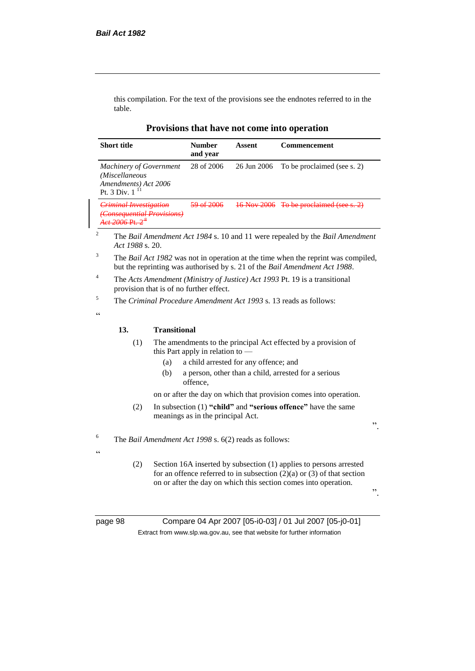this compilation. For the text of the provisions see the endnotes referred to in the table.

| <b>Short title</b>                                                                           | <b>Number</b><br>and year | Assent      | Commencement                |
|----------------------------------------------------------------------------------------------|---------------------------|-------------|-----------------------------|
| <b>Machinery of Government</b><br>(Miscellaneous<br>Amendments) Act 2006<br>Pt. 3 Div. $111$ | 28 of 2006                | 26 Jun 2006 | To be proclaimed (see s. 2) |
| <b>Criminal Investigation</b><br><b>Consequential Provisions)</b>                            |                           | 16 Nov 2006 | To be proclaimed (see s. 2) |

**Provisions that have not come into operation**

<sup>3</sup> The *Bail Act 1982* was not in operation at the time when the reprint was compiled, but the reprinting was authorised by s. 21 of the *Bail Amendment Act 1988*.

<sup>4</sup> The *Acts Amendment (Ministry of Justice) Act 1993* Pt. 19 is a transitional provision that is of no further effect.

<sup>5</sup> The *Criminal Procedure Amendment Act 1993* s. 13 reads as follows:

<u>، د</u>

#### **13. Transitional**

*Act 1988* s. 20.

- (1) The amendments to the principal Act effected by a provision of this Part apply in relation to —
	- (a) a child arrested for any offence; and
	- (b) a person, other than a child, arrested for a serious offence,

on or after the day on which that provision comes into operation.

(2) In subsection (1) **"child"** and **"serious offence"** have the same meanings as in the principal Act.

<sup>6</sup> The *Bail Amendment Act 1998* s. 6(2) reads as follows:

(2) Section 16A inserted by subsection (1) applies to persons arrested for an offence referred to in subsection  $(2)(a)$  or  $(3)$  of that section on or after the day on which this section comes into operation.

".

".

 $\epsilon$ 

page 98 Compare 04 Apr 2007 [05-i0-03] / 01 Jul 2007 [05-j0-01] Extract from www.slp.wa.gov.au, see that website for further information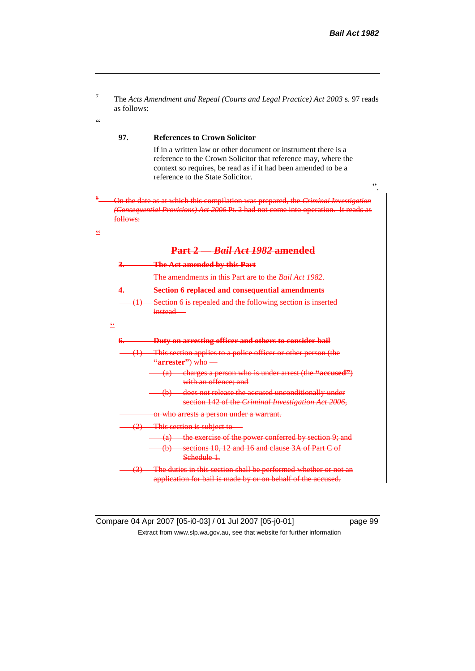

Compare 04 Apr 2007 [05-i0-03] / 01 Jul 2007 [05-j0-01] page 99 Extract from www.slp.wa.gov.au, see that website for further information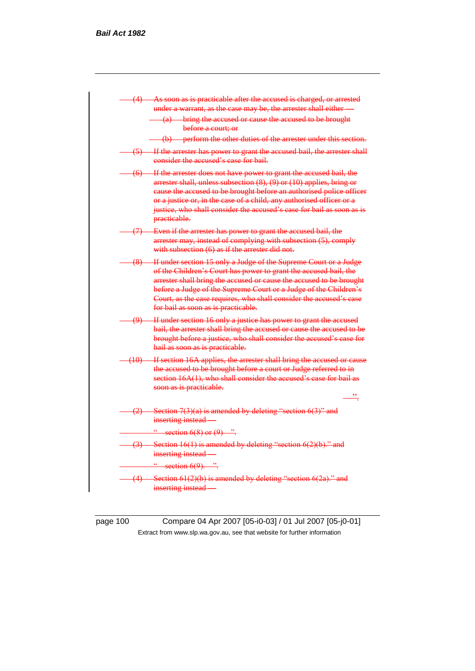

page 100 Compare 04 Apr 2007 [05-i0-03] / 01 Jul 2007 [05-j0-01] Extract from www.slp.wa.gov.au, see that website for further information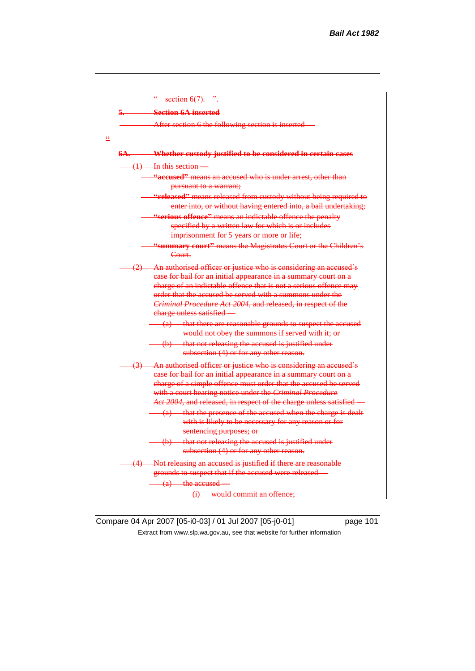

Compare 04 Apr 2007 [05-i0-03] / 01 Jul 2007 [05-j0-01] page 101 Extract from www.slp.wa.gov.au, see that website for further information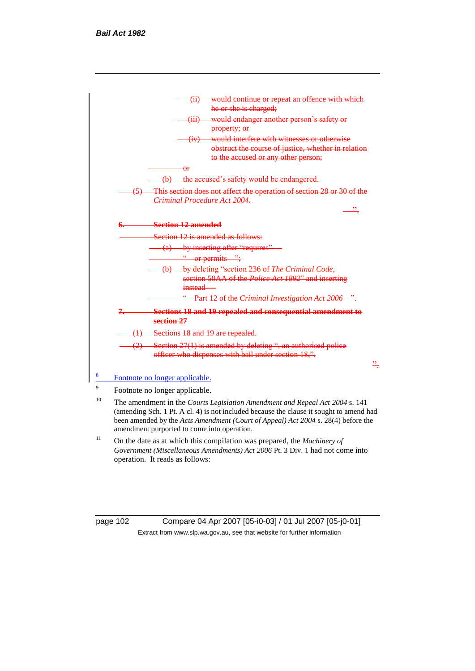

- <sup>10</sup> The amendment in the *Courts Legislation Amendment and Repeal Act 2004* s. 141 (amending Sch. 1 Pt. A cl. 4) is not included because the clause it sought to amend had been amended by the *Acts Amendment (Court of Appeal) Act 2004* s. 28(4) before the amendment purported to come into operation.
- <sup>11</sup> On the date as at which this compilation was prepared, the *Machinery of Government (Miscellaneous Amendments) Act 2006* Pt. 3 Div. 1 had not come into operation. It reads as follows:

page 102 Compare 04 Apr 2007 [05-i0-03] / 01 Jul 2007 [05-j0-01] Extract from www.slp.wa.gov.au, see that website for further information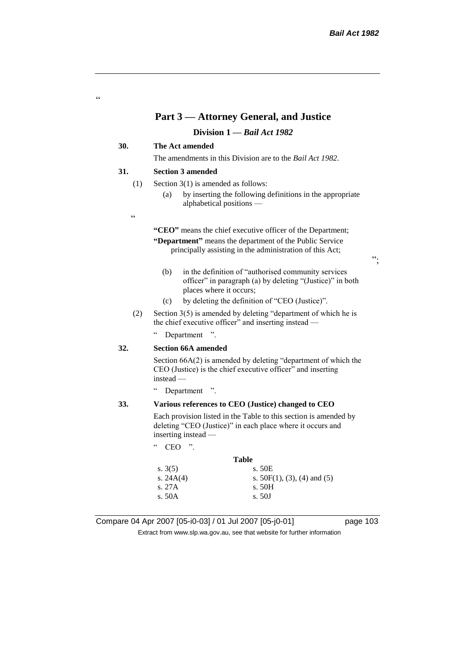#### **Part 3 — Attorney General, and Justice**

**Division 1 —** *Bail Act 1982*

#### **30. The Act amended**

The amendments in this Division are to the *Bail Act 1982*.

#### **31. Section 3 amended**

- (1) Section 3(1) is amended as follows:
	- (a) by inserting the following definitions in the appropriate alphabetical positions —
- $\epsilon$

"

**"CEO"** means the chief executive officer of the Department;

**"Department"** means the department of the Public Service principally assisting in the administration of this Act;

- (b) in the definition of "authorised community services officer" in paragraph (a) by deleting "(Justice)" in both places where it occurs;
- (c) by deleting the definition of "CEO (Justice)".
- (2) Section 3(5) is amended by deleting "department of which he is the chief executive officer" and inserting instead —

" Department ".

#### **32. Section 66A amended**

Section 66A(2) is amended by deleting "department of which the CEO (Justice) is the chief executive officer" and inserting instead —

" Department ".

#### **33. Various references to CEO (Justice) changed to CEO**

Each provision listed in the Table to this section is amended by deleting "CEO (Justice)" in each place where it occurs and inserting instead —

| $\epsilon$ | CEO | יי |
|------------|-----|----|
|            |     |    |

| <b>Table</b> |                                |  |  |  |
|--------------|--------------------------------|--|--|--|
| s. $3(5)$    | s. 50E                         |  |  |  |
| s. 24A(4)    | s. $50F(1)$ , (3), (4) and (5) |  |  |  |
| s. 27A       | s. 50H                         |  |  |  |
| s. 50A       | s. 50J                         |  |  |  |
|              |                                |  |  |  |

Compare 04 Apr 2007 [05-i0-03] / 01 Jul 2007 [05-j0-01] page 103

Extract from www.slp.wa.gov.au, see that website for further information

";